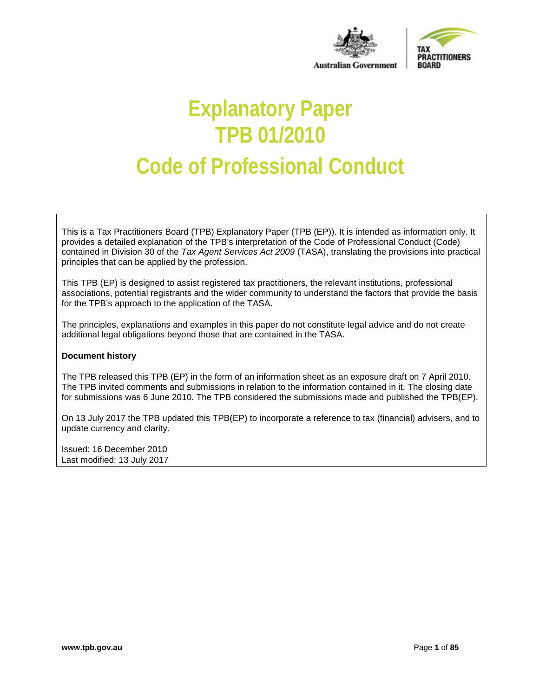



**Australian Government** 

# **Explanatory Paper TPB 01/2010 Code of Professional Conduct**

This is a Tax Practitioners Board (TPB) Explanatory Paper (TPB (EP)). It is intended as information only. It provides a detailed explanation of the TPB's interpretation of the Code of Professional Conduct (Code) contained in Division 30 of the *Tax Agent Services Act 2009* (TASA), translating the provisions into practical principles that can be applied by the profession.

This TPB (EP) is designed to assist registered tax practitioners, the relevant institutions, professional associations, potential registrants and the wider community to understand the factors that provide the basis for the TPB's approach to the application of the TASA.

The principles, explanations and examples in this paper do not constitute legal advice and do not create additional legal obligations beyond those that are contained in the TASA.

#### **Document history**

The TPB released this TPB (EP) in the form of an information sheet as an exposure draft on 7 April 2010. The TPB invited comments and submissions in relation to the information contained in it. The closing date for submissions was 6 June 2010. The TPB considered the submissions made and published the TPB(EP).

On 13 July 2017 the TPB updated this TPB(EP) to incorporate a reference to tax (financial) advisers, and to update currency and clarity.

Issued: 16 December 2010 Last modified: 13 July 2017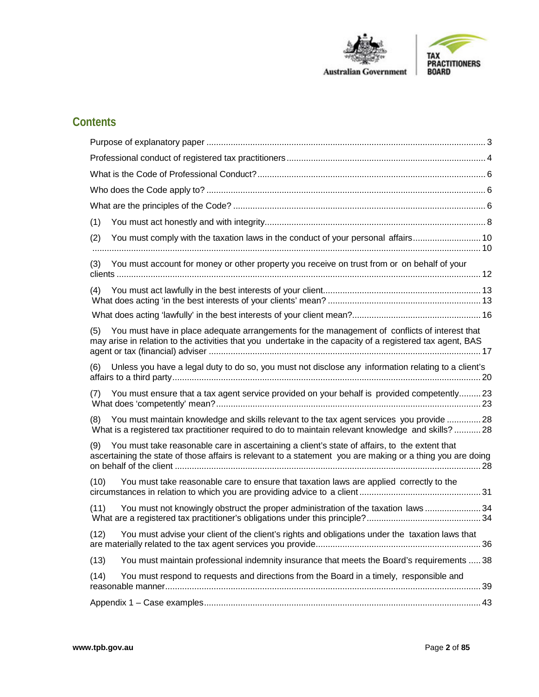



# **Contents**

<span id="page-1-0"></span>

| (1)                                                                                                                                                                                                                |  |
|--------------------------------------------------------------------------------------------------------------------------------------------------------------------------------------------------------------------|--|
| You must comply with the taxation laws in the conduct of your personal affairs 10<br>(2)                                                                                                                           |  |
| You must account for money or other property you receive on trust from or on behalf of your<br>(3)                                                                                                                 |  |
|                                                                                                                                                                                                                    |  |
|                                                                                                                                                                                                                    |  |
| You must have in place adequate arrangements for the management of conflicts of interest that<br>(5)<br>may arise in relation to the activities that you undertake in the capacity of a registered tax agent, BAS  |  |
| Unless you have a legal duty to do so, you must not disclose any information relating to a client's<br>(6)                                                                                                         |  |
| You must ensure that a tax agent service provided on your behalf is provided competently 23<br>(7)                                                                                                                 |  |
| You must maintain knowledge and skills relevant to the tax agent services you provide  28<br>(8)<br>What is a registered tax practitioner required to do to maintain relevant knowledge and skills? 28             |  |
| You must take reasonable care in ascertaining a client's state of affairs, to the extent that<br>(9)<br>ascertaining the state of those affairs is relevant to a statement you are making or a thing you are doing |  |
| You must take reasonable care to ensure that taxation laws are applied correctly to the<br>(10)                                                                                                                    |  |
| You must not knowingly obstruct the proper administration of the taxation laws  34<br>(11)                                                                                                                         |  |
| You must advise your client of the client's rights and obligations under the taxation laws that<br>(12)                                                                                                            |  |
| You must maintain professional indemnity insurance that meets the Board's requirements  38<br>(13)                                                                                                                 |  |
| You must respond to requests and directions from the Board in a timely, responsible and<br>(14)                                                                                                                    |  |
|                                                                                                                                                                                                                    |  |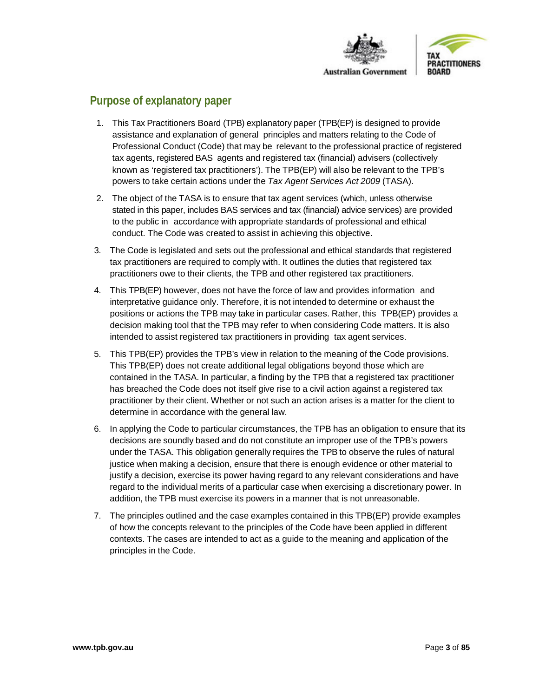

# **Purpose of explanatory paper**

- 1. This Tax Practitioners Board (TPB) explanatory paper (TPB(EP) is designed to provide assistance and explanation of general principles and matters relating to the Code of Professional Conduct (Code) that may be relevant to the professional practice of registered tax agents, registered BAS agents and registered tax (financial) advisers (collectively known as 'registered tax practitioners'). The TPB(EP) will also be relevant to the TPB's powers to take certain actions under the *Tax Agent Services Act 2009* (TASA).
- 2. The object of the TASA is to ensure that tax agent services (which, unless otherwise stated in this paper, includes BAS services and tax (financial) advice services) are provided to the public in accordance with appropriate standards of professional and ethical conduct. The Code was created to assist in achieving this objective.
- 3. The Code is legislated and sets out the professional and ethical standards that registered tax practitioners are required to comply with. It outlines the duties that registered tax practitioners owe to their clients, the TPB and other registered tax practitioners.
- 4. This TPB(EP) however, does not have the force of law and provides information and interpretative guidance only. Therefore, it is not intended to determine or exhaust the positions or actions the TPB may take in particular cases. Rather, this TPB(EP) provides a decision making tool that the TPB may refer to when considering Code matters. It is also intended to assist registered tax practitioners in providing tax agent services.
- 5. This TPB(EP) provides the TPB's view in relation to the meaning of the Code provisions. This TPB(EP) does not create additional legal obligations beyond those which are contained in the TASA. In particular, a finding by the TPB that a registered tax practitioner has breached the Code does not itself give rise to a civil action against a registered tax practitioner by their client. Whether or not such an action arises is a matter for the client to determine in accordance with the general law.
- 6. In applying the Code to particular circumstances, the TPB has an obligation to ensure that its decisions are soundly based and do not constitute an improper use of the TPB's powers under the TASA. This obligation generally requires the TPB to observe the rules of natural justice when making a decision, ensure that there is enough evidence or other material to justify a decision, exercise its power having regard to any relevant considerations and have regard to the individual merits of a particular case when exercising a discretionary power. In addition, the TPB must exercise its powers in a manner that is not unreasonable.
- 7. The principles outlined and the case examples contained in this TPB(EP) provide examples of how the concepts relevant to the principles of the Code have been applied in different contexts. The cases are intended to act as a guide to the meaning and application of the principles in the Code.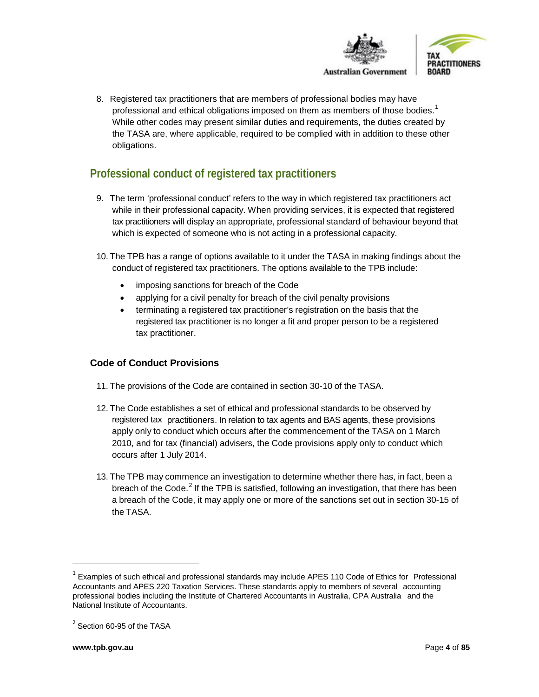



8. Registered tax practitioners that are members of professional bodies may have professional and ethical obligations imposed on them as members of those bodies.<sup>[1](#page-3-1)</sup> While other codes may present similar duties and requirements, the duties created by the TASA are, where applicable, required to be complied with in addition to these other obligations.

# <span id="page-3-0"></span>**Professional conduct of registered tax practitioners**

- 9. The term 'professional conduct' refers to the way in which registered tax practitioners act while in their professional capacity. When providing services, it is expected that registered tax practitioners will display an appropriate, professional standard of behaviour beyond that which is expected of someone who is not acting in a professional capacity.
- 10. The TPB has a range of options available to it under the TASA in making findings about the conduct of registered tax practitioners. The options available to the TPB include:
	- imposing sanctions for breach of the Code
	- applying for a civil penalty for breach of the civil penalty provisions
	- terminating a registered tax practitioner's registration on the basis that the registered tax practitioner is no longer a fit and proper person to be a registered tax practitioner.

# **Code of Conduct Provisions**

- 11. The provisions of the Code are contained in section 30-10 of the TASA.
- 12. The Code establishes a set of ethical and professional standards to be observed by registered tax practitioners. In relation to tax agents and BAS agents, these provisions apply only to conduct which occurs after the commencement of the TASA on 1 March 2010, and for tax (financial) advisers, the Code provisions apply only to conduct which occurs after 1 July 2014.
- 13. The TPB may commence an investigation to determine whether there has, in fact, been a breach of the Code. $^{2}$  $^{2}$  $^{2}$  If the TPB is satisfied, following an investigation, that there has been a breach of the Code, it may apply one or more of the sanctions set out in section 30-15 of the TASA.

<span id="page-3-1"></span> $1$  Examples of such ethical and professional standards may include APES 110 Code of Ethics for Professional Accountants and APES 220 Taxation Services. These standards apply to members of several accounting professional bodies including the Institute of Chartered Accountants in Australia, CPA Australia and the National Institute of Accountants.

<span id="page-3-2"></span><sup>&</sup>lt;sup>2</sup> Section 60-95 of the TASA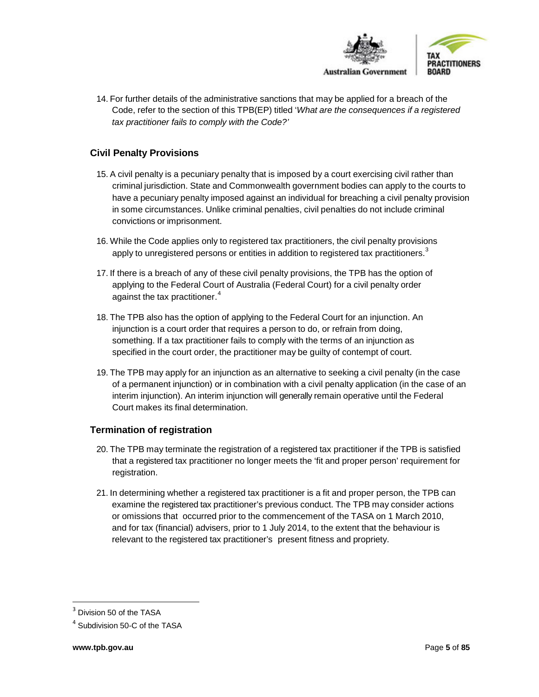

14. For further details of the administrative sanctions that may be applied for a breach of the Code, refer to the section of this TPB(EP) titled '*What are the consequences if a registered tax practitioner fails to comply with the Code?'*

# **Civil Penalty Provisions**

- 15. A civil penalty is a pecuniary penalty that is imposed by a court exercising civil rather than criminal jurisdiction. State and Commonwealth government bodies can apply to the courts to have a pecuniary penalty imposed against an individual for breaching a civil penalty provision in some circumstances. Unlike criminal penalties, civil penalties do not include criminal convictions or imprisonment.
- 16. While the Code applies only to registered tax practitioners, the civil penalty provisions apply to unregistered persons or entities in addition to registered tax practitioners. $^3$  $^3$
- 17. If there is a breach of any of these civil penalty provisions, the TPB has the option of applying to the Federal Court of Australia (Federal Court) for a civil penalty order against the tax practitioner. [4](#page-4-1)
- 18. The TPB also has the option of applying to the Federal Court for an injunction. An injunction is a court order that requires a person to do, or refrain from doing, something. If a tax practitioner fails to comply with the terms of an injunction as specified in the court order, the practitioner may be guilty of contempt of court.
- 19. The TPB may apply for an injunction as an alternative to seeking a civil penalty (in the case of a permanent injunction) or in combination with a civil penalty application (in the case of an interim injunction). An interim injunction will generally remain operative until the Federal Court makes its final determination.

# **Termination of registration**

- 20. The TPB may terminate the registration of a registered tax practitioner if the TPB is satisfied that a registered tax practitioner no longer meets the 'fit and proper person' requirement for registration.
- 21. In determining whether a registered tax practitioner is a fit and proper person, the TPB can examine the registered tax practitioner's previous conduct. The TPB may consider actions or omissions that occurred prior to the commencement of the TASA on 1 March 2010, and for tax (financial) advisers, prior to 1 July 2014, to the extent that the behaviour is relevant to the registered tax practitioner's present fitness and propriety.

<span id="page-4-0"></span>Division 50 of the TASA

<span id="page-4-1"></span><sup>4</sup> Subdivision 50-C of the TASA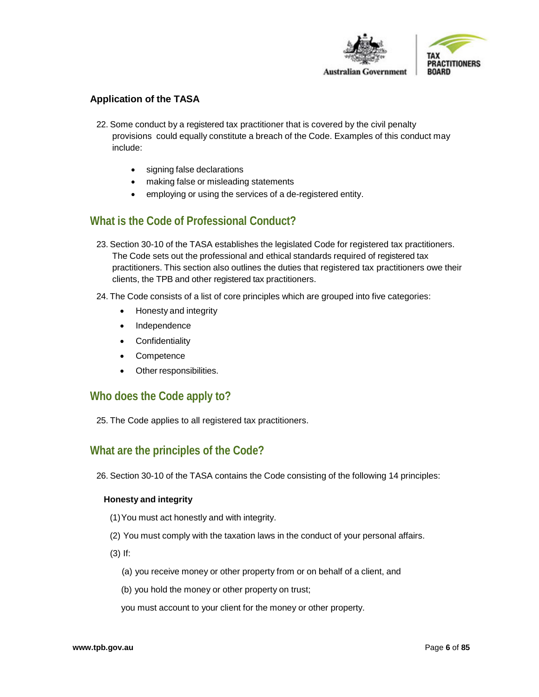

## **Application of the TASA**

- 22. Some conduct by a registered tax practitioner that is covered by the civil penalty provisions could equally constitute a breach of the Code. Examples of this conduct may include:
	- signing false declarations
	- making false or misleading statements
	- employing or using the services of a de-registered entity.

# <span id="page-5-0"></span>**What is the Code of Professional Conduct?**

- 23. Section 30-10 of the TASA establishes the legislated Code for registered tax practitioners. The Code sets out the professional and ethical standards required of registered tax practitioners. This section also outlines the duties that registered tax practitioners owe their clients, the TPB and other registered tax practitioners.
- 24. The Code consists of a list of core principles which are grouped into five categories:
	- Honesty and integrity
	- **Independence**
	- Confidentiality
	- Competence
	- Other responsibilities.

# <span id="page-5-1"></span>**Who does the Code apply to?**

25. The Code applies to all registered tax practitioners.

# <span id="page-5-2"></span>**What are the principles of the Code?**

26. Section 30-10 of the TASA contains the Code consisting of the following 14 principles:

#### **Honesty and integrity**

- (1)You must act honestly and with integrity.
- (2) You must comply with the taxation laws in the conduct of your personal affairs.
- (3) If:
	- (a) you receive money or other property from or on behalf of a client, and
	- (b) you hold the money or other property on trust;
	- you must account to your client for the money or other property.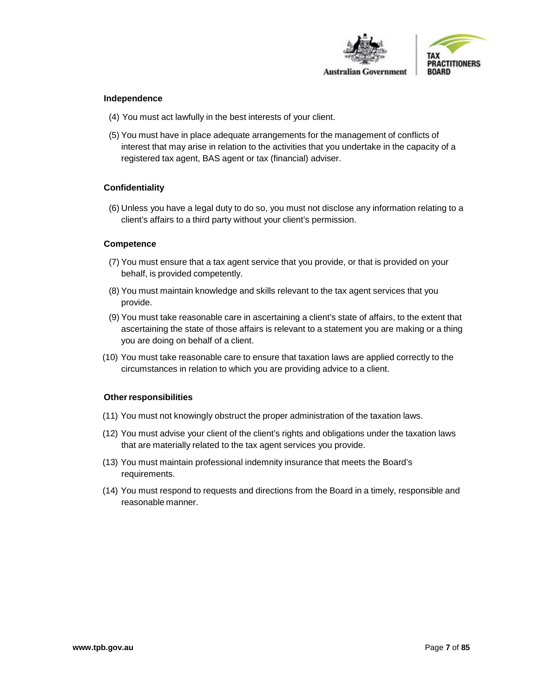

#### **Independence**

- (4) You must act lawfully in the best interests of your client.
- (5) You must have in place adequate arrangements for the management of conflicts of interest that may arise in relation to the activities that you undertake in the capacity of a registered tax agent, BAS agent or tax (financial) adviser.

#### **Confidentiality**

(6) Unless you have a legal duty to do so, you must not disclose any information relating to a client's affairs to a third party without your client's permission.

#### **Competence**

- (7) You must ensure that a tax agent service that you provide, or that is provided on your behalf, is provided competently.
- (8) You must maintain knowledge and skills relevant to the tax agent services that you provide.
- (9) You must take reasonable care in ascertaining a client's state of affairs, to the extent that ascertaining the state of those affairs is relevant to a statement you are making or a thing you are doing on behalf of a client.
- (10) You must take reasonable care to ensure that taxation laws are applied correctly to the circumstances in relation to which you are providing advice to a client.

#### **Other responsibilities**

- (11) You must not knowingly obstruct the proper administration of the taxation laws.
- (12) You must advise your client of the client's rights and obligations under the taxation laws that are materially related to the tax agent services you provide.
- (13) You must maintain professional indemnity insurance that meets the Board's requirements.
- (14) You must respond to requests and directions from the Board in a timely, responsible and reasonable manner.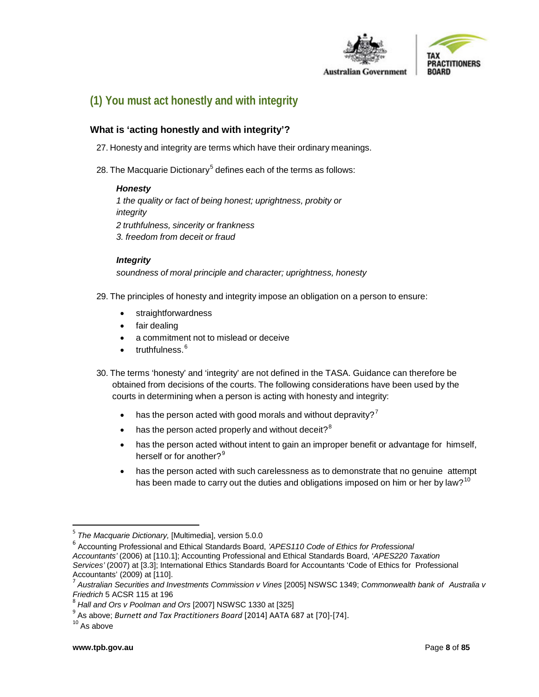



# <span id="page-7-0"></span>**(1) You must act honestly and with integrity**

# **What is 'acting honestly and with integrity'?**

- 27. Honesty and integrity are terms which have their ordinary meanings.
- 28. The Macquarie Dictionary<sup>[5](#page-7-1)</sup> defines each of the terms as follows:

#### *Honesty*

*1 the quality or fact of being honest; uprightness, probity or integrity 2 truthfulness, sincerity or frankness 3. freedom from deceit or fraud*

#### *Integrity*

*soundness of moral principle and character; uprightness, honesty*

- 29. The principles of honesty and integrity impose an obligation on a person to ensure:
	- **straightforwardness**
	- fair dealing
	- a commitment not to mislead or deceive
	- truthfulness.<sup>[6](#page-7-2)</sup>
- 30. The terms 'honesty' and 'integrity' are not defined in the TASA. Guidance can therefore be obtained from decisions of the courts. The following considerations have been used by the courts in determining when a person is acting with honesty and integrity:
	- has the person acted with good morals and without depravity?<sup>[7](#page-7-3)</sup>
	- has the person acted properly and without deceit? $8$
	- has the person acted without intent to gain an improper benefit or advantage for himself, herself or for another?<sup>[9](#page-7-5)</sup>
	- has the person acted with such carelessness as to demonstrate that no genuine attempt has been made to carry out the duties and obligations imposed on him or her by law?<sup>[10](#page-7-6)</sup>

<span id="page-7-1"></span> <sup>5</sup> *The Macquarie Dictionary,* [Multimedia], version 5.0.0

<span id="page-7-2"></span><sup>6</sup> Accounting Professional and Ethical Standards Board, *'APES110 Code of Ethics for Professional Accountants'* (2006) at [110.1]; Accounting Professional and Ethical Standards Board, '*APES220 Taxation Services'* (2007) at [3.3]; International Ethics Standards Board for Accountants 'Code of Ethics for Professional Accountants' (2009) at [110]. <sup>7</sup> *Australian Securities and Investments Commission <sup>v</sup> Vines* [2005] NSWSC 1349; *Commonwealth bank of Australia <sup>v</sup>*

<span id="page-7-3"></span>

*Friedrich* <sup>5</sup> ACSR <sup>115</sup> at <sup>196</sup> <sup>8</sup> *Hall and Ors v Poolman and Ors* [2007] NSWSC 1330 at [325]

<span id="page-7-6"></span><span id="page-7-5"></span><span id="page-7-4"></span> $^9$  As above; *Burnett and Tax Practitioners Board* [2014] AATA 687 at [70]-[74].<br><sup>10</sup> As above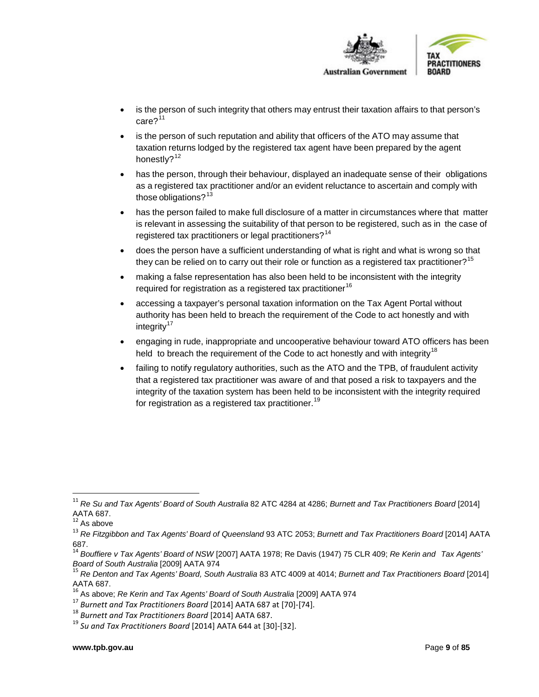

- is the person of such integrity that others may entrust their taxation affairs to that person's  $care?$ <sup>[11](#page-8-0)</sup>
- is the person of such reputation and ability that officers of the ATO may assume that taxation returns lodged by the registered tax agent have been prepared by the agent honestly?<sup>[12](#page-8-1)</sup>
- has the person, through their behaviour, displayed an inadequate sense of their obligations as a registered tax practitioner and/or an evident reluctance to ascertain and comply with those obligations? $13$
- has the person failed to make full disclosure of a matter in circumstances where that matter is relevant in assessing the suitability of that person to be registered, such as in the case of registered tax practitioners or legal practitioners?<sup>[14](#page-8-3)</sup>
- does the person have a sufficient understanding of what is right and what is wrong so that they can be relied on to carry out their role or function as a registered tax practitioner?<sup>[15](#page-8-4)</sup>
- making a false representation has also been held to be inconsistent with the integrity required for registration as a registered tax practitioner<sup>[16](#page-8-5)</sup>
- accessing a taxpayer's personal taxation information on the Tax Agent Portal without authority has been held to breach the requirement of the Code to act honestly and with integrity $17$
- engaging in rude, inappropriate and uncooperative behaviour toward ATO officers has been held to breach the requirement of the Code to act honestly and with integrity<sup>[18](#page-8-7)</sup>
- failing to notify regulatory authorities, such as the ATO and the TPB, of fraudulent activity that a registered tax practitioner was aware of and that posed a risk to taxpayers and the integrity of the taxation system has been held to be inconsistent with the integrity required for registration as a registered tax practitioner. [19](#page-8-8)

<span id="page-8-0"></span> <sup>11</sup> *Re Su and Tax Agents' Board of South Australia* <sup>82</sup> ATC 4284 at 4286; *Burnett and Tax Practitioners Board* [2014] AATA 687.

 $12$  As above

<span id="page-8-2"></span><span id="page-8-1"></span><sup>13</sup> *Re Fitzgibbon and Tax Agents' Board of Queensland* 93 ATC 2053; *Burnett and Tax Practitioners Board* [2014] AATA 687.

<span id="page-8-3"></span><sup>14</sup> *Bouffiere v Tax Agents' Board of NSW* [2007] AATA 1978; Re Davis (1947) 75 CLR 409; *Re Kerin and Tax Agents'*

<span id="page-8-4"></span><sup>&</sup>lt;sup>15</sup> Re Denton and Tax Agents' Board, South Australia 83 ATC 4009 at 4014; Burnett and Tax Practitioners Board [2014] AATA 687.<br><sup>16</sup> As above; *Re Kerin and Tax Agents' Board of South Australia* [2009] AATA 974

<span id="page-8-6"></span><span id="page-8-5"></span><sup>17</sup> Burnett and Tax Practitioners Board [2014] AATA 687 at [70]-[74].<br><sup>18</sup> Burnett and Tax Practitioners Board [2014] AATA 687.<br><sup>19</sup> Su and Tax Practitioners Board [2014] AATA 644 at [30]-[32].

<span id="page-8-7"></span>

<span id="page-8-8"></span>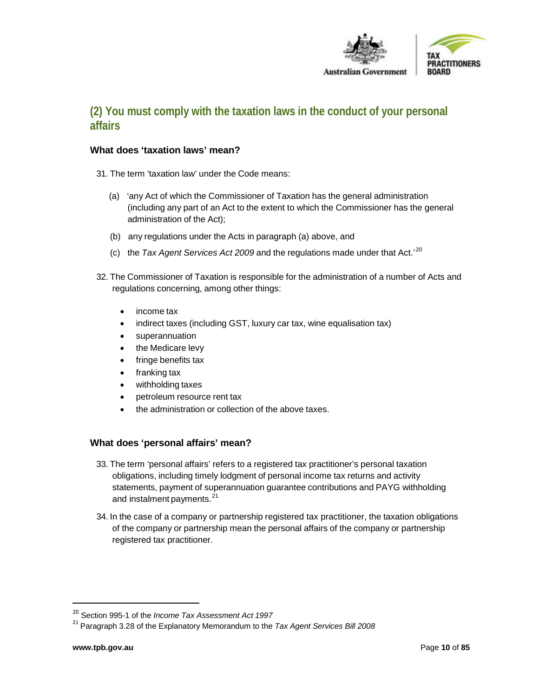

# <span id="page-9-0"></span>**(2) You must comply with the taxation laws in the conduct of your personal affairs**

## <span id="page-9-1"></span>**What does 'taxation laws' mean?**

- 31. The term 'taxation law' under the Code means:
	- (a) 'any Act of which the Commissioner of Taxation has the general administration (including any part of an Act to the extent to which the Commissioner has the general administration of the Act);
	- (b) any regulations under the Acts in paragraph (a) above, and
	- (c) the *Tax Agent Services Act 2009* and the regulations made under that Act.'[20](#page-9-2)
- 32. The Commissioner of Taxation is responsible for the administration of a number of Acts and regulations concerning, among other things:
	- income tax
	- indirect taxes (including GST, luxury car tax, wine equalisation tax)
	- superannuation
	- the Medicare levy
	- fringe benefits tax
	- franking tax
	- withholding taxes
	- petroleum resource rent tax
	- the administration or collection of the above taxes.

# **What does 'personal affairs' mean?**

- 33. The term 'personal affairs' refers to a registered tax practitioner's personal taxation obligations, including timely lodgment of personal income tax returns and activity statements, payment of superannuation guarantee contributions and PAYG withholding and instalment payments.<sup>[21](#page-9-3)</sup>
- 34. In the case of a company or partnership registered tax practitioner, the taxation obligations of the company or partnership mean the personal affairs of the company or partnership registered tax practitioner.

<span id="page-9-3"></span><span id="page-9-2"></span><sup>20</sup> Section 995-1 of the *Income Tax Assessment Act <sup>1997</sup>* <sup>21</sup> Paragraph 3.28 of the Explanatory Memorandum to the *Tax Agent Services Bill <sup>2008</sup>*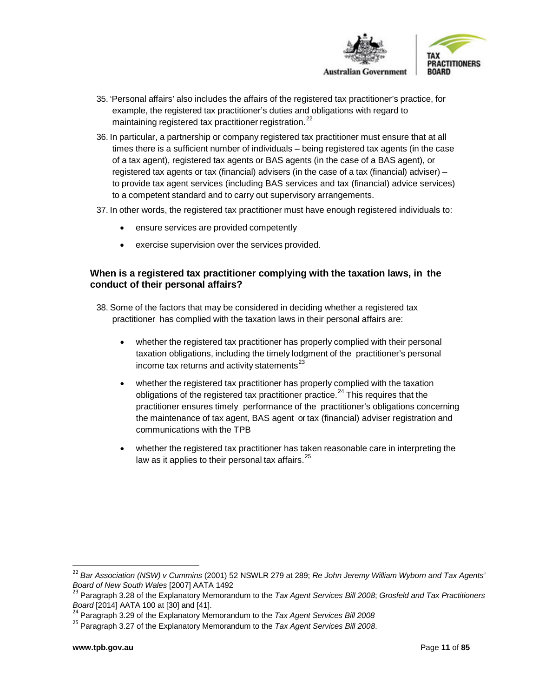

- 35. 'Personal affairs' also includes the affairs of the registered tax practitioner's practice, for example, the registered tax practitioner's duties and obligations with regard to maintaining registered tax practitioner registration.<sup>[22](#page-10-0)</sup>
- 36. In particular, a partnership or company registered tax practitioner must ensure that at all times there is a sufficient number of individuals – being registered tax agents (in the case of a tax agent), registered tax agents or BAS agents (in the case of a BAS agent), or registered tax agents or tax (financial) advisers (in the case of a tax (financial) adviser) – to provide tax agent services (including BAS services and tax (financial) advice services) to a competent standard and to carry out supervisory arrangements.
- 37. In other words, the registered tax practitioner must have enough registered individuals to:
	- ensure services are provided competently
	- exercise supervision over the services provided.

## **When is a registered tax practitioner complying with the taxation laws, in the conduct of their personal affairs?**

- 38. Some of the factors that may be considered in deciding whether a registered tax practitioner has complied with the taxation laws in their personal affairs are:
	- whether the registered tax practitioner has properly complied with their personal taxation obligations, including the timely lodgment of the practitioner's personal income tax returns and activity statements $^{23}$  $^{23}$  $^{23}$
	- whether the registered tax practitioner has properly complied with the taxation obligations of the registered tax practitioner practice.<sup>[24](#page-10-2)</sup> This requires that the practitioner ensures timely performance of the practitioner's obligations concerning the maintenance of tax agent, BAS agent or tax (financial) adviser registration and communications with the TPB
	- whether the registered tax practitioner has taken reasonable care in interpreting the law as it applies to their personal tax affairs.  $25$

<span id="page-10-0"></span> <sup>22</sup> *Bar Association (NSW) <sup>v</sup> Cummins* (2001) <sup>52</sup> NSWLR <sup>279</sup> at 289; *Re John Jeremy William Wyborn and Tax Agents'*

<span id="page-10-1"></span><sup>&</sup>lt;sup>23</sup> Paragraph 3.28 of the Explanatory Memorandum to the *Tax Agent Services Bill 2008*; *Grosfeld and Tax Practitioners Board* [2014] AATA 100 at [30] and [41].

<span id="page-10-2"></span><sup>&</sup>lt;sup>24</sup> Paragraph 3.29 of the Explanatory Memorandum to the *Tax Agent Services Bill 2008* 

<span id="page-10-3"></span><sup>25</sup> Paragraph 3.27 of the Explanatory Memorandum to the *Tax Agent Services Bill 2008*.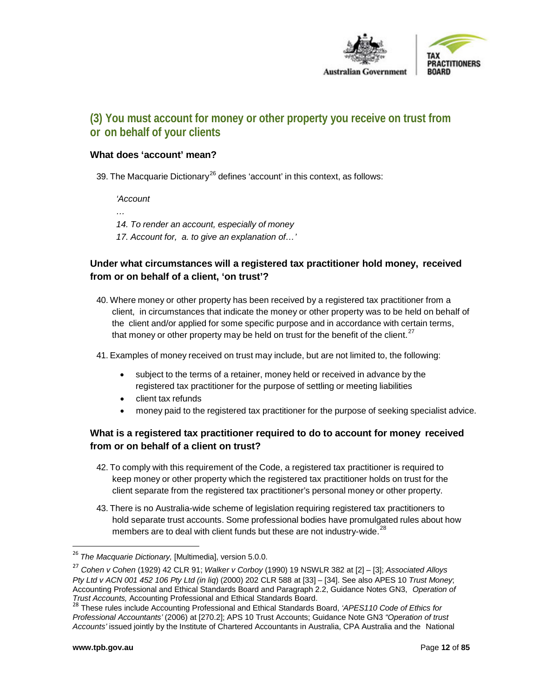

# <span id="page-11-0"></span>**(3) You must account for money or other property you receive on trust from or on behalf of your clients**

## **What does 'account' mean?**

39. The Macquarie Dictionary<sup>[26](#page-11-1)</sup> defines 'account' in this context, as follows:

#### *'Account*

*…*

- *14. To render an account, especially of money*
- *17. Account for, a. to give an explanation of…'*

# **Under what circumstances will a registered tax practitioner hold money, received from or on behalf of a client, 'on trust'?**

- 40. Where money or other property has been received by a registered tax practitioner from a client, in circumstances that indicate the money or other property was to be held on behalf of the client and/or applied for some specific purpose and in accordance with certain terms, that money or other property may be held on trust for the benefit of the client. $27$
- 41. Examples of money received on trust may include, but are not limited to, the following:
	- subject to the terms of a retainer, money held or received in advance by the registered tax practitioner for the purpose of settling or meeting liabilities
	- client tax refunds
	- money paid to the registered tax practitioner for the purpose of seeking specialist advice.

# **What is a registered tax practitioner required to do to account for money received from or on behalf of a client on trust?**

- 42. To comply with this requirement of the Code, a registered tax practitioner is required to keep money or other property which the registered tax practitioner holds on trust for the client separate from the registered tax practitioner's personal money or other property.
- 43. There is no Australia-wide scheme of legislation requiring registered tax practitioners to hold separate trust accounts. Some professional bodies have promulgated rules about how members are to deal with client funds but these are not industry-wide.<sup>[28](#page-11-3)</sup>

<span id="page-11-1"></span> <sup>26</sup> *The Macquarie Dictionary,* [Multimedia], version 5.0.0.

<span id="page-11-2"></span><sup>27</sup> *Cohen v Cohen* (1929) 42 CLR 91; *Walker v Corboy* (1990) 19 NSWLR 382 at [2] – [3]; *Associated Alloys Pty Ltd v ACN 001 452 106 Pty Ltd (in liq*) (2000) 202 CLR 588 at [33] – [34]. See also APES 10 *Trust Money*; Accounting Professional and Ethical Standards Board and Paragraph 2.2, Guidance Notes GN3, *Operation of Trust Accounts,* Accounting Professional and Ethical Standards Board.

<span id="page-11-3"></span><sup>28</sup> These rules include Accounting Professional and Ethical Standards Board, *'APES110 Code of Ethics for Professional Accountants'* (2006) at [270.2]; APS 10 Trust Accounts; Guidance Note GN3 *"Operation of trust Accounts'* issued jointly by the Institute of Chartered Accountants in Australia, CPA Australia and the National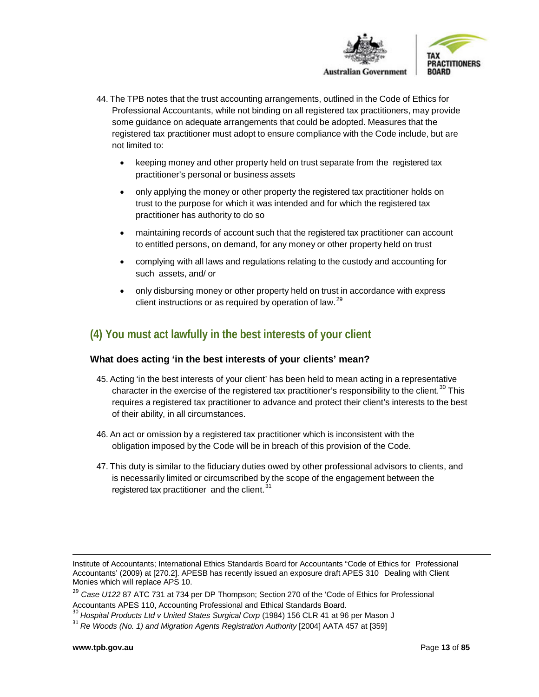

- 44. The TPB notes that the trust accounting arrangements, outlined in the Code of Ethics for Professional Accountants, while not binding on all registered tax practitioners, may provide some guidance on adequate arrangements that could be adopted. Measures that the registered tax practitioner must adopt to ensure compliance with the Code include, but are not limited to:
	- keeping money and other property held on trust separate from the registered tax practitioner's personal or business assets
	- only applying the money or other property the registered tax practitioner holds on trust to the purpose for which it was intended and for which the registered tax practitioner has authority to do so
	- maintaining records of account such that the registered tax practitioner can account to entitled persons, on demand, for any money or other property held on trust
	- complying with all laws and regulations relating to the custody and accounting for such assets, and/ or
	- only disbursing money or other property held on trust in accordance with express client instructions or as required by operation of law.  $29$

# <span id="page-12-0"></span>**(4) You must act lawfully in the best interests of your client**

#### <span id="page-12-1"></span>**What does acting 'in the best interests of your clients' mean?**

- 45. Acting 'in the best interests of your client' has been held to mean acting in a representative character in the exercise of the registered tax practitioner's responsibility to the client.<sup>[30](#page-12-3)</sup> This requires a registered tax practitioner to advance and protect their client's interests to the best of their ability, in all circumstances.
- 46. An act or omission by a registered tax practitioner which is inconsistent with the obligation imposed by the Code will be in breach of this provision of the Code.
- 47. This duty is similar to the fiduciary duties owed by other professional advisors to clients, and is necessarily limited or circumscribed by the scope of the engagement between the registered tax practitioner and the client.<sup>[31](#page-12-4)</sup>

 $\overline{\phantom{a}}$ 

Institute of Accountants; International Ethics Standards Board for Accountants "Code of Ethics for Professional Accountants' (2009) at [270.2]. APESB has recently issued an exposure draft APES 310 Dealing with Client Monies which will replace APS 10.

<span id="page-12-2"></span><sup>&</sup>lt;sup>29</sup> Case U122 87 ATC 731 at 734 per DP Thompson; Section 270 of the 'Code of Ethics for Professional Accountants APES 110, Accounting Professional and Ethical Standards Board.

<span id="page-12-3"></span><sup>&</sup>lt;sup>30</sup> Hospital Products Ltd *v* United States Surgical Corp (1984) 156 CLR 41 at 96 per Mason J

<span id="page-12-4"></span><sup>31</sup> *Re Woods (No. 1) and Migration Agents Registration Authority* [2004] AATA 457 at [359]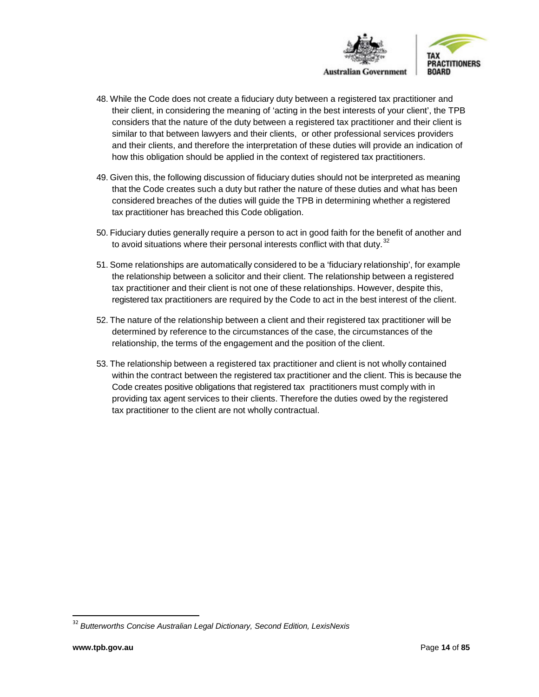

- 48. While the Code does not create a fiduciary duty between a registered tax practitioner and their client, in considering the meaning of 'acting in the best interests of your client', the TPB considers that the nature of the duty between a registered tax practitioner and their client is similar to that between lawyers and their clients, or other professional services providers and their clients, and therefore the interpretation of these duties will provide an indication of how this obligation should be applied in the context of registered tax practitioners.
- 49. Given this, the following discussion of fiduciary duties should not be interpreted as meaning that the Code creates such a duty but rather the nature of these duties and what has been considered breaches of the duties will guide the TPB in determining whether a registered tax practitioner has breached this Code obligation.
- 50. Fiduciary duties generally require a person to act in good faith for the benefit of another and to avoid situations where their personal interests conflict with that duty. $32$
- 51. Some relationships are automatically considered to be a 'fiduciary relationship', for example the relationship between a solicitor and their client. The relationship between a registered tax practitioner and their client is not one of these relationships. However, despite this, registered tax practitioners are required by the Code to act in the best interest of the client.
- 52. The nature of the relationship between a client and their registered tax practitioner will be determined by reference to the circumstances of the case, the circumstances of the relationship, the terms of the engagement and the position of the client.
- 53. The relationship between a registered tax practitioner and client is not wholly contained within the contract between the registered tax practitioner and the client. This is because the Code creates positive obligations that registered tax practitioners must comply with in providing tax agent services to their clients. Therefore the duties owed by the registered tax practitioner to the client are not wholly contractual.

<span id="page-13-0"></span> <sup>32</sup> *Butterworths Concise Australian Legal Dictionary, Second Edition, LexisNexis*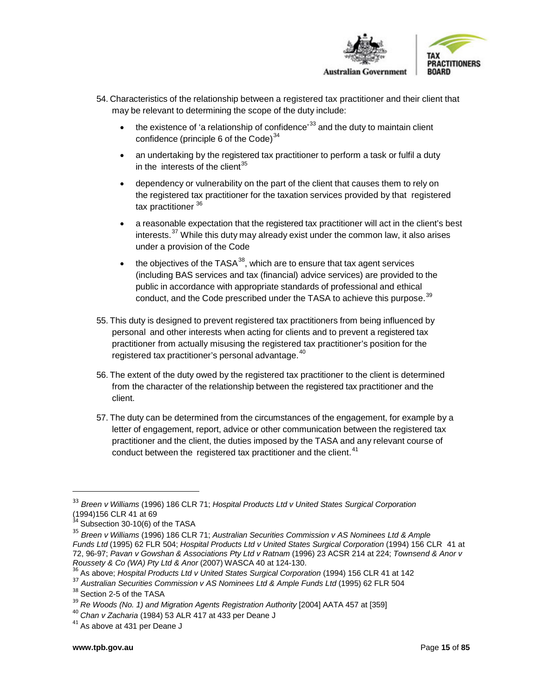

- 54. Characteristics of the relationship between a registered tax practitioner and their client that may be relevant to determining the scope of the duty include:
	- the existence of 'a relationship of confidence'  $33$  and the duty to maintain client confidence (principle 6 of the Code) $34$
	- an undertaking by the registered tax practitioner to perform a task or fulfil a duty in the interests of the client $35$
	- dependency or vulnerability on the part of the client that causes them to rely on the registered tax practitioner for the taxation services provided by that registered tax practitioner<sup>[36](#page-14-3)</sup>
	- a reasonable expectation that the registered tax practitioner will act in the client's best interests.<sup>[37](#page-14-4)</sup> While this duty may already exist under the common law, it also arises under a provision of the Code
	- the objectives of the TASA $^{38}$  $^{38}$  $^{38}$ , which are to ensure that tax agent services (including BAS services and tax (financial) advice services) are provided to the public in accordance with appropriate standards of professional and ethical conduct, and the Code prescribed under the TASA to achieve this purpose.<sup>[39](#page-14-6)</sup>
- 55. This duty is designed to prevent registered tax practitioners from being influenced by personal and other interests when acting for clients and to prevent a registered tax practitioner from actually misusing the registered tax practitioner's position for the registered tax practitioner's personal advantage.<sup>[40](#page-14-7)</sup>
- 56. The extent of the duty owed by the registered tax practitioner to the client is determined from the character of the relationship between the registered tax practitioner and the client.
- 57. The duty can be determined from the circumstances of the engagement, for example by a letter of engagement, report, advice or other communication between the registered tax practitioner and the client, the duties imposed by the TASA and any relevant course of conduct between the registered tax practitioner and the client. $41$

<span id="page-14-0"></span> <sup>33</sup> *Breen <sup>v</sup> Williams* (1996) <sup>186</sup> CLR 71; *Hospital Products Ltd <sup>v</sup> United States Surgical Corporation*

 $6^{34}$  Subsection 30-10(6) of the TASA

<span id="page-14-2"></span><span id="page-14-1"></span><sup>35</sup> *Breen v Williams* (1996) 186 CLR 71; *Australian Securities Commission v AS Nominees Ltd & Ample Funds Ltd* (1995) 62 FLR 504; *Hospital Products Ltd v United States Surgical Corporation* (1994) 156 CLR 41 at 72, 96-97; *Pavan v Gowshan & Associations Pty Ltd v Ratnam* (1996) 23 ACSR 214 at 224; *Townsend & Anor v*

<span id="page-14-3"></span><sup>&</sup>lt;sup>36</sup> As above; Hospital Products Ltd v United States Surgical Corporation (1994) 156 CLR 41 at 142

<span id="page-14-4"></span><sup>&</sup>lt;sup>37</sup> Australian Securities Commission v AS Nominees Ltd & Ample Funds Ltd (1995) 62 FLR 504<br><sup>38</sup> Section 2-5 of the TASA<br><sup>39</sup> Re Woods (No. 1) and Migration Agents Registration Authority [2004] AATA 457 at [359]

<span id="page-14-5"></span>

<span id="page-14-6"></span>

<span id="page-14-7"></span><sup>40</sup> *Chan v Zacharia* (1984) 53 ALR 417 at 433 per Deane J

<span id="page-14-8"></span> $41$  As above at 431 per Deane J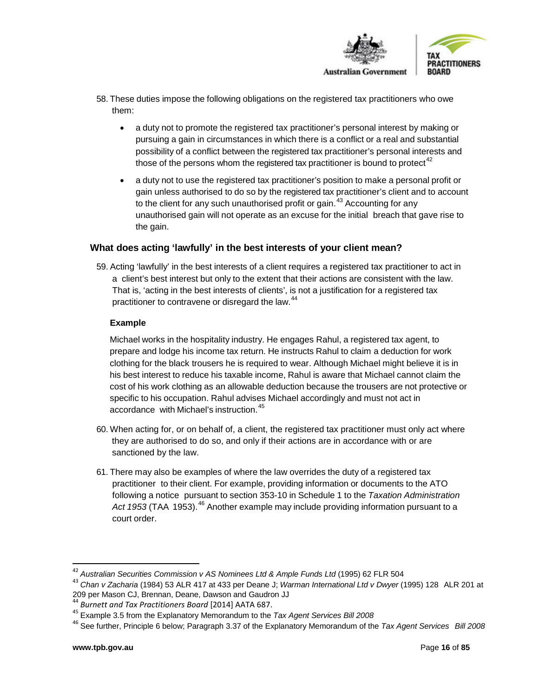

- 58. These duties impose the following obligations on the registered tax practitioners who owe them:
	- a duty not to promote the registered tax practitioner's personal interest by making or pursuing a gain in circumstances in which there is a conflict or a real and substantial possibility of a conflict between the registered tax practitioner's personal interests and those of the persons whom the registered tax practitioner is bound to protect<sup>[42](#page-15-1)</sup>
	- a duty not to use the registered tax practitioner's position to make a personal profit or gain unless authorised to do so by the registered tax practitioner's client and to account to the client for any such unauthorised profit or gain.<sup>[43](#page-15-2)</sup> Accounting for any unauthorised gain will not operate as an excuse for the initial breach that gave rise to the gain.

## <span id="page-15-0"></span>**What does acting 'lawfully' in the best interests of your client mean?**

59. Acting 'lawfully' in the best interests of a client requires a registered tax practitioner to act in a client's best interest but only to the extent that their actions are consistent with the law. That is, 'acting in the best interests of clients', is not a justification for a registered tax practitioner to contravene or disregard the law.<sup>[44](#page-15-3)</sup>

#### **Example**

Michael works in the hospitality industry. He engages Rahul, a registered tax agent, to prepare and lodge his income tax return. He instructs Rahul to claim a deduction for work clothing for the black trousers he is required to wear. Although Michael might believe it is in his best interest to reduce his taxable income, Rahul is aware that Michael cannot claim the cost of his work clothing as an allowable deduction because the trousers are not protective or specific to his occupation. Rahul advises Michael accordingly and must not act in accordance with Michael's instruction.<sup>[45](#page-15-4)</sup>

- 60. When acting for, or on behalf of, a client, the registered tax practitioner must only act where they are authorised to do so, and only if their actions are in accordance with or are sanctioned by the law.
- 61. There may also be examples of where the law overrides the duty of a registered tax practitioner to their client. For example, providing information or documents to the ATO following a notice pursuant to section 353-10 in Schedule 1 to the *Taxation Administration* Act 1953 (TAA 1953).<sup>[46](#page-15-5)</sup> Another example may include providing information pursuant to a court order.

<span id="page-15-2"></span><span id="page-15-1"></span><sup>&</sup>lt;sup>42</sup> Australian Securities Commission v AS Nominees Ltd & Ample Funds Ltd (1995) 62 FLR 504<br><sup>43</sup> Chan v Zacharia (1984) 53 ALR 417 at 433 per Deane J; Warman International Ltd v Dwyer (1995) 128 ALR 201 at<br>209 per Mason CJ

<span id="page-15-4"></span><span id="page-15-3"></span><sup>&</sup>lt;sup>44</sup> Burnett and Tax Practitioners Board [2014] AATA 687.<br><sup>45</sup> Example 3.5 from the Explanatory Memorandum to the *Tax Agent Services Bill 2008* 

<span id="page-15-5"></span><sup>46</sup> See further, Principle 6 below; Paragraph 3.37 of the Explanatory Memorandum of the *Tax Agent Services Bill 2008*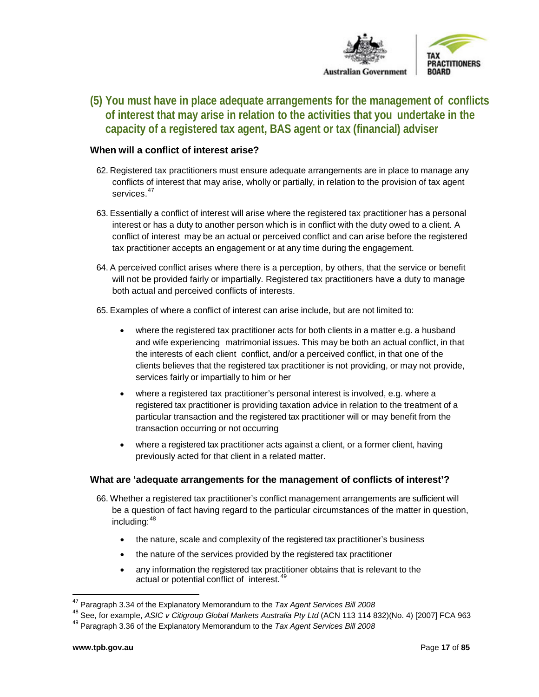

<span id="page-16-0"></span>**(5) You must have in place adequate arrangements for the management of conflicts of interest that may arise in relation to the activities that you undertake in the capacity of a registered tax agent, BAS agent or tax (financial) adviser**

#### **When will a conflict of interest arise?**

- 62. Registered tax practitioners must ensure adequate arrangements are in place to manage any conflicts of interest that may arise, wholly or partially, in relation to the provision of tax agent services.<sup>[47](#page-16-1)</sup>
- 63. Essentially a conflict of interest will arise where the registered tax practitioner has a personal interest or has a duty to another person which is in conflict with the duty owed to a client. A conflict of interest may be an actual or perceived conflict and can arise before the registered tax practitioner accepts an engagement or at any time during the engagement.
- 64. A perceived conflict arises where there is a perception, by others, that the service or benefit will not be provided fairly or impartially. Registered tax practitioners have a duty to manage both actual and perceived conflicts of interests.
- 65. Examples of where a conflict of interest can arise include, but are not limited to:
	- where the registered tax practitioner acts for both clients in a matter e.g. a husband and wife experiencing matrimonial issues. This may be both an actual conflict, in that the interests of each client conflict, and/or a perceived conflict, in that one of the clients believes that the registered tax practitioner is not providing, or may not provide, services fairly or impartially to him or her
	- where a registered tax practitioner's personal interest is involved, e.g. where a registered tax practitioner is providing taxation advice in relation to the treatment of a particular transaction and the registered tax practitioner will or may benefit from the transaction occurring or not occurring
	- where a registered tax practitioner acts against a client, or a former client, having previously acted for that client in a related matter.

#### **What are 'adequate arrangements for the management of conflicts of interest'?**

- 66. Whether a registered tax practitioner's conflict management arrangements are sufficient will be a question of fact having regard to the particular circumstances of the matter in question, including: [48](#page-16-2)
	- the nature, scale and complexity of the registered tax practitioner's business
	- the nature of the services provided by the registered tax practitioner
	- any information the registered tax practitioner obtains that is relevant to the actual or potential conflict of interest.<sup>[49](#page-16-3)</sup>

<span id="page-16-1"></span> <sup>47</sup> Paragraph 3.34 of the Explanatory Memorandum to the *Tax Agent Services Bill <sup>2008</sup>*

<span id="page-16-2"></span><sup>48</sup> See, for example, *ASIC v Citigroup Global Markets Australia Pty Ltd* (ACN 113 114 832)(No. 4) [2007] FCA 963

<span id="page-16-3"></span><sup>49</sup> Paragraph 3.36 of the Explanatory Memorandum to the *Tax Agent Services Bill 2008*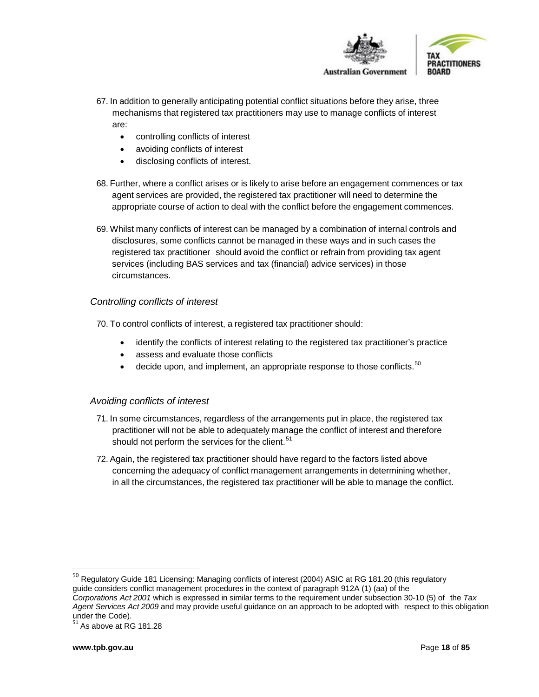

- 67. In addition to generally anticipating potential conflict situations before they arise, three mechanisms that registered tax practitioners may use to manage conflicts of interest are:
	- controlling conflicts of interest
	- avoiding conflicts of interest
	- disclosing conflicts of interest.
- 68. Further, where a conflict arises or is likely to arise before an engagement commences or tax agent services are provided, the registered tax practitioner will need to determine the appropriate course of action to deal with the conflict before the engagement commences.
- 69. Whilst many conflicts of interest can be managed by a combination of internal controls and disclosures, some conflicts cannot be managed in these ways and in such cases the registered tax practitioner should avoid the conflict or refrain from providing tax agent services (including BAS services and tax (financial) advice services) in those circumstances.

## *Controlling conflicts of interest*

70. To control conflicts of interest, a registered tax practitioner should:

- identify the conflicts of interest relating to the registered tax practitioner's practice
- assess and evaluate those conflicts
- $\bullet$  decide upon, and implement, an appropriate response to those conflicts.<sup>[50](#page-17-0)</sup>

#### *Avoiding conflicts of interest*

- 71. In some circumstances, regardless of the arrangements put in place, the registered tax practitioner will not be able to adequately manage the conflict of interest and therefore should not perform the services for the client.<sup>[51](#page-17-1)</sup>
- 72. Again, the registered tax practitioner should have regard to the factors listed above concerning the adequacy of conflict management arrangements in determining whether, in all the circumstances, the registered tax practitioner will be able to manage the conflict.

<span id="page-17-0"></span><sup>&</sup>lt;sup>50</sup> Regulatory Guide 181 Licensing: Managing conflicts of interest (2004) ASIC at RG 181.20 (this regulatory guide considers conflict management procedures in the context of paragraph 912A (1) (aa) of the *Corporations Act 2001* which is expressed in similar terms to the requirement under subsection 30-10 (5) of the *Tax*

*Agent Services Act 2009* and may provide useful guidance on an approach to be adopted with respect to this obligation under the Code).<br><sup>51</sup> As above at RG 181.28

<span id="page-17-1"></span>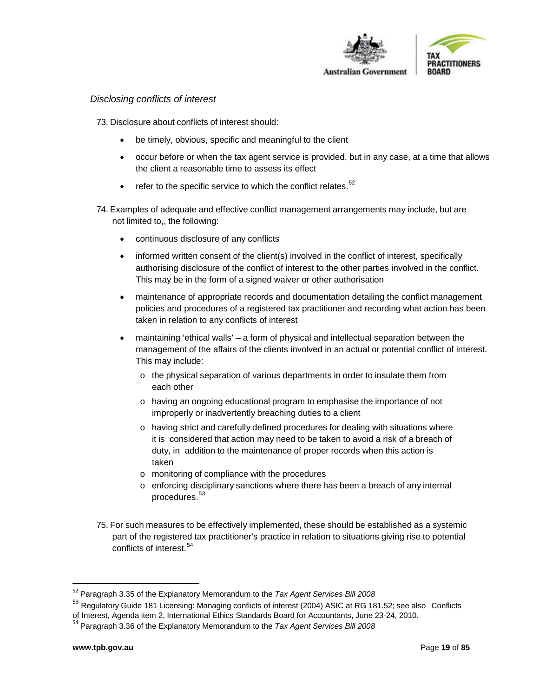

#### *Disclosing conflicts of interest*

73. Disclosure about conflicts of interest should:

- be timely, obvious, specific and meaningful to the client
- occur before or when the tax agent service is provided, but in any case, at a time that allows the client a reasonable time to assess its effect
- $\bullet$  refer to the specific service to which the conflict relates.<sup>[52](#page-18-0)</sup>
- 74. Examples of adequate and effective conflict management arrangements may include, but are not limited to,, the following:
	- continuous disclosure of any conflicts
	- informed written consent of the client(s) involved in the conflict of interest, specifically authorising disclosure of the conflict of interest to the other parties involved in the conflict. This may be in the form of a signed waiver or other authorisation
	- maintenance of appropriate records and documentation detailing the conflict management policies and procedures of a registered tax practitioner and recording what action has been taken in relation to any conflicts of interest
	- maintaining 'ethical walls' a form of physical and intellectual separation between the management of the affairs of the clients involved in an actual or potential conflict of interest. This may include:
		- $\circ$  the physical separation of various departments in order to insulate them from each other
		- o having an ongoing educational program to emphasise the importance of not improperly or inadvertently breaching duties to a client
		- $\circ$  having strict and carefully defined procedures for dealing with situations where it is considered that action may need to be taken to avoid a risk of a breach of duty, in addition to the maintenance of proper records when this action is taken
		- o monitoring of compliance with the procedures
		- o enforcing disciplinary sanctions where there has been a breach of any internal procedures.<sup>[53](#page-18-1)</sup>
- 75. For such measures to be effectively implemented, these should be established as a systemic part of the registered tax practitioner's practice in relation to situations giving rise to potential conflicts of interest.<sup>[54](#page-18-2)</sup>

<span id="page-18-0"></span> <sup>52</sup> Paragraph 3.35 of the Explanatory Memorandum to the *Tax Agent Services Bill <sup>2008</sup>*

<span id="page-18-1"></span><sup>&</sup>lt;sup>53</sup> Regulatory Guide 181 Licensing: Managing conflicts of interest (2004) ASIC at RG 181.52; see also Conflicts of Interest, Agenda item 2, International Ethics Standards Board for Accountants, June 23-24, 2010. <sup>54</sup> Paragraph 3.36 of the Explanatory Memorandum to the *Tax Agent Services Bill <sup>2008</sup>*

<span id="page-18-2"></span>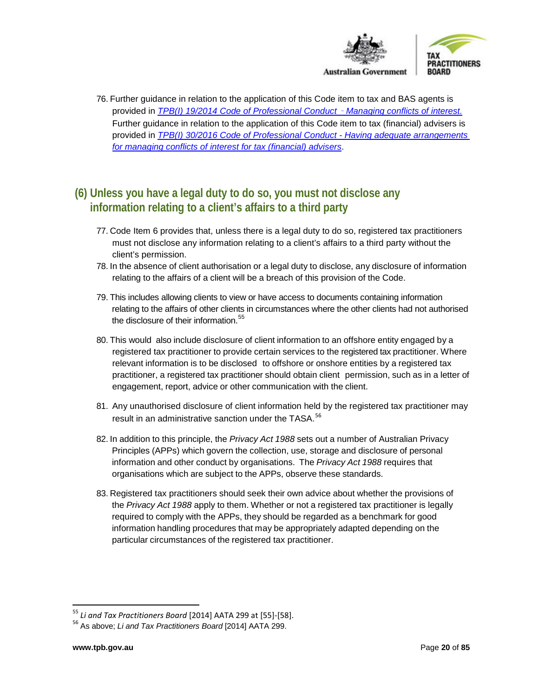

76. Further guidance in relation to the application of this Code item to tax and BAS agents is provided in *[TPB\(I\) 19/2014 Code of Professional Conduct](https://www.tpb.gov.au/code-professional-conduct-managing-conflicts-interest-tpb-information-sheet-tpbi-192014)* – *Managing conflicts of interest.* Further guidance in relation to the application of this Code item to tax (financial) advisers is provided in *[TPB\(I\) 30/2016 Code of Professional Conduct -](https://www.tpb.gov.au/tpbi-302016-managing-conflicts-of-interest-tax-financial-advisers) Having adequate arrangements [for managing conflicts of interest for tax \(financial\) advisers](https://www.tpb.gov.au/tpbi-302016-managing-conflicts-of-interest-tax-financial-advisers)*.

# <span id="page-19-0"></span>**(6) Unless you have a legal duty to do so, you must not disclose any information relating to a client's affairs to a third party**

- 77. Code Item 6 provides that, unless there is a legal duty to do so, registered tax practitioners must not disclose any information relating to a client's affairs to a third party without the client's permission.
- 78. In the absence of client authorisation or a legal duty to disclose, any disclosure of information relating to the affairs of a client will be a breach of this provision of the Code.
- 79. This includes allowing clients to view or have access to documents containing information relating to the affairs of other clients in circumstances where the other clients had not authorised the disclosure of their information.<sup>[55](#page-19-1)</sup>
- 80. This would also include disclosure of client information to an offshore entity engaged by a registered tax practitioner to provide certain services to the registered tax practitioner. Where relevant information is to be disclosed to offshore or onshore entities by a registered tax practitioner, a registered tax practitioner should obtain client permission, such as in a letter of engagement, report, advice or other communication with the client.
- 81. Any unauthorised disclosure of client information held by the registered tax practitioner may result in an administrative sanction under the TASA.<sup>[56](#page-19-2)</sup>
- 82. In addition to this principle, the *Privacy Act 1988* sets out a number of Australian Privacy Principles (APPs) which govern the collection, use, storage and disclosure of personal information and other conduct by organisations. The *Privacy Act 1988* requires that organisations which are subject to the APPs, observe these standards.
- 83. Registered tax practitioners should seek their own advice about whether the provisions of the *Privacy Act 1988* apply to them. Whether or not a registered tax practitioner is legally required to comply with the APPs, they should be regarded as a benchmark for good information handling procedures that may be appropriately adapted depending on the particular circumstances of the registered tax practitioner.

<span id="page-19-2"></span><span id="page-19-1"></span><sup>&</sup>lt;sup>55</sup> *Li and Tax Practitioners Board* [2014] AATA 299 at [55]-[58].<br><sup>56</sup> As above; *Li and Tax Practitioners Board* [2014] AATA 299.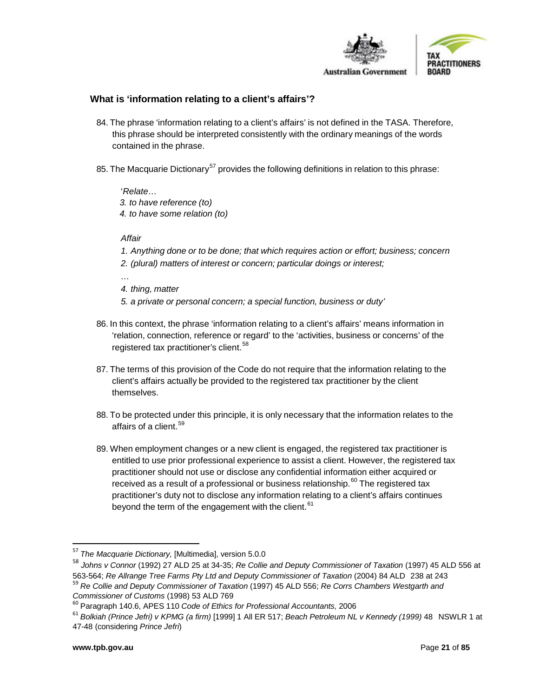

## **What is 'information relating to a client's affairs'?**

- 84. The phrase 'information relating to a client's affairs' is not defined in the TASA. Therefore, this phrase should be interpreted consistently with the ordinary meanings of the words contained in the phrase.
- 85. The Macquarie Dictionary<sup>[57](#page-20-0)</sup> provides the following definitions in relation to this phrase:

'*Relate… 3. to have reference (to) 4. to have some relation (to)*

#### *Affair*

- *1. Anything done or to be done; that which requires action or effort; business; concern*
- *2. (plural) matters of interest or concern; particular doings or interest;*

*…*

- *4. thing, matter*
- *5. a private or personal concern; a special function, business or duty'*
- 86. In this context, the phrase 'information relating to a client's affairs' means information in 'relation, connection, reference or regard' to the 'activities, business or concerns' of the registered tax practitioner's client.<sup>[58](#page-20-1)</sup>
- 87. The terms of this provision of the Code do not require that the information relating to the client's affairs actually be provided to the registered tax practitioner by the client themselves.
- 88. To be protected under this principle, it is only necessary that the information relates to the affairs of a client.<sup>[59](#page-20-2)</sup>
- 89. When employment changes or a new client is engaged, the registered tax practitioner is entitled to use prior professional experience to assist a client. However, the registered tax practitioner should not use or disclose any confidential information either acquired or received as a result of a professional or business relationship.<sup>[60](#page-20-3)</sup> The registered tax practitioner's duty not to disclose any information relating to a client's affairs continues beyond the term of the engagement with the client.<sup>[61](#page-20-4)</sup>

<span id="page-20-1"></span><sup>58</sup> *Johns v Connor* (1992) 27 ALD 25 at 34-35; *Re Collie and Deputy Commissioner of Taxation* (1997) 45 ALD 556 at

<span id="page-20-0"></span> <sup>57</sup> *The Macquarie Dictionary,* [Multimedia], version 5.0.0

<span id="page-20-2"></span><sup>563-564;</sup> Re Allrange Tree Farms Pty Ltd and Deputy Commissioner of Taxation (2004) 84 ALD 238 at 243<br><sup>59</sup> Re Collie and Deputy Commissioner of Taxation (1997) 45 ALD 556; Re Corrs Chambers Westgarth and<br>Commissioner of Cus

<span id="page-20-3"></span>*Commissioner of Customs* (1998) <sup>53</sup> ALD <sup>769</sup> <sup>60</sup> Paragraph 140.6, APES <sup>110</sup> *Code of Ethics for Professional Accountants,* <sup>2006</sup>

<span id="page-20-4"></span><sup>61</sup> *Bolkiah (Prince Jefri) v KPMG (a firm)* [1999] 1 All ER 517; *Beach Petroleum NL v Kennedy (1999)* 48 NSWLR 1 at 47-48 (considering *Prince Jefri*)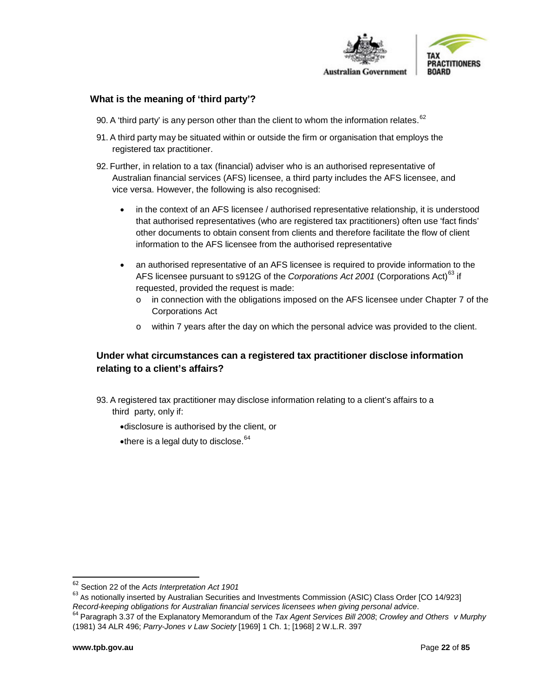

#### **What is the meaning of 'third party'?**

- 90. A 'third party' is any person other than the client to whom the information relates.  $62$
- 91. A third party may be situated within or outside the firm or organisation that employs the registered tax practitioner.
- 92. Further, in relation to a tax (financial) adviser who is an authorised representative of Australian financial services (AFS) licensee, a third party includes the AFS licensee, and vice versa. However, the following is also recognised:
	- in the context of an AFS licensee / authorised representative relationship, it is understood that authorised representatives (who are registered tax practitioners) often use 'fact finds' other documents to obtain consent from clients and therefore facilitate the flow of client information to the AFS licensee from the authorised representative
	- an authorised representative of an AFS licensee is required to provide information to the AFS licensee pursuant to s912G of the *Corporations Act 2001* (Corporations Act)<sup>[63](#page-21-1)</sup> if requested, provided the request is made:
		- o in connection with the obligations imposed on the AFS licensee under Chapter 7 of the Corporations Act
		- o within 7 years after the day on which the personal advice was provided to the client.

# **Under what circumstances can a registered tax practitioner disclose information relating to a client's affairs?**

- 93. A registered tax practitioner may disclose information relating to a client's affairs to a third party, only if:
	- •disclosure is authorised by the client, or
	- •there is a legal duty to disclose.<sup>[64](#page-21-2)</sup>

<span id="page-21-1"></span><span id="page-21-0"></span><sup>&</sup>lt;sup>62</sup> Section 22 of the *Acts Interpretation Act 1901*<br><sup>63</sup> As notionally inserted by Australian Securities and Investments Commission (ASIC) Class Order [CO 14/923]

<span id="page-21-2"></span>Record-keeping obligations for Australian financial services licensees when giving personal advice.<br><sup>64</sup> Paragraph 3.37 of the Explanatory Memorandum of the *Tax Agent Services Bill 2008*; Crowley and Others v Murphy (1981) 34 ALR 496; *Parry-Jones v Law Society* [1969] 1 Ch. 1; [1968] 2 W.L.R. 397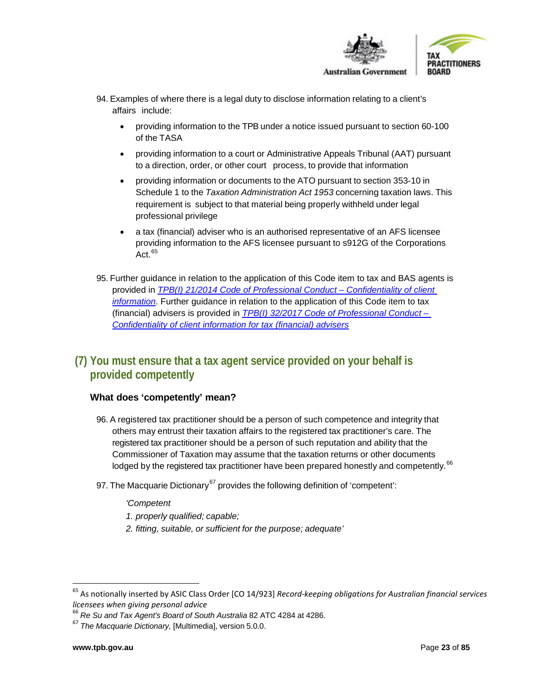

- 94. Examples of where there is a legal duty to disclose information relating to a client's affairs include:
	- providing information to the TPB under a notice issued pursuant to section 60-100 of the TASA
	- providing information to a court or Administrative Appeals Tribunal (AAT) pursuant to a direction, order, or other court process, to provide that information
	- providing information or documents to the ATO pursuant to section 353-10 in Schedule 1 to the *Taxation Administration Act 1953* concerning taxation laws. This requirement is subject to that material being properly withheld under legal professional privilege
	- a tax (financial) adviser who is an authorised representative of an AFS licensee providing information to the AFS licensee pursuant to s912G of the Corporations Act. [65](#page-22-2)
- 95. Further guidance in relation to the application of this Code item to tax and BAS agents is provided in *[TPB\(I\) 21/2014 Code of Professional Conduct –](https://www.tpb.gov.au/confidentiality-client-information-information-sheet-tpbi-212014) Confidentiality of client [information](https://www.tpb.gov.au/confidentiality-client-information-information-sheet-tpbi-212014)*. Further guidance in relation to the application of this Code item to tax (financial) advisers is provided in *[TPB\(I\) 32/2017 Code of Professional Conduct –](https://www.tpb.gov.au/tpbi-322017-code-professional-conduct-confidentiality-client-information-tax-financial-advisers) [Confidentiality of client information for tax \(financial\) advisers](https://www.tpb.gov.au/tpbi-322017-code-professional-conduct-confidentiality-client-information-tax-financial-advisers)*

# <span id="page-22-0"></span>**(7) You must ensure that a tax agent service provided on your behalf is provided competently**

# <span id="page-22-1"></span>**What does 'competently' mean?**

- 96. A registered tax practitioner should be a person of such competence and integrity that others may entrust their taxation affairs to the registered tax practitioner's care. The registered tax practitioner should be a person of such reputation and ability that the Commissioner of Taxation may assume that the taxation returns or other documents lodged by the registered tax practitioner have been prepared honestly and competently.<sup>[66](#page-22-3)</sup>
- 97. The Macquarie Dictionary<sup>[67](#page-22-4)</sup> provides the following definition of 'competent':

#### *'Competent*

- *1. properly qualified; capable;*
- *2. fitting, suitable, or sufficient for the purpose; adequate'*

<span id="page-22-2"></span> <sup>65</sup> As notionally inserted by ASIC Class Order [CO 14/923] *Record-keeping obligations for Australian financial services licensees when giving personal advice*

<span id="page-22-3"></span><sup>66</sup> *Re Su and Tax Agent's Board of South Australia* 82 ATC 4284 at 4286.

<span id="page-22-4"></span><sup>67</sup> *The Macquarie Dictionary,* [Multimedia], version 5.0.0.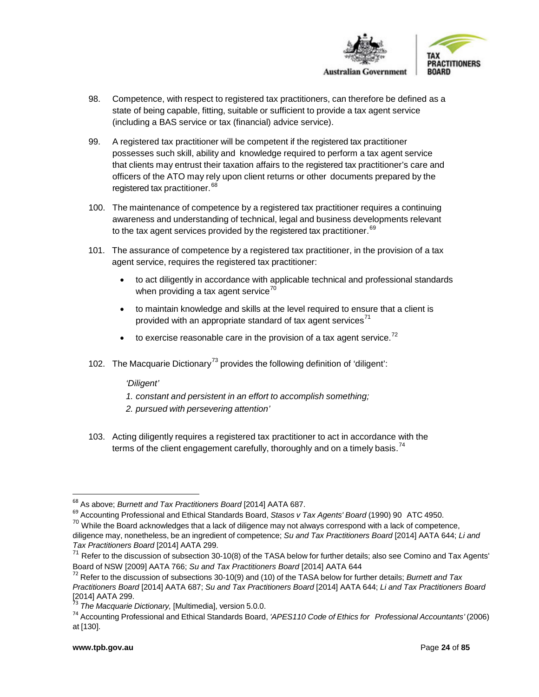

- 98. Competence, with respect to registered tax practitioners, can therefore be defined as a state of being capable, fitting, suitable or sufficient to provide a tax agent service (including a BAS service or tax (financial) advice service).
- 99. A registered tax practitioner will be competent if the registered tax practitioner possesses such skill, ability and knowledge required to perform a tax agent service that clients may entrust their taxation affairs to the registered tax practitioner's care and officers of the ATO may rely upon client returns or other documents prepared by the registered tax practitioner.<sup>[68](#page-23-0)</sup>
- 100. The maintenance of competence by a registered tax practitioner requires a continuing awareness and understanding of technical, legal and business developments relevant to the tax agent services provided by the registered tax practitioner.  $^{69}$  $^{69}$  $^{69}$
- 101. The assurance of competence by a registered tax practitioner, in the provision of a tax agent service, requires the registered tax practitioner:
	- to act diligently in accordance with applicable technical and professional standards when providing a tax agent service $70$
	- to maintain knowledge and skills at the level required to ensure that a client is provided with an appropriate standard of tax agent services $<sup>71</sup>$  $<sup>71</sup>$  $<sup>71</sup>$ </sup>
	- $\bullet$  to exercise reasonable care in the provision of a tax agent service.<sup>[72](#page-23-4)</sup>
- 102. The Macquarie Dictionary<sup>[73](#page-23-5)</sup> provides the following definition of 'diligent':

*'Diligent'*

- *1. constant and persistent in an effort to accomplish something;*
- *2. pursued with persevering attention'*
- 103. Acting diligently requires a registered tax practitioner to act in accordance with the terms of the client engagement carefully, thoroughly and on a timely basis.<sup>[74](#page-23-6)</sup>

<span id="page-23-0"></span><sup>&</sup>lt;sup>68</sup> As above; *Burnett and Tax Practitioners Board* [2014] AATA 687.<br><sup>69</sup> Accounting Professional and Ethical Standards Board, *Stasos v Tax Agents' Board* (1990) 90 ATC 4950.

<span id="page-23-2"></span><span id="page-23-1"></span><sup>&</sup>lt;sup>70</sup> While the Board acknowledges that a lack of diligence may not always correspond with a lack of competence,

diligence may, nonetheless, be an ingredient of competence; *Su and Tax Practitioners Board* [2014] AATA 644; *Li and Tax Practitioners Board* [2014] AATA 299.

<span id="page-23-3"></span> $71$  Refer to the discussion of subsection 30-10(8) of the TASA below for further details; also see Comino and Tax Agents' Board of NSW [2009] AATA 766; *Su and Tax Practitioners Board* [2014] AATA 644<br><sup>72</sup> Refer to the discussion of subsections 30-10(9) and (10) of the TASA below for further details; *Burnett and Tax* 

<span id="page-23-4"></span>*Practitioners Board* [2014] AATA 687; *Su and Tax Practitioners Board* [2014] AATA 644; *Li and Tax Practitioners Board*

<sup>[2014]</sup> AATA 299. <sup>73</sup> *The Macquarie Dictionary,* [Multimedia], version 5.0.0.

<span id="page-23-6"></span><span id="page-23-5"></span><sup>74</sup> Accounting Professional and Ethical Standards Board, *'APES110 Code of Ethics for Professional Accountants'* (2006) at [130].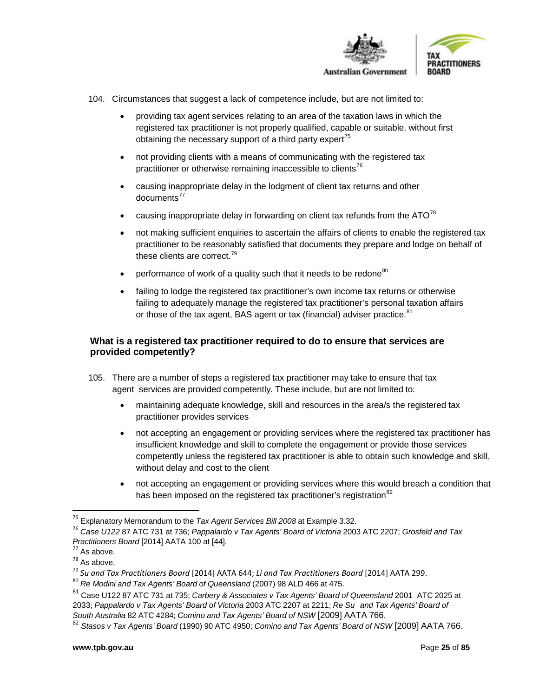

- 104. Circumstances that suggest a lack of competence include, but are not limited to:
	- providing tax agent services relating to an area of the taxation laws in which the registered tax practitioner is not properly qualified, capable or suitable, without first obtaining the necessary support of a third party expert<sup>[75](#page-24-0)</sup>
	- not providing clients with a means of communicating with the registered tax practitioner or otherwise remaining inaccessible to clients<sup>[76](#page-24-1)</sup>
	- causing inappropriate delay in the lodgment of client tax returns and other  $documents<sup>77</sup>$  $documents<sup>77</sup>$  $documents<sup>77</sup>$
	- causing inappropriate delay in forwarding on client tax refunds from the  $ATO^{78}$  $ATO^{78}$  $ATO^{78}$
	- not making sufficient enquiries to ascertain the affairs of clients to enable the registered tax practitioner to be reasonably satisfied that documents they prepare and lodge on behalf of these clients are correct.<sup>[79](#page-24-4)</sup>
	- performance of work of a quality such that it needs to be redone<sup>[80](#page-24-5)</sup>
	- failing to lodge the registered tax practitioner's own income tax returns or otherwise failing to adequately manage the registered tax practitioner's personal taxation affairs or those of the tax agent, BAS agent or tax (financial) adviser practice.<sup>[81](#page-24-6)</sup>

## **What is a registered tax practitioner required to do to ensure that services are provided competently?**

- 105. There are a number of steps a registered tax practitioner may take to ensure that tax agent services are provided competently. These include, but are not limited to:
	- maintaining adequate knowledge, skill and resources in the area/s the registered tax practitioner provides services
	- not accepting an engagement or providing services where the registered tax practitioner has insufficient knowledge and skill to complete the engagement or provide those services competently unless the registered tax practitioner is able to obtain such knowledge and skill, without delay and cost to the client
	- not accepting an engagement or providing services where this would breach a condition that has been imposed on the registered tax practitioner's registration<sup>[82](#page-24-7)</sup>

<span id="page-24-0"></span> <sup>75</sup> Explanatory Memorandum to the *Tax Agent Services Bill <sup>2008</sup>* at Example 3.32.

<span id="page-24-1"></span><sup>76</sup> *Case U122* 87 ATC 731 at 736; *Pappalardo v Tax Agents' Board of Victoria* 2003 ATC 2207; *Grosfeld and Tax Practitioners Board* [2014] AATA 100 at [44].<br><sup>77</sup> As above.<br><sup>78</sup> As above.

<span id="page-24-2"></span>

<span id="page-24-4"></span><span id="page-24-3"></span><sup>&</sup>lt;sup>79</sup> Su and Tax Practitioners Board [2014] AATA 644; Li and Tax Practitioners Board [2014] AATA 299.<br><sup>80</sup> Re Modini and Tax Agents' Board of Queensland (2007) 98 ALD 466 at 475.

<span id="page-24-5"></span>

<span id="page-24-6"></span><sup>81</sup> Case U122 87 ATC 731 at 735; *Carbery & Associates v Tax Agents' Board of Queensland* 2001 ATC 2025 at 2033; *Pappalardo v Tax Agents' Board of Victoria* 2003 ATC 2207 at 2211; *Re Su and Tax Agents' Board of South Australia* 82 ATC 4284; *Comino and Tax Agents' Board of NSW* [2009] AATA 766.

<span id="page-24-7"></span><sup>82</sup> *Stasos v Tax Agents' Board* (1990) 90 ATC 4950; *Comino and Tax Agents' Board of NSW* [2009] AATA 766.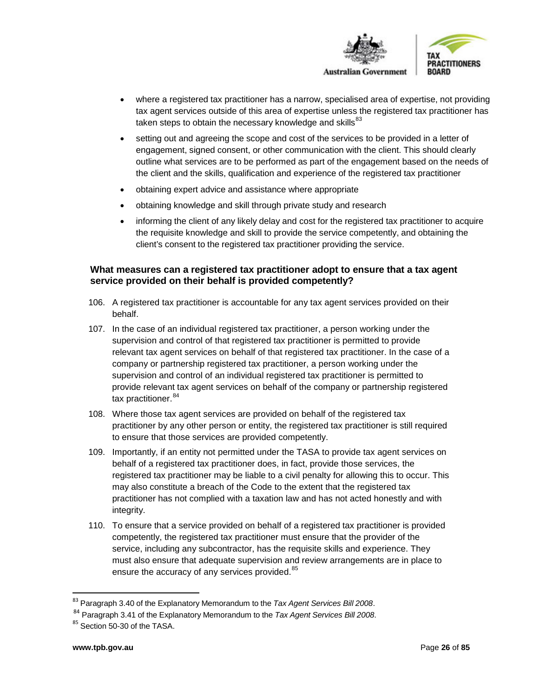

- where a registered tax practitioner has a narrow, specialised area of expertise, not providing tax agent services outside of this area of expertise unless the registered tax practitioner has taken steps to obtain the necessary knowledge and skills $^{83}$  $^{83}$  $^{83}$
- setting out and agreeing the scope and cost of the services to be provided in a letter of engagement, signed consent, or other communication with the client. This should clearly outline what services are to be performed as part of the engagement based on the needs of the client and the skills, qualification and experience of the registered tax practitioner
- obtaining expert advice and assistance where appropriate
- obtaining knowledge and skill through private study and research
- informing the client of any likely delay and cost for the registered tax practitioner to acquire the requisite knowledge and skill to provide the service competently, and obtaining the client's consent to the registered tax practitioner providing the service.

## **What measures can a registered tax practitioner adopt to ensure that a tax agent service provided on their behalf is provided competently?**

- 106. A registered tax practitioner is accountable for any tax agent services provided on their behalf.
- 107. In the case of an individual registered tax practitioner, a person working under the supervision and control of that registered tax practitioner is permitted to provide relevant tax agent services on behalf of that registered tax practitioner. In the case of a company or partnership registered tax practitioner, a person working under the supervision and control of an individual registered tax practitioner is permitted to provide relevant tax agent services on behalf of the company or partnership registered tax practitioner. [84](#page-25-1)
- 108. Where those tax agent services are provided on behalf of the registered tax practitioner by any other person or entity, the registered tax practitioner is still required to ensure that those services are provided competently.
- 109. Importantly, if an entity not permitted under the TASA to provide tax agent services on behalf of a registered tax practitioner does, in fact, provide those services, the registered tax practitioner may be liable to a civil penalty for allowing this to occur. This may also constitute a breach of the Code to the extent that the registered tax practitioner has not complied with a taxation law and has not acted honestly and with integrity.
- 110. To ensure that a service provided on behalf of a registered tax practitioner is provided competently, the registered tax practitioner must ensure that the provider of the service, including any subcontractor, has the requisite skills and experience. They must also ensure that adequate supervision and review arrangements are in place to ensure the accuracy of any services provided. <sup>[85](#page-25-2)</sup>

<span id="page-25-0"></span> <sup>83</sup> Paragraph 3.40 of the Explanatory Memorandum to the *Tax Agent Services Bill <sup>2008</sup>*.

<span id="page-25-1"></span><sup>84</sup> Paragraph 3.41 of the Explanatory Memorandum to the *Tax Agent Services Bill 2008*.

<span id="page-25-2"></span><sup>&</sup>lt;sup>85</sup> Section 50-30 of the TASA.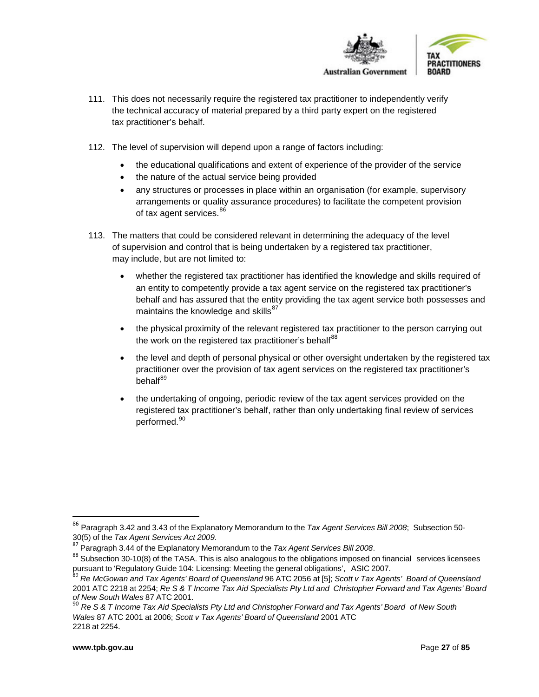

- 111. This does not necessarily require the registered tax practitioner to independently verify the technical accuracy of material prepared by a third party expert on the registered tax practitioner's behalf.
- 112. The level of supervision will depend upon a range of factors including:
	- the educational qualifications and extent of experience of the provider of the service
	- the nature of the actual service being provided
	- any structures or processes in place within an organisation (for example, supervisory arrangements or quality assurance procedures) to facilitate the competent provision of tax agent services.<sup>[86](#page-26-1)</sup>
- 113. The matters that could be considered relevant in determining the adequacy of the level of supervision and control that is being undertaken by a registered tax practitioner, may include, but are not limited to:
	- whether the registered tax practitioner has identified the knowledge and skills required of an entity to competently provide a tax agent service on the registered tax practitioner's behalf and has assured that the entity providing the tax agent service both possesses and maintains the knowledge and skills $^{87}$  $^{87}$  $^{87}$
	- the physical proximity of the relevant registered tax practitioner to the person carrying out the work on the registered tax practitioner's behalf $^{88}$  $^{88}$  $^{88}$
	- the level and depth of personal physical or other oversight undertaken by the registered tax practitioner over the provision of tax agent services on the registered tax practitioner's behalf<sup>[89](#page-26-4)</sup>
	- the undertaking of ongoing, periodic review of the tax agent services provided on the registered tax practitioner's behalf, rather than only undertaking final review of services performed.<sup>[90](#page-26-5)</sup>

<span id="page-26-1"></span><span id="page-26-0"></span> <sup>86</sup> Paragraph 3.42 and 3.43 of the Explanatory Memorandum to the *Tax Agent Services Bill <sup>2008</sup>*; Subsection 50-

<span id="page-26-3"></span><span id="page-26-2"></span> $87$  Paragraph 3.44 of the Explanatory Memorandum to the *Tax Agent Services Bill 2008*.<br><sup>88</sup> Subsection 30-10(8) of the TASA. This is also analogous to the obligations imposed on financial services licensees pursuant to 'Regulatory Guide 104: Licensing: Meeting the general obligations', ASIC 2007.<br><sup>89</sup> Re McGowan and Tax Agents' Board of Queensland 96 ATC 2056 at [5]; Scott v Tax Agents' Board of Queensland

<span id="page-26-4"></span><sup>2001</sup> ATC 2218 at 2254; Re S & T Income Tax Aid Specialists Pty Ltd and Christopher Forward and Tax Agents' Board *of New South Wales* 87 ATC 2001.

<span id="page-26-5"></span><sup>&</sup>lt;sup>90</sup> Re S & T Income Tax Aid Specialists Pty Ltd and Christopher Forward and Tax Agents' Board of New South *Wales* 87 ATC 2001 at 2006; *Scott v Tax Agents' Board of Queensland* 2001 ATC 2218 at 2254.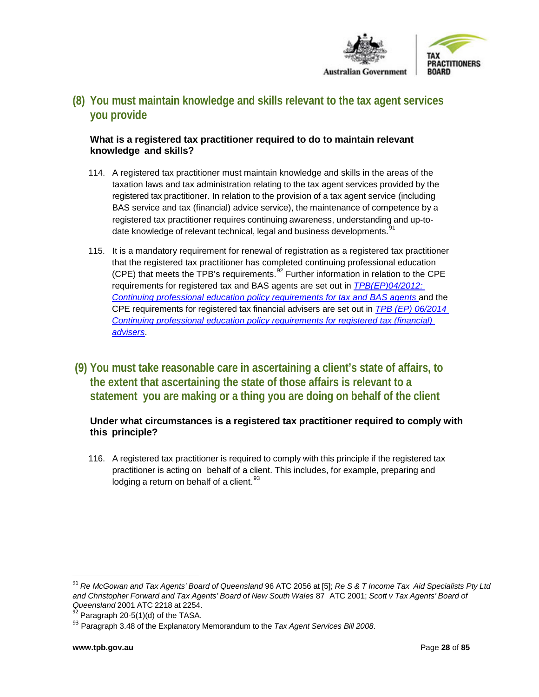

# **(8) You must maintain knowledge and skills relevant to the tax agent services you provide**

# <span id="page-27-0"></span>**What is a registered tax practitioner required to do to maintain relevant knowledge and skills?**

- 114. A registered tax practitioner must maintain knowledge and skills in the areas of the taxation laws and tax administration relating to the tax agent services provided by the registered tax practitioner. In relation to the provision of a tax agent service (including BAS service and tax (financial) advice service), the maintenance of competence by a registered tax practitioner requires continuing awareness, understanding and up-to-date knowledge of relevant technical, legal and business developments.<sup>[91](#page-27-2)</sup>
- 115. It is a mandatory requirement for renewal of registration as a registered tax practitioner that the registered tax practitioner has completed continuing professional education (CPE) that meets the TPB's requirements. $92$  Further information in relation to the CPE requirements for registered tax and BAS agents are set out in *[TPB\(EP\)04/2012:](https://www.tpb.gov.au/explanatory-paper-tpb-042012-continuing-professional-education-policy-requirements-registered-tax)  Continuing professional education [policy requirements for tax and BAS agents](https://www.tpb.gov.au/explanatory-paper-tpb-042012-continuing-professional-education-policy-requirements-registered-tax)* and the CPE requirements for registered tax financial advisers are set out in *[TPB \(EP\) 06/2014](https://www.tpb.gov.au/explanatory-paper-tpb-ep-062014-continuing-professional-education-policy-requirements-registered-tax)  [Continuing professional education policy requirements for registered tax \(financial\)](https://www.tpb.gov.au/explanatory-paper-tpb-ep-062014-continuing-professional-education-policy-requirements-registered-tax)  [advisers](https://www.tpb.gov.au/explanatory-paper-tpb-ep-062014-continuing-professional-education-policy-requirements-registered-tax)*.
- <span id="page-27-1"></span>**(9) You must take reasonable care in ascertaining a client's state of affairs, to the extent that ascertaining the state of those affairs is relevant to a statement you are making or a thing you are doing on behalf of the client**

# **Under what circumstances is a registered tax practitioner required to comply with this principle?**

116. A registered tax practitioner is required to comply with this principle if the registered tax practitioner is acting on behalf of a client. This includes, for example, preparing and lodging a return on behalf of a client.  $93$ 

<span id="page-27-2"></span><sup>&</sup>lt;sup>91</sup> Re McGowan and Tax Agents' Board of Queensland 96 ATC 2056 at [5]; Re S & T Income Tax Aid Specialists Pty Ltd and Christopher Forward and Tax Agents' Board of New South Wales 87 ATC 2001; Scott v Tax Agents' Board of Queensland 2001 ATC 2218 at 2254.

<span id="page-27-3"></span><sup>&</sup>lt;sup>92</sup> Paragraph 20-5(1)(d) of the TASA.

<span id="page-27-4"></span><sup>93</sup> Paragraph 3.48 of the Explanatory Memorandum to the *Tax Agent Services Bill 2008*.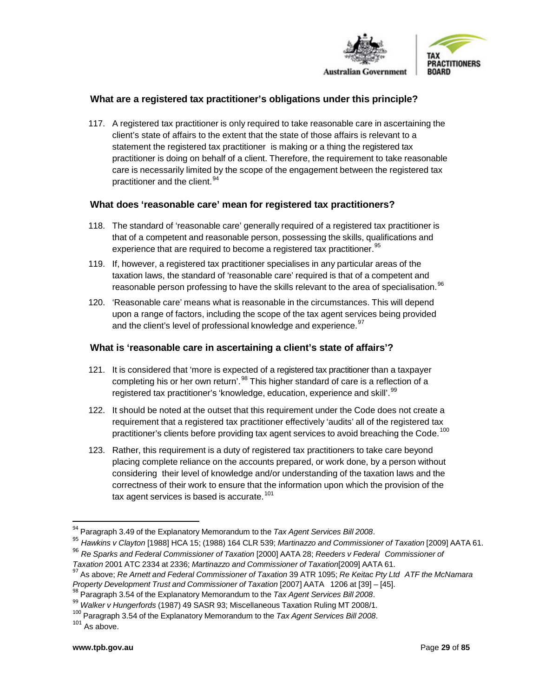

## **What are a registered tax practitioner's obligations under this principle?**

117. A registered tax practitioner is only required to take reasonable care in ascertaining the client's state of affairs to the extent that the state of those affairs is relevant to a statement the registered tax practitioner is making or a thing the registered tax practitioner is doing on behalf of a client. Therefore, the requirement to take reasonable care is necessarily limited by the scope of the engagement between the registered tax practitioner and the client.<sup>[94](#page-28-0)</sup>

#### **What does 'reasonable care' mean for registered tax practitioners?**

- 118. The standard of 'reasonable care' generally required of a registered tax practitioner is that of a competent and reasonable person, possessing the skills, qualifications and experience that are required to become a registered tax practitioner.<sup>[95](#page-28-1)</sup>
- 119. If, however, a registered tax practitioner specialises in any particular areas of the taxation laws, the standard of 'reasonable care' required is that of a competent and reasonable person professing to have the skills relevant to the area of specialisation.<sup>[96](#page-28-2)</sup>
- 120. 'Reasonable care' means what is reasonable in the circumstances. This will depend upon a range of factors, including the scope of the tax agent services being provided and the client's level of professional knowledge and experience.  $97$

#### **What is 'reasonable care in ascertaining a client's state of affairs'?**

- 121. It is considered that 'more is expected of a registered tax practitioner than a taxpayer completing his or her own return'.<sup>[98](#page-28-4)</sup> This higher standard of care is a reflection of a registered tax practitioner's 'knowledge, education, experience and skill'.<sup>[99](#page-28-5)</sup>
- 122. It should be noted at the outset that this requirement under the Code does not create a requirement that a registered tax practitioner effectively 'audits' all of the registered tax practitioner's clients before providing tax agent services to avoid breaching the Code.<sup>[100](#page-28-6)</sup>
- 123. Rather, this requirement is a duty of registered tax practitioners to take care beyond placing complete reliance on the accounts prepared, or work done, by a person without considering their level of knowledge and/or understanding of the taxation laws and the correctness of their work to ensure that the information upon which the provision of the tax agent services is based is accurate.<sup>[101](#page-28-7)</sup>

<span id="page-28-1"></span><span id="page-28-0"></span><sup>&</sup>lt;sup>94</sup> Paragraph 3.49 of the Explanatory Memorandum to the *Tax Agent Services Bill 2008*.<br><sup>95</sup> Hawkins v Clayton [1988] HCA 15; (1988) 164 CLR 539; Martinazzo and Commissioner of Taxation [2009] AATA 61. <sup>96</sup> *Re Sparks and Federal Commissioner of Taxation* [2000] AATA 28; *Reeders v Federal Commissioner of*

<span id="page-28-2"></span>

<span id="page-28-3"></span><sup>&</sup>lt;sup>97</sup> As above; Re Arnett and Federal Commissioner of Taxation 39 ATR 1095; Re Keitac Pty Ltd ATF the McNamara<br>Property Development Trust and Commissioner of Taxation [2007] AATA 1206 at [39] – [45].

<span id="page-28-4"></span><sup>&</sup>lt;sup>98</sup> Paragraph 3.54 of the Explanatory Memorandum to the Tax Agent Services Bill 2008.

<span id="page-28-5"></span><sup>99</sup> *Walker v Hungerfords* (1987) 49 SASR 93; Miscellaneous Taxation Ruling MT 2008/1.

<span id="page-28-6"></span><sup>100</sup> Paragraph 3.54 of the Explanatory Memorandum to the *Tax Agent Services Bill <sup>2008</sup>*. <sup>101</sup> As above.

<span id="page-28-7"></span>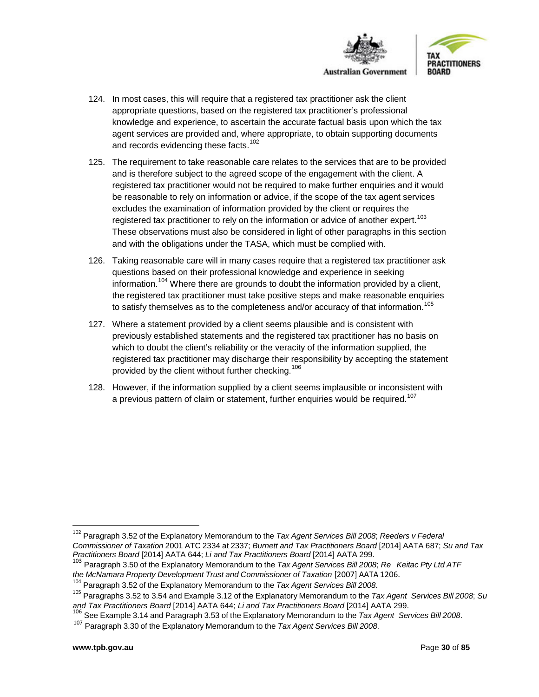



- 124. In most cases, this will require that a registered tax practitioner ask the client appropriate questions, based on the registered tax practitioner's professional knowledge and experience, to ascertain the accurate factual basis upon which the tax agent services are provided and, where appropriate, to obtain supporting documents and records evidencing these facts.<sup>[102](#page-29-0)</sup>
- 125. The requirement to take reasonable care relates to the services that are to be provided and is therefore subject to the agreed scope of the engagement with the client. A registered tax practitioner would not be required to make further enquiries and it would be reasonable to rely on information or advice, if the scope of the tax agent services excludes the examination of information provided by the client or requires the registered tax practitioner to rely on the information or advice of another expert.<sup>[103](#page-29-1)</sup> These observations must also be considered in light of other paragraphs in this section and with the obligations under the TASA, which must be complied with.
- 126. Taking reasonable care will in many cases require that a registered tax practitioner ask questions based on their professional knowledge and experience in seeking information.<sup>[104](#page-29-2)</sup> Where there are grounds to doubt the information provided by a client, the registered tax practitioner must take positive steps and make reasonable enquiries to satisfy themselves as to the completeness and/or accuracy of that information.<sup>[105](#page-29-3)</sup>
- 127. Where a statement provided by a client seems plausible and is consistent with previously established statements and the registered tax practitioner has no basis on which to doubt the client's reliability or the veracity of the information supplied, the registered tax practitioner may discharge their responsibility by accepting the statement provided by the client without further checking.<sup>[106](#page-29-4)</sup>
- 128. However, if the information supplied by a client seems implausible or inconsistent with a previous pattern of claim or statement, further enquiries would be required.<sup>[107](#page-29-5)</sup>

<span id="page-29-0"></span> <sup>102</sup> Paragraph 3.52 of the Explanatory Memorandum to the *Tax Agent Services Bill <sup>2008</sup>*; *Reeders <sup>v</sup> Federal Commissioner of Taxation* 2001 ATC 2334 at 2337; *Burnett and Tax Practitioners Board* [2014] AATA 687; *Su and Tax Practitioners Board* [2014] AATA 644; *Li and Tax Practitioners Board* [2014] AATA 299.

<span id="page-29-1"></span><sup>103</sup> Paragraph 3.50 of the Explanatory Memorandum to the *Tax Agent Services Bill 2008*; *Re Keitac Pty Ltd ATF* the McNamara Property Development Trust and Commissioner of Taxation [2007] AATA 1206.<br><sup>104</sup> Paragraph 3.52 of the Explanatory Memorandum to the Tax Agent Services Bill 2008.

<span id="page-29-2"></span>

<span id="page-29-3"></span><sup>105</sup> Paragraphs 3.52 to 3.54 and Example 3.12 of the Explanatory Memorandum to the *Tax Agent Services Bill 2008*; *Su* 

<span id="page-29-5"></span><span id="page-29-4"></span><sup>&</sup>lt;sup>106</sup> See Example 3.14 and Paragraph 3.53 of the Explanatory Memorandum to the *Tax Agent Services Bill 2008*.<br><sup>107</sup> Paragraph 3.30 of the Explanatory Memorandum to the *Tax Agent Services Bill 2008*.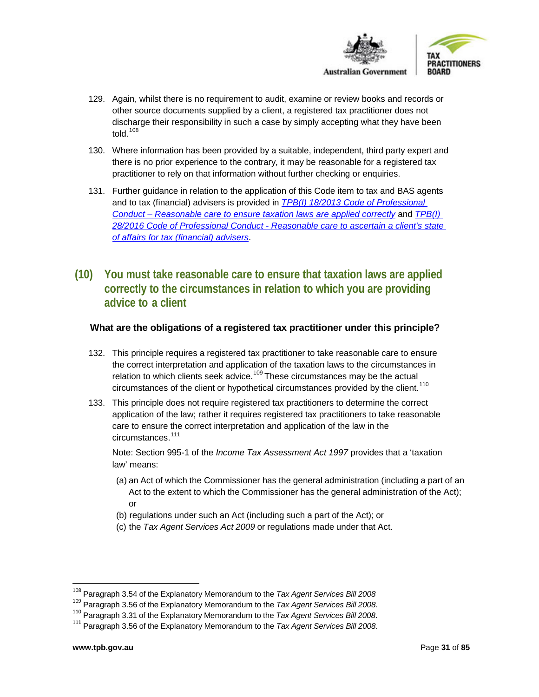

- 129. Again, whilst there is no requirement to audit, examine or review books and records or other source documents supplied by a client, a registered tax practitioner does not discharge their responsibility in such a case by simply accepting what they have been told. $108$
- 130. Where information has been provided by a suitable, independent, third party expert and there is no prior experience to the contrary, it may be reasonable for a registered tax practitioner to rely on that information without further checking or enquiries.
- 131. Further guidance in relation to the application of this Code item to tax and BAS agents and to tax (financial) advisers is provided in *[TPB\(I\) 18/2013 Code of Professional](https://tpb.gov.au/reasonable-care-ensure-taxation-laws-are-applied-correctly-information-sheet-tpbi-182013)  Conduct – [Reasonable care to ensure taxation laws are applied correctly](https://tpb.gov.au/reasonable-care-ensure-taxation-laws-are-applied-correctly-information-sheet-tpbi-182013)* and *[TPB\(I\)](https://www.tpb.gov.au/reasonable-care-ascertain-client-state-of-affairs-tax-financial-advisers-tpbi-282016)  28/2016 Code of Professional Conduct - [Reasonable care to ascertain a client's state](https://www.tpb.gov.au/reasonable-care-ascertain-client-state-of-affairs-tax-financial-advisers-tpbi-282016)  [of affairs for tax \(financial\) advisers](https://www.tpb.gov.au/reasonable-care-ascertain-client-state-of-affairs-tax-financial-advisers-tpbi-282016)*.
- <span id="page-30-0"></span>**(10) You must take reasonable care to ensure that taxation laws are applied correctly to the circumstances in relation to which you are providing advice to a client**

#### **What are the obligations of a registered tax practitioner under this principle?**

- 132. This principle requires a registered tax practitioner to take reasonable care to ensure the correct interpretation and application of the taxation laws to the circumstances in relation to which clients seek advice.<sup>[109](#page-30-2)</sup> These circumstances may be the actual circumstances of the client or hypothetical circumstances provided by the client.<sup>[110](#page-30-3)</sup>
- 133. This principle does not require registered tax practitioners to determine the correct application of the law; rather it requires registered tax practitioners to take reasonable care to ensure the correct interpretation and application of the law in the circumstances.<sup>[111](#page-30-4)</sup>

Note: Section 995-1 of the *Income Tax Assessment Act 1997* provides that a 'taxation law' means:

- (a) an Act of which the Commissioner has the general administration (including a part of an Act to the extent to which the Commissioner has the general administration of the Act); or
- (b) regulations under such an Act (including such a part of the Act); or
- (c) the *Tax Agent Services Act 2009* or regulations made under that Act.

<span id="page-30-1"></span> $^{108}$  Paragraph 3.54 of the Explanatory Memorandum to the Tax Agent Services Bill 2008<br> $^{109}$  Paragraph 3.56 of the Explanatory Memorandum to the Tax Agent Services Bill 2008.

<span id="page-30-3"></span><span id="page-30-2"></span><sup>110</sup> Paragraph 3.31 of the Explanatory Memorandum to the *Tax Agent Services Bill 2008*.

<span id="page-30-4"></span><sup>111</sup> Paragraph 3.56 of the Explanatory Memorandum to the *Tax Agent Services Bill 2008*.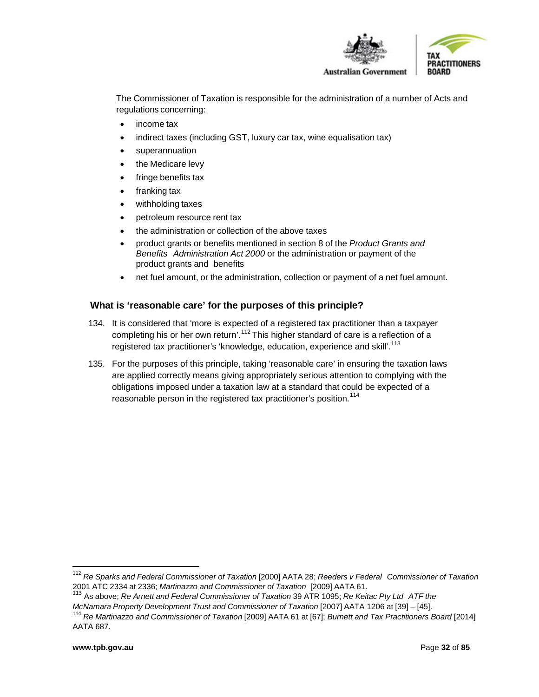



**Australian Government** 

The Commissioner of Taxation is responsible for the administration of a number of Acts and regulations concerning:

- income tax
- indirect taxes (including GST, luxury car tax, wine equalisation tax)
- superannuation
- the Medicare levy
- fringe benefits tax
- franking tax
- withholding taxes
- petroleum resource rent tax
- the administration or collection of the above taxes
- product grants or benefits mentioned in section 8 of the *Product Grants and Benefits Administration Act 2000* or the administration or payment of the product grants and benefits
- net fuel amount, or the administration, collection or payment of a net fuel amount.

# **What is 'reasonable care' for the purposes of this principle?**

- 134. It is considered that 'more is expected of a registered tax practitioner than a taxpayer completing his or her own return'.<sup>[112](#page-31-0)</sup> This higher standard of care is a reflection of a registered tax practitioner's 'knowledge, education, experience and skill'.<sup>[113](#page-31-1)</sup>
- 135. For the purposes of this principle, taking 'reasonable care' in ensuring the taxation laws are applied correctly means giving appropriately serious attention to complying with the obligations imposed under a taxation law at a standard that could be expected of a reasonable person in the registered tax practitioner's position.<sup>[114](#page-31-2)</sup>

<span id="page-31-0"></span> <sup>112</sup> *Re Sparks and Federal Commissioner of Taxation* [2000] AATA 28; *Reeders <sup>v</sup> Federal Commissioner of Taxation* 2001 ATC 2334 at 2336; *Martinazzo and Commissioner of Taxation* [2009] AATA 61.

<span id="page-31-1"></span><sup>113</sup> As above; *Re Arnett and Federal Commissioner of Taxation* 39 ATR 1095; *Re Keitac Pty Ltd ATF the*

<span id="page-31-2"></span><sup>&</sup>lt;sup>114</sup> Re Martinazzo and Commissioner of Taxation [2009] AATA 61 at [67]; Burnett and Tax Practitioners Board [2014] AATA 687.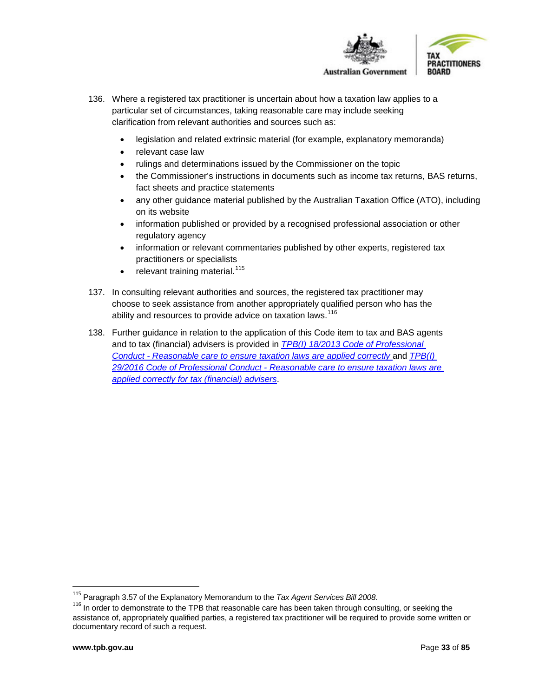

- 136. Where a registered tax practitioner is uncertain about how a taxation law applies to a particular set of circumstances, taking reasonable care may include seeking clarification from relevant authorities and sources such as:
	- legislation and related extrinsic material (for example, explanatory memoranda)
	- relevant case law
	- rulings and determinations issued by the Commissioner on the topic
	- the Commissioner's instructions in documents such as income tax returns, BAS returns, fact sheets and practice statements
	- any other guidance material published by the Australian Taxation Office (ATO), including on its website
	- information published or provided by a recognised professional association or other regulatory agency
	- information or relevant commentaries published by other experts, registered tax practitioners or specialists
	- relevant training material.<sup>[115](#page-32-0)</sup>
- 137. In consulting relevant authorities and sources, the registered tax practitioner may choose to seek assistance from another appropriately qualified person who has the ability and resources to provide advice on taxation laws.<sup>[116](#page-32-1)</sup>
- 138. Further guidance in relation to the application of this Code item to tax and BAS agents and to tax (financial) advisers is provided in *[TPB\(I\) 18/2013 Code of Professional](https://www.tpb.gov.au/reasonable-care-ensure-taxation-laws-are-applied-correctly-information-sheet-tpbi-182013)  Conduct - Reasonable care [to ensure taxation laws are applied correctly](https://www.tpb.gov.au/reasonable-care-ensure-taxation-laws-are-applied-correctly-information-sheet-tpbi-182013)* and *[TPB\(I\)](https://www.tpb.gov.au/reasonable-care-ensure-taxation-laws-are-applied-correctly-tax-financial-advisers-tpbi-292016)  29/2016 Code of Professional Conduct - [Reasonable care to ensure taxation laws are](https://www.tpb.gov.au/reasonable-care-ensure-taxation-laws-are-applied-correctly-tax-financial-advisers-tpbi-292016)  [applied correctly for tax \(financial\) advisers](https://www.tpb.gov.au/reasonable-care-ensure-taxation-laws-are-applied-correctly-tax-financial-advisers-tpbi-292016)*.

<span id="page-32-1"></span><span id="page-32-0"></span> $^{115}$  Paragraph 3.57 of the Explanatory Memorandum to the *Tax Agent Services Bill 2008*.<br><sup>116</sup> In order to demonstrate to the TPB that reasonable care has been taken through consulting, or seeking the assistance of, appropriately qualified parties, a registered tax practitioner will be required to provide some written or documentary record of such a request.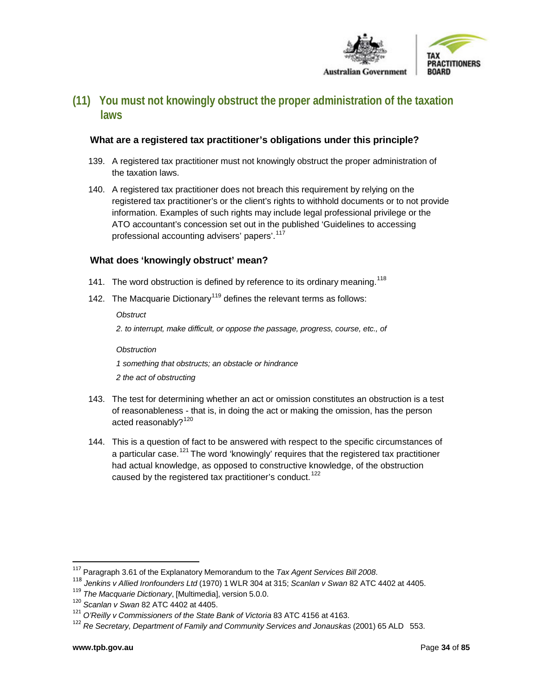

# <span id="page-33-0"></span>**(11) You must not knowingly obstruct the proper administration of the taxation laws**

# <span id="page-33-1"></span>**What are a registered tax practitioner's obligations under this principle?**

- 139. A registered tax practitioner must not knowingly obstruct the proper administration of the taxation laws.
- 140. A registered tax practitioner does not breach this requirement by relying on the registered tax practitioner's or the client's rights to withhold documents or to not provide information. Examples of such rights may include legal professional privilege or the ATO accountant's concession set out in the published 'Guidelines to accessing professional accounting advisers' papers'.<sup>[117](#page-33-2)</sup>

## **What does 'knowingly obstruct' mean?**

- 141. The word obstruction is defined by reference to its ordinary meaning.<sup>[118](#page-33-3)</sup>
- 142. The Macquarie Dictionary<sup>[119](#page-33-4)</sup> defines the relevant terms as follows:

#### *Obstruct*

*2. to interrupt, make difficult, or oppose the passage, progress, course, etc., of*

#### *Obstruction*

- *1 something that obstructs; an obstacle or hindrance*
- *2 the act of obstructing*
- 143. The test for determining whether an act or omission constitutes an obstruction is a test of reasonableness - that is, in doing the act or making the omission, has the person acted reasonably?<sup>[120](#page-33-5)</sup>
- 144. This is a question of fact to be answered with respect to the specific circumstances of a particular case.<sup>[121](#page-33-6)</sup> The word 'knowingly' requires that the registered tax practitioner had actual knowledge, as opposed to constructive knowledge, of the obstruction caused by the registered tax practitioner's conduct.<sup>[122](#page-33-7)</sup>

<span id="page-33-2"></span> <sup>117</sup> Paragraph 3.61 of the Explanatory Memorandum to the *Tax Agent Services Bill <sup>2008</sup>*.

<span id="page-33-4"></span><span id="page-33-3"></span><sup>&</sup>lt;sup>118</sup> Jenkins v Allied Ironfounders Ltd (1970) 1 WLR 304 at 315; Scanlan v Swan 82 ATC 4402 at 4405.<br><sup>119</sup> The Macquarie Dictionary, [Multimedia], version 5.0.0.<br><sup>120</sup> Scanlan v Swan 82 ATC 4402 at 4405.

<span id="page-33-6"></span><span id="page-33-5"></span><sup>121</sup> *O'Reilly v Commissioners of the State Bank of Victoria* 83 ATC 4156 at 4163.

<span id="page-33-7"></span><sup>122</sup> *Re Secretary, Department of Family and Community Services and Jonauskas* (2001) 65 ALD 553.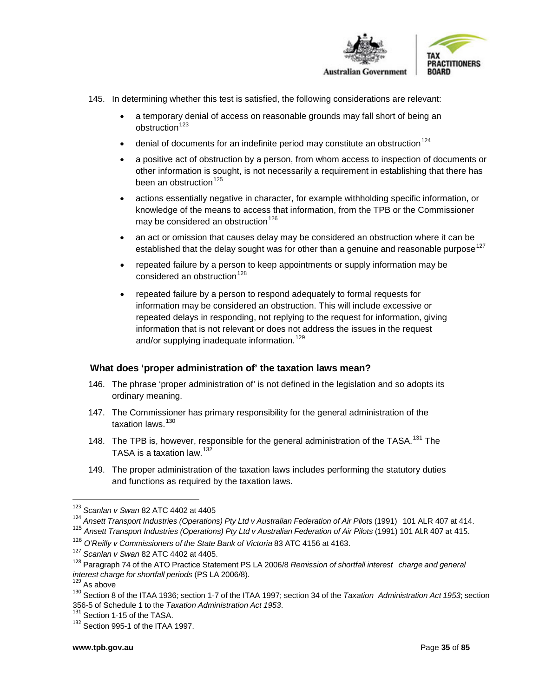

- 145. In determining whether this test is satisfied, the following considerations are relevant:
	- a temporary denial of access on reasonable grounds may fall short of being an  $obstruction<sup>123</sup>$  $obstruction<sup>123</sup>$  $obstruction<sup>123</sup>$
	- denial of documents for an indefinite period may constitute an obstruction<sup>[124](#page-34-1)</sup>
	- a positive act of obstruction by a person, from whom access to inspection of documents or other information is sought, is not necessarily a requirement in establishing that there has been an obstruction $125$
	- actions essentially negative in character, for example withholding specific information, or knowledge of the means to access that information, from the TPB or the Commissioner may be considered an obstruction<sup>[126](#page-34-3)</sup>
	- an act or omission that causes delay may be considered an obstruction where it can be established that the delay sought was for other than a genuine and reasonable purpose<sup>[127](#page-34-4)</sup>
	- repeated failure by a person to keep appointments or supply information may be considered an obstruction<sup>[128](#page-34-5)</sup>
	- repeated failure by a person to respond adequately to formal requests for information may be considered an obstruction. This will include excessive or repeated delays in responding, not replying to the request for information, giving information that is not relevant or does not address the issues in the request and/or supplying inadequate information.<sup>[129](#page-34-6)</sup>

#### **What does 'proper administration of' the taxation laws mean?**

- 146. The phrase 'proper administration of' is not defined in the legislation and so adopts its ordinary meaning.
- 147. The Commissioner has primary responsibility for the general administration of the taxation laws  $130$
- 148. The TPB is, however, responsible for the general administration of the TASA.<sup>[131](#page-34-8)</sup> The TASA is a taxation law. [132](#page-34-9)
- 149. The proper administration of the taxation laws includes performing the statutory duties and functions as required by the taxation laws.

<span id="page-34-0"></span> <sup>123</sup> *Scanlan <sup>v</sup> Swan* <sup>82</sup> ATC <sup>4402</sup> at <sup>4405</sup>

<span id="page-34-1"></span><sup>124</sup> *Ansett Transport Industries (Operations) Pty Ltd v Australian Federation of Air Pilots* (1991) 101 ALR 407 at 414.

<span id="page-34-2"></span><sup>125</sup> *Ansett Transport Industries (Operations) Pty Ltd v Australian Federation of Air Pilots* (1991) 101 ALR 407 at 415.

<span id="page-34-5"></span><span id="page-34-4"></span><span id="page-34-3"></span><sup>&</sup>lt;sup>127</sup> Scanlan v Swan 82 ATC 4402 at 4405.<br><sup>128</sup> Paragraph 74 of the ATO Practice Statement PS LA 2006/8 Remission of shortfall interest charge and general *interest charge for shortfall periods* (PS LA 2006/8).<br><sup>129</sup> As above

<span id="page-34-6"></span>

<span id="page-34-7"></span><sup>130</sup> Section 8 of the ITAA 1936; section 1-7 of the ITAA 1997; section 34 of the *Taxation Administration Act 1953*; section 356-5 of Schedule <sup>1</sup> to the *Taxation Administration Act <sup>1953</sup>*. <sup>131</sup> Section 1-15 of the TASA.

<span id="page-34-9"></span><span id="page-34-8"></span><sup>132</sup> Section 995-1 of the ITAA 1997.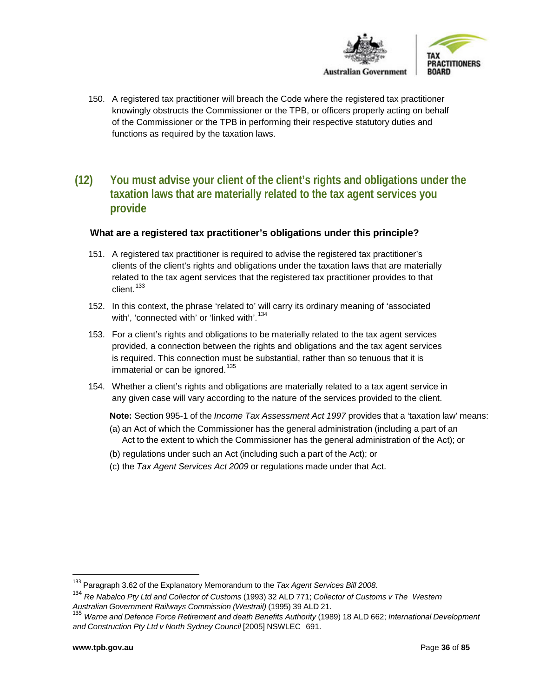

- 150. A registered tax practitioner will breach the Code where the registered tax practitioner knowingly obstructs the Commissioner or the TPB, or officers properly acting on behalf of the Commissioner or the TPB in performing their respective statutory duties and functions as required by the taxation laws.
- <span id="page-35-0"></span>**(12) You must advise your client of the client's rights and obligations under the taxation laws that are materially related to the tax agent services you provide**

#### **What are a registered tax practitioner's obligations under this principle?**

- 151. A registered tax practitioner is required to advise the registered tax practitioner's clients of the client's rights and obligations under the taxation laws that are materially related to the tax agent services that the registered tax practitioner provides to that client.<sup>[133](#page-35-1)</sup>
- 152. In this context, the phrase 'related to' will carry its ordinary meaning of 'associated with', 'connected with' or 'linked with'.<sup>[134](#page-35-2)</sup>
- 153. For a client's rights and obligations to be materially related to the tax agent services provided, a connection between the rights and obligations and the tax agent services is required. This connection must be substantial, rather than so tenuous that it is immaterial or can be ignored.<sup>[135](#page-35-3)</sup>
- 154. Whether a client's rights and obligations are materially related to a tax agent service in any given case will vary according to the nature of the services provided to the client.
	- **Note:** Section 995-1 of the *Income Tax Assessment Act 1997* provides that a 'taxation law' means: (a) an Act of which the Commissioner has the general administration (including a part of an Act to the extent to which the Commissioner has the general administration of the Act); or
	- (b) regulations under such an Act (including such a part of the Act); or
	- (c) the *Tax Agent Services Act 2009* or regulations made under that Act.

 <sup>133</sup> Paragraph 3.62 of the Explanatory Memorandum to the *Tax Agent Services Bill <sup>2008</sup>*.

<span id="page-35-2"></span><span id="page-35-1"></span><sup>134</sup> *Re Nabalco Pty Ltd and Collector of Customs* (1993) 32 ALD 771; *Collector of Customs v The Western Australian Government Railways Commission (Westrail)* (1995) 39 ALD 21.

<span id="page-35-3"></span><sup>135</sup> *Warne and Defence Force Retirement and death Benefits Authority* (1989) 18 ALD 662; *International Development and Construction Pty Ltd v North Sydney Council* [2005] NSWLEC 691.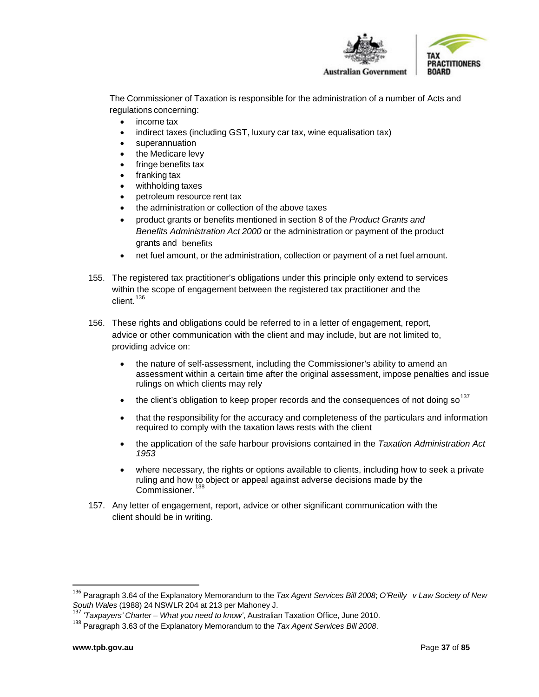

The Commissioner of Taxation is responsible for the administration of a number of Acts and regulations concerning:

- income tax
- indirect taxes (including GST, luxury car tax, wine equalisation tax)
- superannuation
- the Medicare levy
- fringe benefits tax
- franking tax
- withholding taxes
- petroleum resource rent tax
- the administration or collection of the above taxes
- product grants or benefits mentioned in section 8 of the *Product Grants and Benefits Administration Act 2000* or the administration or payment of the product grants and benefits
- net fuel amount, or the administration, collection or payment of a net fuel amount.
- 155. The registered tax practitioner's obligations under this principle only extend to services within the scope of engagement between the registered tax practitioner and the client. <sup>[136](#page-36-0)</sup>
- 156. These rights and obligations could be referred to in a letter of engagement, report, advice or other communication with the client and may include, but are not limited to, providing advice on:
	- the nature of self-assessment, including the Commissioner's ability to amend an assessment within a certain time after the original assessment, impose penalties and issue rulings on which clients may rely
	- the client's obligation to keep proper records and the consequences of not doing  $\mathrm{so}^{137}$  $\mathrm{so}^{137}$  $\mathrm{so}^{137}$
	- that the responsibility for the accuracy and completeness of the particulars and information required to comply with the taxation laws rests with the client
	- the application of the safe harbour provisions contained in the *Taxation Administration Act 1953*
	- where necessary, the rights or options available to clients, including how to seek a private ruling and how to object or appeal against adverse decisions made by the Commissioner.<sup>[138](#page-36-2)</sup>
- 157. Any letter of engagement, report, advice or other significant communication with the client should be in writing.

<span id="page-36-0"></span> <sup>136</sup> Paragraph 3.64 of the Explanatory Memorandum to the *Tax Agent Services Bill <sup>2008</sup>*; *O'Reilly <sup>v</sup> Law Society of New*

<span id="page-36-1"></span>*South Wales* (1988) <sup>24</sup> NSWLR <sup>204</sup> at <sup>213</sup> per Mahoney J. <sup>137</sup> *'Taxpayers' Charter – What you need to know'*, Australian Taxation Office, June 2010.

<span id="page-36-2"></span><sup>138</sup> Paragraph 3.63 of the Explanatory Memorandum to the *Tax Agent Services Bill 2008*.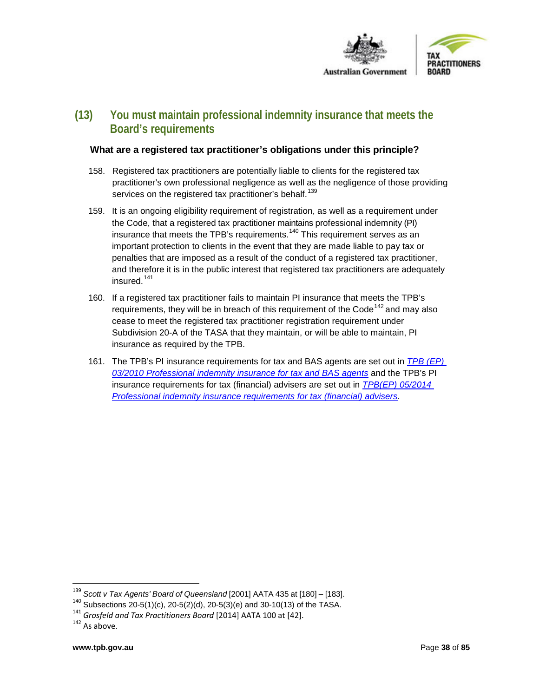

# **(13) You must maintain professional indemnity insurance that meets the Board's requirements**

#### **What are a registered tax practitioner's obligations under this principle?**

- 158. Registered tax practitioners are potentially liable to clients for the registered tax practitioner's own professional negligence as well as the negligence of those providing services on the registered tax practitioner's behalf.<sup>[139](#page-37-0)</sup>
- 159. It is an ongoing eligibility requirement of registration, as well as a requirement under the Code, that a registered tax practitioner maintains professional indemnity (PI) insurance that meets the TPB's requirements.<sup>[140](#page-37-1)</sup> This requirement serves as an important protection to clients in the event that they are made liable to pay tax or penalties that are imposed as a result of the conduct of a registered tax practitioner, and therefore it is in the public interest that registered tax practitioners are adequately insured. [141](#page-37-2)
- 160. If a registered tax practitioner fails to maintain PI insurance that meets the TPB's requirements, they will be in breach of this requirement of the Code<sup>[142](#page-37-3)</sup> and may also cease to meet the registered tax practitioner registration requirement under Subdivision 20-A of the TASA that they maintain, or will be able to maintain, PI insurance as required by the TPB.
- 161. The TPB's PI insurance requirements for tax and BAS agents are set out in *[TPB \(EP\)](https://www.tpb.gov.au/explanatory-paper-tpbep-032010-requirements-registered-tax-and-bas-agents-30-june-2013)  [03/2010 Professional indemnity insurance for tax and BAS agents](https://www.tpb.gov.au/explanatory-paper-tpbep-032010-requirements-registered-tax-and-bas-agents-30-june-2013)* and the TPB's PI insurance requirements for tax (financial) advisers are set out in *[TPB\(EP\) 05/2014](https://www.tpb.gov.au/explanatory-paper-tpbep-052014-professional-indemnity-insurance-requirements-tax-financial-advisers)  [Professional indemnity insurance requirements for tax \(financial\) advisers](https://www.tpb.gov.au/explanatory-paper-tpbep-052014-professional-indemnity-insurance-requirements-tax-financial-advisers)*.

<span id="page-37-0"></span><sup>&</sup>lt;sup>139</sup> *Scott v Tax Agents' Board of Queensland* [2001] AATA 435 at [180] – [183].<br><sup>140</sup> Subsections 20-5(1)(c), 20-5(2)(d), 20-5(3)(e) and 30-10(13) of the TASA.

<span id="page-37-3"></span><span id="page-37-2"></span><span id="page-37-1"></span><sup>&</sup>lt;sup>141</sup> *Grosfeld and Tax Practitioners Board* [2014] AATA 100 at [42].<br><sup>142</sup> As above.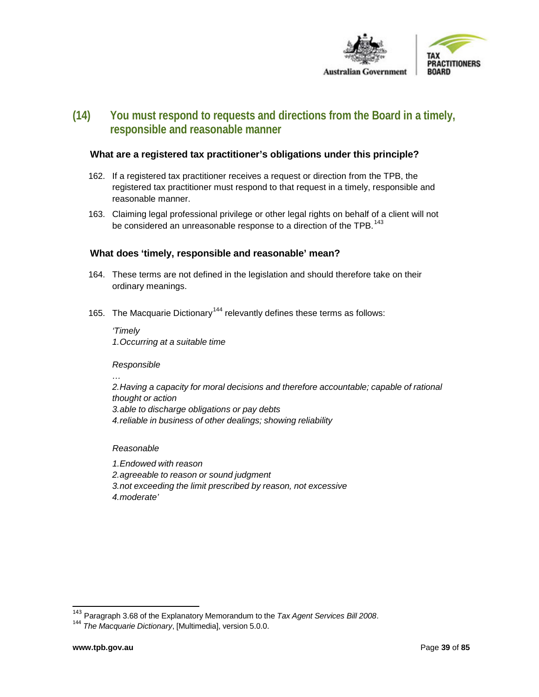

# **(14) You must respond to requests and directions from the Board in a timely, responsible and reasonable manner**

#### **What are a registered tax practitioner's obligations under this principle?**

- 162. If a registered tax practitioner receives a request or direction from the TPB, the registered tax practitioner must respond to that request in a timely, responsible and reasonable manner.
- 163. Claiming legal professional privilege or other legal rights on behalf of a client will not be considered an unreasonable response to a direction of the TPB.  $^{143}$  $^{143}$  $^{143}$

#### **What does 'timely, responsible and reasonable' mean?**

- 164. These terms are not defined in the legislation and should therefore take on their ordinary meanings.
- 165. The Macquarie Dictionary<sup>[144](#page-38-1)</sup> relevantly defines these terms as follows:

*'Timely 1.Occurring at a suitable time*

#### *Responsible*

*…*

*2.Having a capacity for moral decisions and therefore accountable; capable of rational thought or action 3.able to discharge obligations or pay debts 4.reliable in business of other dealings; showing reliability*

#### *Reasonable*

*1.Endowed with reason 2.agreeable to reason or sound judgment 3.not exceeding the limit prescribed by reason, not excessive 4.moderate'*

<span id="page-38-1"></span><span id="page-38-0"></span><sup>143</sup> Paragraph 3.68 of the Explanatory Memorandum to the *Tax Agent Services Bill <sup>2008</sup>*. <sup>144</sup> *The Macquarie Dictionary*, [Multimedia], version 5.0.0.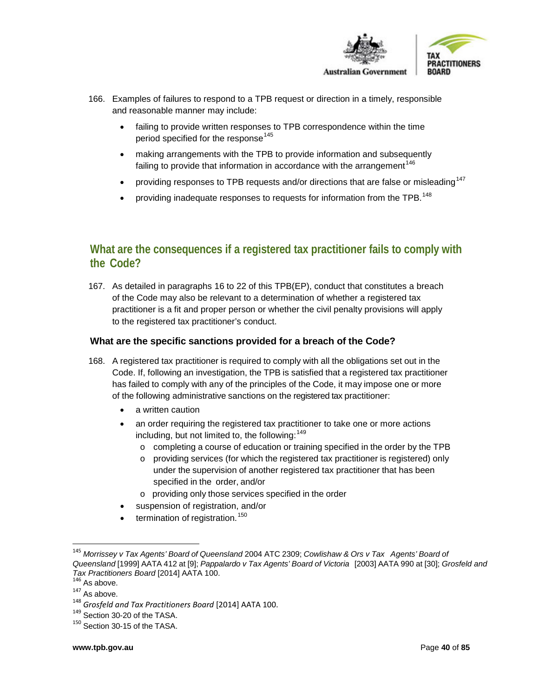

- 166. Examples of failures to respond to a TPB request or direction in a timely, responsible and reasonable manner may include:
	- failing to provide written responses to TPB correspondence within the time period specified for the response<sup>[145](#page-39-0)</sup>
	- making arrangements with the TPB to provide information and subsequently failing to provide that information in accordance with the arrangement<sup>[146](#page-39-1)</sup>
	- providing responses to TPB requests and/or directions that are false or misleading<sup>[147](#page-39-2)</sup>
	- providing inadequate responses to requests for information from the TPB.<sup>[148](#page-39-3)</sup>

# **What are the consequences if a registered tax practitioner fails to comply with the Code?**

167. As detailed in paragraphs 16 to 22 of this TPB(EP), conduct that constitutes a breach of the Code may also be relevant to a determination of whether a registered tax practitioner is a fit and proper person or whether the civil penalty provisions will apply to the registered tax practitioner's conduct.

## **What are the specific sanctions provided for a breach of the Code?**

- 168. A registered tax practitioner is required to comply with all the obligations set out in the Code. If, following an investigation, the TPB is satisfied that a registered tax practitioner has failed to comply with any of the principles of the Code, it may impose one or more of the following administrative sanctions on the registered tax practitioner:
	- a written caution
	- an order requiring the registered tax practitioner to take one or more actions including, but not limited to, the following:  $149$ 
		- $\circ$  completing a course of education or training specified in the order by the TPB
		- $\circ$  providing services (for which the registered tax practitioner is registered) only under the supervision of another registered tax practitioner that has been specified in the order, and/or
		- o providing only those services specified in the order
		- suspension of registration, and/or
	- termination of registration. $150$

<span id="page-39-0"></span> <sup>145</sup> *Morrissey <sup>v</sup> Tax Agents' Board of Queensland* <sup>2004</sup> ATC 2309; *Cowlishaw & Ors <sup>v</sup> Tax Agents' Board of Queensland* [1999] AATA 412 at [9]; *Pappalardo v Tax Agents' Board of Victoria* [2003] AATA 990 at [30]; *Grosfeld and Tax Practitioners Board* [2014] AATA 100.<br><sup>146</sup> As above.<br><sup>147</sup> As above.

<span id="page-39-3"></span><span id="page-39-2"></span><span id="page-39-1"></span><sup>148</sup> *Grosfeld and Tax Practitioners Board* [2014] AATA 100.<br><sup>149</sup> Section 30-20 of the TASA.

<span id="page-39-5"></span><span id="page-39-4"></span><sup>150</sup> Section 30-15 of the TASA.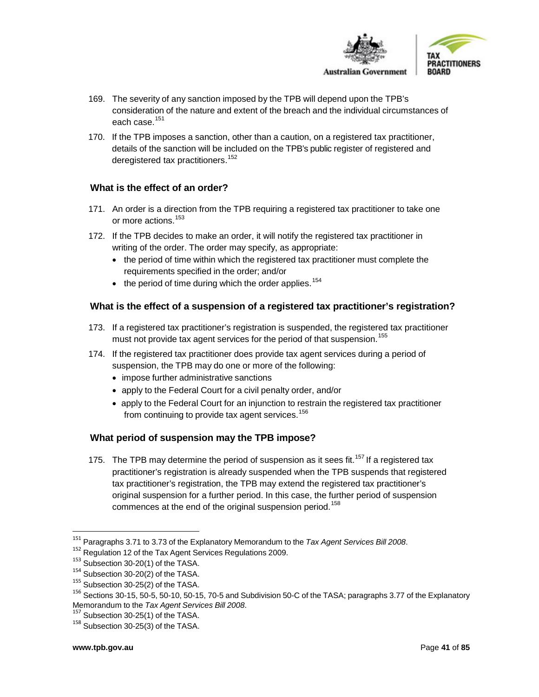



- 169. The severity of any sanction imposed by the TPB will depend upon the TPB's consideration of the nature and extent of the breach and the individual circumstances of each case.<sup>[151](#page-40-0)</sup>
- 170. If the TPB imposes a sanction, other than a caution, on a registered tax practitioner, details of the sanction will be included on the TPB's public register of registered and deregistered tax practitioners.<sup>[152](#page-40-1)</sup>

# **What is the effect of an order?**

- 171. An order is a direction from the TPB requiring a registered tax practitioner to take one or more actions. [153](#page-40-2)
- 172. If the TPB decides to make an order, it will notify the registered tax practitioner in writing of the order. The order may specify, as appropriate:
	- the period of time within which the registered tax practitioner must complete the requirements specified in the order; and/or
	- $\bullet$  the period of time during which the order applies.<sup>[154](#page-40-3)</sup>

## **What is the effect of a suspension of a registered tax practitioner's registration?**

- 173. If a registered tax practitioner's registration is suspended, the registered tax practitioner must not provide tax agent services for the period of that suspension.<sup>[155](#page-40-4)</sup>
- 174. If the registered tax practitioner does provide tax agent services during a period of suspension, the TPB may do one or more of the following:
	- impose further administrative sanctions
	- apply to the Federal Court for a civil penalty order, and/or
	- apply to the Federal Court for an injunction to restrain the registered tax practitioner from continuing to provide tax agent services.<sup>[156](#page-40-5)</sup>

# **What period of suspension may the TPB impose?**

175. The TPB may determine the period of suspension as it sees fit.<sup>[157](#page-40-6)</sup> If a registered tax practitioner's registration is already suspended when the TPB suspends that registered tax practitioner's registration, the TPB may extend the registered tax practitioner's original suspension for a further period. In this case, the further period of suspension commences at the end of the original suspension period. [158](#page-40-7)

<span id="page-40-1"></span><span id="page-40-0"></span><sup>151</sup> Paragraphs 3.71 to 3.73 of the Explanatory Memorandum to the *Tax Agent Services Bill <sup>2008</sup>*. <sup>152</sup> Regulation <sup>12</sup> of the Tax Agent Services Regulations 2009.

<span id="page-40-2"></span> $153$  Subsection 30-20(1) of the TASA.<br> $154$  Subsection 30-20(2) of the TASA.

<span id="page-40-4"></span><span id="page-40-3"></span> $155$  Subsection 30-25(2) of the TASA.

<span id="page-40-5"></span> $156$  Sections 30-15, 50-5, 50-10, 50-15, 70-5 and Subdivision 50-C of the TASA; paragraphs 3.77 of the Explanatory Memorandum to the Tax Agent Services Bill 2008.

<span id="page-40-6"></span><sup>&</sup>lt;sup>157</sup> Subsection 30-25(1) of the TASA.

<span id="page-40-7"></span><sup>&</sup>lt;sup>158</sup> Subsection 30-25(3) of the TASA.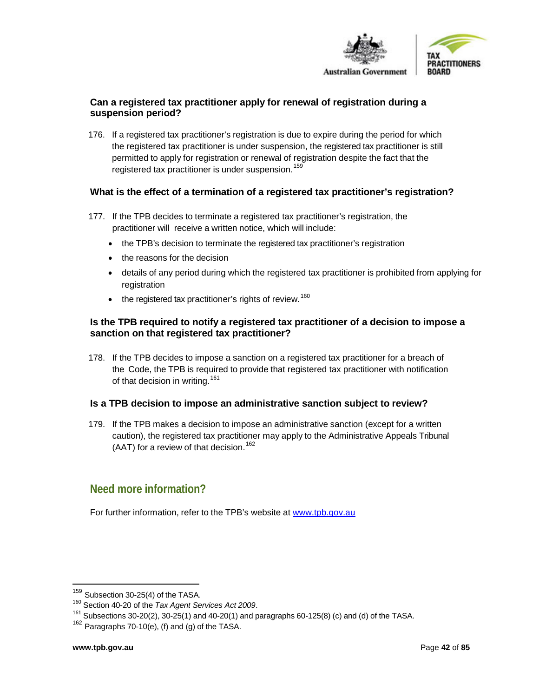

## **Can a registered tax practitioner apply for renewal of registration during a suspension period?**

176. If a registered tax practitioner's registration is due to expire during the period for which the registered tax practitioner is under suspension, the registered tax practitioner is still permitted to apply for registration or renewal of registration despite the fact that the registered tax practitioner is under suspension.<sup>[159](#page-41-0)</sup>

# **What is the effect of a termination of a registered tax practitioner's registration?**

- 177. If the TPB decides to terminate a registered tax practitioner's registration, the practitioner will receive a written notice, which will include:
	- the TPB's decision to terminate the registered tax practitioner's registration
	- the reasons for the decision
	- details of any period during which the registered tax practitioner is prohibited from applying for registration
	- $\bullet$  the registered tax practitioner's rights of review.<sup>[160](#page-41-1)</sup>

## **Is the TPB required to notify a registered tax practitioner of a decision to impose a sanction on that registered tax practitioner?**

178. If the TPB decides to impose a sanction on a registered tax practitioner for a breach of the Code, the TPB is required to provide that registered tax practitioner with notification of that decision in writing.  $161$ 

#### **Is a TPB decision to impose an administrative sanction subject to review?**

179. If the TPB makes a decision to impose an administrative sanction (except for a written caution), the registered tax practitioner may apply to the Administrative Appeals Tribunal (AAT) for a review of that decision.<sup>[162](#page-41-3)</sup>

# **Need more information?**

For further information, refer to the TPB's website at [www.tpb.gov.au](http://www.tpb.gov.au/)

l

<span id="page-41-1"></span><span id="page-41-0"></span><sup>&</sup>lt;sup>159</sup> Subsection 30-25(4) of the TASA.<br><sup>160</sup> Section 40-20 of the *Tax Agent Services Act* 2009.<br><sup>161</sup> Subsections 30-20(2), 30-25(1) and 40-20(1) and paragraphs 60-125(8) (c) and (d) of the TASA.

<span id="page-41-3"></span><span id="page-41-2"></span> $162$  Paragraphs 70-10(e), (f) and (g) of the TASA.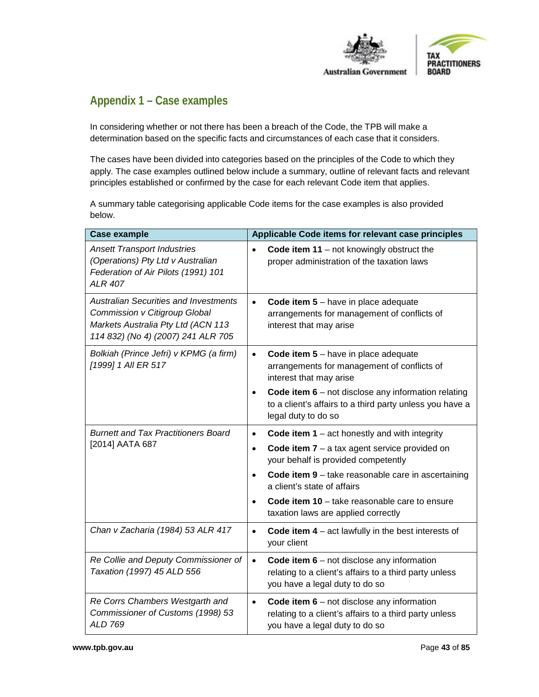

# **Appendix 1 – Case examples**

In considering whether or not there has been a breach of the Code, the TPB will make a determination based on the specific facts and circumstances of each case that it considers.

The cases have been divided into categories based on the principles of the Code to which they apply. The case examples outlined below include a summary, outline of relevant facts and relevant principles established or confirmed by the case for each relevant Code item that applies.

A summary table categorising applicable Code items for the case examples is also provided below.

| <b>Case example</b>                                                                                                                                       | Applicable Code items for relevant case principles                                                                                                    |
|-----------------------------------------------------------------------------------------------------------------------------------------------------------|-------------------------------------------------------------------------------------------------------------------------------------------------------|
| <b>Ansett Transport Industries</b><br>(Operations) Pty Ltd v Australian<br>Federation of Air Pilots (1991) 101<br><b>ALR 407</b>                          | Code item $11 - not$ knowingly obstruct the<br>$\bullet$<br>proper administration of the taxation laws                                                |
| <b>Australian Securities and Investments</b><br>Commission v Citigroup Global<br>Markets Australia Pty Ltd (ACN 113<br>114 832) (No 4) (2007) 241 ALR 705 | Code item $5 -$ have in place adequate<br>$\bullet$<br>arrangements for management of conflicts of<br>interest that may arise                         |
| Bolkiah (Prince Jefri) v KPMG (a firm)<br>[1999] 1 All ER 517                                                                                             | Code item $5 -$ have in place adequate<br>$\bullet$<br>arrangements for management of conflicts of<br>interest that may arise                         |
|                                                                                                                                                           | Code item $6$ – not disclose any information relating<br>$\bullet$<br>to a client's affairs to a third party unless you have a<br>legal duty to do so |
| <b>Burnett and Tax Practitioners Board</b><br>[2014] AATA 687                                                                                             | Code item $1 - act$ honestly and with integrity<br>$\bullet$                                                                                          |
|                                                                                                                                                           | Code item $7 - a$ tax agent service provided on<br>$\bullet$<br>your behalf is provided competently                                                   |
|                                                                                                                                                           | Code item $9$ – take reasonable care in ascertaining<br>$\bullet$<br>a client's state of affairs                                                      |
|                                                                                                                                                           | Code item $10 -$ take reasonable care to ensure<br>$\bullet$<br>taxation laws are applied correctly                                                   |
| Chan v Zacharia (1984) 53 ALR 417                                                                                                                         | Code item $4 - act$ lawfully in the best interests of<br>$\bullet$<br>your client                                                                     |
| Re Collie and Deputy Commissioner of<br>Taxation (1997) 45 ALD 556                                                                                        | Code item $6$ – not disclose any information<br>$\bullet$<br>relating to a client's affairs to a third party unless<br>you have a legal duty to do so |
| Re Corrs Chambers Westgarth and<br>Commissioner of Customs (1998) 53<br><b>ALD 769</b>                                                                    | Code item $6$ – not disclose any information<br>$\bullet$<br>relating to a client's affairs to a third party unless<br>you have a legal duty to do so |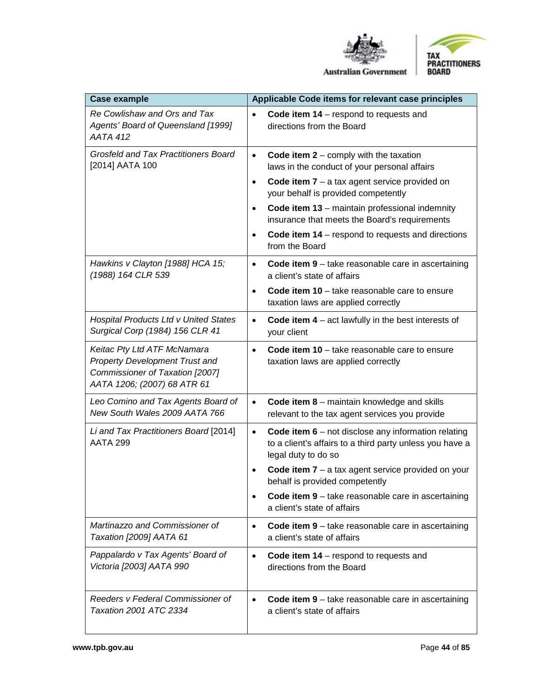



**Australian Government** 

| <b>Case example</b>                                                                                                                    | Applicable Code items for relevant case principles                                                                                                                                                                                                                                                                                                                                                               |
|----------------------------------------------------------------------------------------------------------------------------------------|------------------------------------------------------------------------------------------------------------------------------------------------------------------------------------------------------------------------------------------------------------------------------------------------------------------------------------------------------------------------------------------------------------------|
| Re Cowlishaw and Ors and Tax<br>Agents' Board of Queensland [1999]<br><b>AATA 412</b>                                                  | Code item $14$ – respond to requests and<br>$\bullet$<br>directions from the Board                                                                                                                                                                                                                                                                                                                               |
| <b>Grosfeld and Tax Practitioners Board</b><br>[2014] AATA 100                                                                         | Code item $2$ – comply with the taxation<br>$\bullet$<br>laws in the conduct of your personal affairs<br>Code item $7 - a$ tax agent service provided on<br>$\bullet$<br>your behalf is provided competently<br>Code item 13 - maintain professional indemnity<br>$\bullet$<br>insurance that meets the Board's requirements<br>Code item 14 – respond to requests and directions<br>$\bullet$<br>from the Board |
| Hawkins v Clayton [1988] HCA 15;<br>(1988) 164 CLR 539                                                                                 | Code item 9 - take reasonable care in ascertaining<br>$\bullet$<br>a client's state of affairs<br>Code item $10 -$ take reasonable care to ensure<br>$\bullet$<br>taxation laws are applied correctly                                                                                                                                                                                                            |
| <b>Hospital Products Ltd v United States</b><br>Surgical Corp (1984) 156 CLR 41                                                        | Code item $4 - act$ lawfully in the best interests of<br>$\bullet$<br>your client                                                                                                                                                                                                                                                                                                                                |
| Keitac Pty Ltd ATF McNamara<br><b>Property Development Trust and</b><br>Commissioner of Taxation [2007]<br>AATA 1206; (2007) 68 ATR 61 | Code item $10$ – take reasonable care to ensure<br>$\bullet$<br>taxation laws are applied correctly                                                                                                                                                                                                                                                                                                              |
| Leo Comino and Tax Agents Board of<br>New South Wales 2009 AATA 766                                                                    | <b>Code item 8</b> - maintain knowledge and skills<br>$\bullet$<br>relevant to the tax agent services you provide                                                                                                                                                                                                                                                                                                |
| Li and Tax Practitioners Board [2014]<br><b>AATA 299</b>                                                                               | Code item $6$ – not disclose any information relating<br>$\bullet$<br>to a client's affairs to a third party unless you have a<br>legal duty to do so<br>Code item $7 - a$ tax agent service provided on your<br>behalf is provided competently                                                                                                                                                                  |
|                                                                                                                                        | Code item 9 - take reasonable care in ascertaining<br>a client's state of affairs                                                                                                                                                                                                                                                                                                                                |
| Martinazzo and Commissioner of<br>Taxation [2009] AATA 61                                                                              | Code item 9 - take reasonable care in ascertaining<br>$\bullet$<br>a client's state of affairs                                                                                                                                                                                                                                                                                                                   |
| Pappalardo v Tax Agents' Board of<br>Victoria [2003] AATA 990                                                                          | Code item $14$ – respond to requests and<br>$\bullet$<br>directions from the Board                                                                                                                                                                                                                                                                                                                               |
| Reeders v Federal Commissioner of<br>Taxation 2001 ATC 2334                                                                            | Code item 9 - take reasonable care in ascertaining<br>$\bullet$<br>a client's state of affairs                                                                                                                                                                                                                                                                                                                   |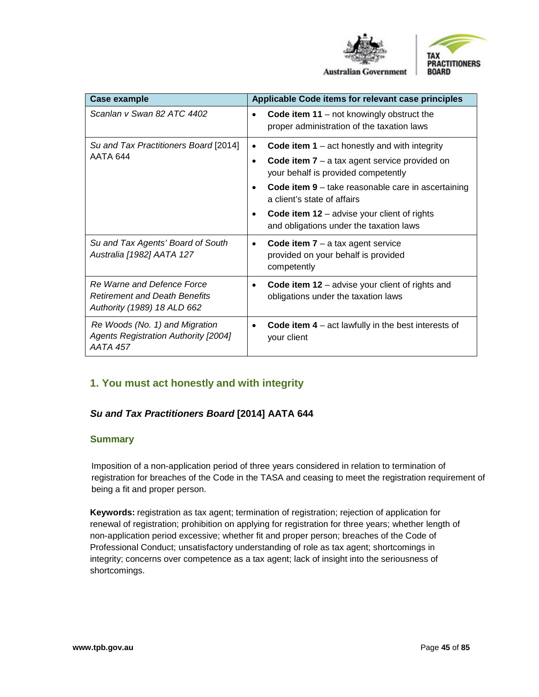



**Australian Government** 

| Case example                                                                                      | Applicable Code items for relevant case principles                                                                                                                  |
|---------------------------------------------------------------------------------------------------|---------------------------------------------------------------------------------------------------------------------------------------------------------------------|
| Scanlan v Swan 82 ATC 4402                                                                        | <b>Code item 11</b> – not knowingly obstruct the<br>proper administration of the taxation laws                                                                      |
| Su and Tax Practitioners Board [2014]<br>AATA 644                                                 | Code item $1 - act$ honestly and with integrity<br>$\bullet$<br>Code item $7 - a$ tax agent service provided on<br>$\bullet$<br>your behalf is provided competently |
|                                                                                                   | Code item $9$ – take reasonable care in ascertaining<br>$\bullet$<br>a client's state of affairs                                                                    |
|                                                                                                   | Code item $12$ – advise your client of rights<br>٠<br>and obligations under the taxation laws                                                                       |
| Su and Tax Agents' Board of South<br>Australia [1982] AATA 127                                    | Code item $7 - a$ tax agent service<br>$\bullet$<br>provided on your behalf is provided<br>competently                                                              |
| Re Warne and Defence Force<br><b>Retirement and Death Benefits</b><br>Authority (1989) 18 ALD 662 | Code item $12$ – advise your client of rights and<br>٠<br>obligations under the taxation laws                                                                       |
| Re Woods (No. 1) and Migration<br><b>Agents Registration Authority [2004]</b><br><b>AATA 457</b>  | Code item $4 - act$ lawfully in the best interests of<br>$\bullet$<br>your client                                                                                   |

# **1. You must act honestly and with integrity**

# *Su and Tax Practitioners Board* **[2014] AATA 644**

#### **Summary**

Imposition of a non-application period of three years considered in relation to termination of registration for breaches of the Code in the TASA and ceasing to meet the registration requirement of being a fit and proper person.

**Keywords:** registration as tax agent; termination of registration; rejection of application for renewal of registration; prohibition on applying for registration for three years; whether length of non-application period excessive; whether fit and proper person; breaches of the Code of Professional Conduct; unsatisfactory understanding of role as tax agent; shortcomings in integrity; concerns over competence as a tax agent; lack of insight into the seriousness of shortcomings.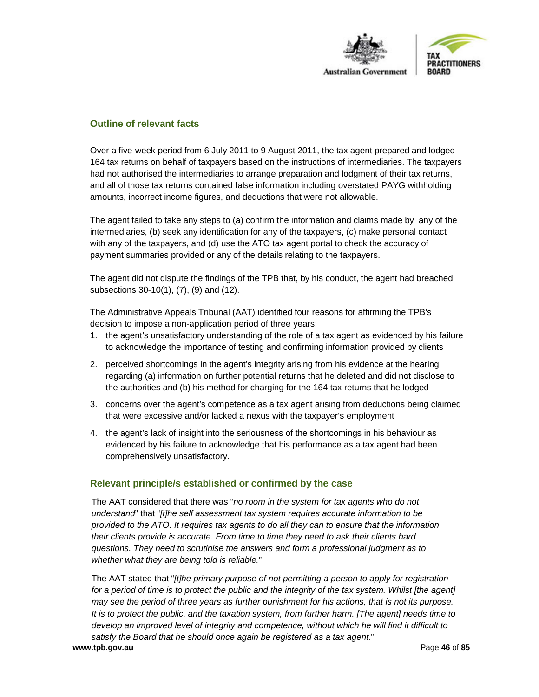

## **Outline of relevant facts**

Over a five-week period from 6 July 2011 to 9 August 2011, the tax agent prepared and lodged 164 tax returns on behalf of taxpayers based on the instructions of intermediaries. The taxpayers had not authorised the intermediaries to arrange preparation and lodgment of their tax returns, and all of those tax returns contained false information including overstated PAYG withholding amounts, incorrect income figures, and deductions that were not allowable.

The agent failed to take any steps to (a) confirm the information and claims made by any of the intermediaries, (b) seek any identification for any of the taxpayers, (c) make personal contact with any of the taxpayers, and (d) use the ATO tax agent portal to check the accuracy of payment summaries provided or any of the details relating to the taxpayers.

The agent did not dispute the findings of the TPB that, by his conduct, the agent had breached subsections 30-10(1), (7), (9) and (12).

The Administrative Appeals Tribunal (AAT) identified four reasons for affirming the TPB's decision to impose a non-application period of three years:

- 1. the agent's unsatisfactory understanding of the role of a tax agent as evidenced by his failure to acknowledge the importance of testing and confirming information provided by clients
- 2. perceived shortcomings in the agent's integrity arising from his evidence at the hearing regarding (a) information on further potential returns that he deleted and did not disclose to the authorities and (b) his method for charging for the 164 tax returns that he lodged
- 3. concerns over the agent's competence as a tax agent arising from deductions being claimed that were excessive and/or lacked a nexus with the taxpayer's employment
- 4. the agent's lack of insight into the seriousness of the shortcomings in his behaviour as evidenced by his failure to acknowledge that his performance as a tax agent had been comprehensively unsatisfactory.

#### **Relevant principle/s established or confirmed by the case**

The AAT considered that there was "*no room in the system for tax agents who do not understand*" that "*[t]he self assessment tax system requires accurate information to be provided to the ATO. It requires tax agents to do all they can to ensure that the information their clients provide is accurate. From time to time they need to ask their clients hard questions. They need to scrutinise the answers and form a professional judgment as to whether what they are being told is reliable.*"

**www.tpb.gov.au** Page **46** of **85** The AAT stated that "*[t]he primary purpose of not permitting a person to apply for registration for a period of time is to protect the public and the integrity of the tax system. Whilst [the agent] may see the period of three years as further punishment for his actions, that is not its purpose. It is to protect the public, and the taxation system, from further harm. [The agent] needs time to*  develop an improved level of integrity and competence, without which he will find it difficult to *satisfy the Board that he should once again be registered as a tax agent.*"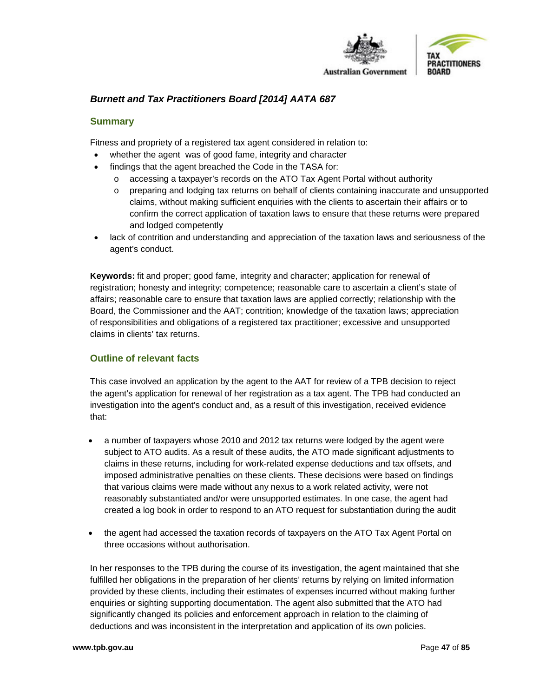

# *Burnett and Tax Practitioners Board [2014] AATA 687*

#### **Summary**

Fitness and propriety of a registered tax agent considered in relation to:

- whether the agent was of good fame, integrity and character
- findings that the agent breached the Code in the TASA for:
	- o accessing a taxpayer's records on the ATO Tax Agent Portal without authority
	- o preparing and lodging tax returns on behalf of clients containing inaccurate and unsupported claims, without making sufficient enquiries with the clients to ascertain their affairs or to confirm the correct application of taxation laws to ensure that these returns were prepared and lodged competently
- lack of contrition and understanding and appreciation of the taxation laws and seriousness of the agent's conduct.

**Keywords:** fit and proper; good fame, integrity and character; application for renewal of registration; honesty and integrity; competence; reasonable care to ascertain a client's state of affairs; reasonable care to ensure that taxation laws are applied correctly; relationship with the Board, the Commissioner and the AAT; contrition; knowledge of the taxation laws; appreciation of responsibilities and obligations of a registered tax practitioner; excessive and unsupported claims in clients' tax returns.

# **Outline of relevant facts**

This case involved an application by the agent to the AAT for review of a TPB decision to reject the agent's application for renewal of her registration as a tax agent. The TPB had conducted an investigation into the agent's conduct and, as a result of this investigation, received evidence that:

- a number of taxpayers whose 2010 and 2012 tax returns were lodged by the agent were subject to ATO audits. As a result of these audits, the ATO made significant adjustments to claims in these returns, including for work-related expense deductions and tax offsets, and imposed administrative penalties on these clients. These decisions were based on findings that various claims were made without any nexus to a work related activity, were not reasonably substantiated and/or were unsupported estimates. In one case, the agent had created a log book in order to respond to an ATO request for substantiation during the audit
- the agent had accessed the taxation records of taxpayers on the ATO Tax Agent Portal on three occasions without authorisation.

In her responses to the TPB during the course of its investigation, the agent maintained that she fulfilled her obligations in the preparation of her clients' returns by relying on limited information provided by these clients, including their estimates of expenses incurred without making further enquiries or sighting supporting documentation. The agent also submitted that the ATO had significantly changed its policies and enforcement approach in relation to the claiming of deductions and was inconsistent in the interpretation and application of its own policies.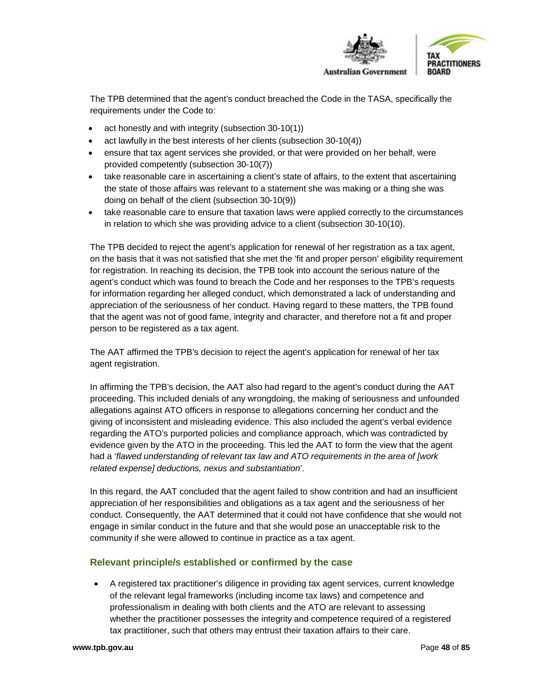

The TPB determined that the agent's conduct breached the Code in the TASA, specifically the requirements under the Code to:

- act honestly and with integrity (subsection 30-10(1))
- act lawfully in the best interests of her clients (subsection 30-10(4))
- ensure that tax agent services she provided, or that were provided on her behalf, were provided competently (subsection 30-10(7))
- take reasonable care in ascertaining a client's state of affairs, to the extent that ascertaining the state of those affairs was relevant to a statement she was making or a thing she was doing on behalf of the client (subsection 30-10(9))
- take reasonable care to ensure that taxation laws were applied correctly to the circumstances in relation to which she was providing advice to a client (subsection 30-10(10).

The TPB decided to reject the agent's application for renewal of her registration as a tax agent, on the basis that it was not satisfied that she met the 'fit and proper person' eligibility requirement for registration. In reaching its decision, the TPB took into account the serious nature of the agent's conduct which was found to breach the Code and her responses to the TPB's requests for information regarding her alleged conduct, which demonstrated a lack of understanding and appreciation of the seriousness of her conduct. Having regard to these matters, the TPB found that the agent was not of good fame, integrity and character, and therefore not a fit and proper person to be registered as a tax agent.

The AAT affirmed the TPB's decision to reject the agent's application for renewal of her tax agent registration.

In affirming the TPB's decision, the AAT also had regard to the agent's conduct during the AAT proceeding. This included denials of any wrongdoing, the making of seriousness and unfounded allegations against ATO officers in response to allegations concerning her conduct and the giving of inconsistent and misleading evidence. This also included the agent's verbal evidence regarding the ATO's purported policies and compliance approach, which was contradicted by evidence given by the ATO in the proceeding. This led the AAT to form the view that the agent had a '*flawed understanding of relevant tax law and ATO requirements in the area of [work related expense] deductions, nexus and substantiation*'.

In this regard, the AAT concluded that the agent failed to show contrition and had an insufficient appreciation of her responsibilities and obligations as a tax agent and the seriousness of her conduct. Consequently, the AAT determined that it could not have confidence that she would not engage in similar conduct in the future and that she would pose an unacceptable risk to the community if she were allowed to continue in practice as a tax agent.

# **Relevant principle/s established or confirmed by the case**

• A registered tax practitioner's diligence in providing tax agent services, current knowledge of the relevant legal frameworks (including income tax laws) and competence and professionalism in dealing with both clients and the ATO are relevant to assessing whether the practitioner possesses the integrity and competence required of a registered tax practitioner, such that others may entrust their taxation affairs to their care.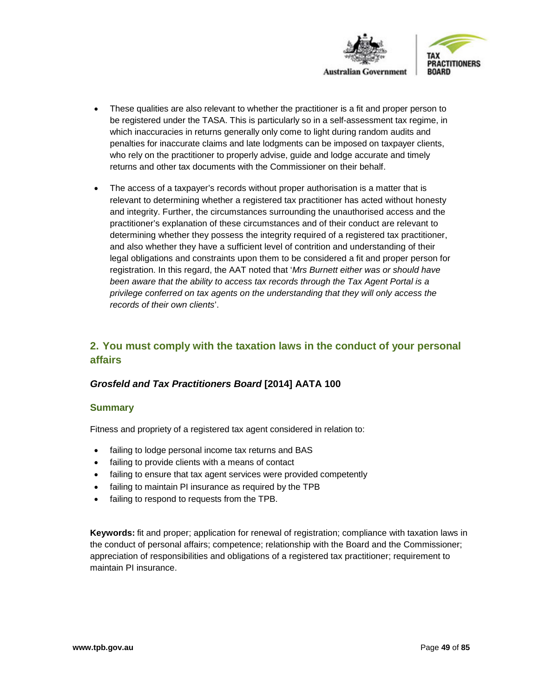

- These qualities are also relevant to whether the practitioner is a fit and proper person to be registered under the TASA. This is particularly so in a self-assessment tax regime, in which inaccuracies in returns generally only come to light during random audits and penalties for inaccurate claims and late lodgments can be imposed on taxpayer clients, who rely on the practitioner to properly advise, guide and lodge accurate and timely returns and other tax documents with the Commissioner on their behalf.
- The access of a taxpayer's records without proper authorisation is a matter that is relevant to determining whether a registered tax practitioner has acted without honesty and integrity. Further, the circumstances surrounding the unauthorised access and the practitioner's explanation of these circumstances and of their conduct are relevant to determining whether they possess the integrity required of a registered tax practitioner, and also whether they have a sufficient level of contrition and understanding of their legal obligations and constraints upon them to be considered a fit and proper person for registration. In this regard, the AAT noted that '*Mrs Burnett either was or should have been aware that the ability to access tax records through the Tax Agent Portal is a privilege conferred on tax agents on the understanding that they will only access the records of their own clients*'.

# **2. You must comply with the taxation laws in the conduct of your personal affairs**

# *Grosfeld and Tax Practitioners Board* **[2014] AATA 100**

#### **Summary**

Fitness and propriety of a registered tax agent considered in relation to:

- failing to lodge personal income tax returns and BAS
- failing to provide clients with a means of contact
- failing to ensure that tax agent services were provided competently
- failing to maintain PI insurance as required by the TPB
- failing to respond to requests from the TPB.

**Keywords:** fit and proper; application for renewal of registration; compliance with taxation laws in the conduct of personal affairs; competence; relationship with the Board and the Commissioner; appreciation of responsibilities and obligations of a registered tax practitioner; requirement to maintain PI insurance.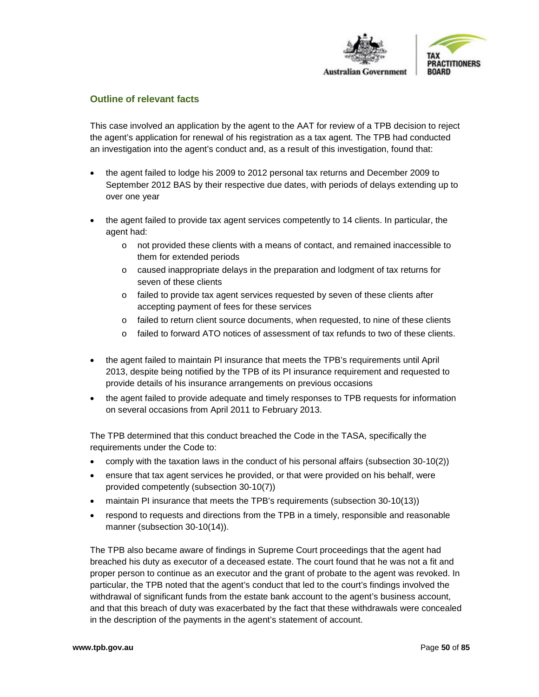

#### **Outline of relevant facts**

This case involved an application by the agent to the AAT for review of a TPB decision to reject the agent's application for renewal of his registration as a tax agent. The TPB had conducted an investigation into the agent's conduct and, as a result of this investigation, found that:

- the agent failed to lodge his 2009 to 2012 personal tax returns and December 2009 to September 2012 BAS by their respective due dates, with periods of delays extending up to over one year
- the agent failed to provide tax agent services competently to 14 clients. In particular, the agent had:
	- o not provided these clients with a means of contact, and remained inaccessible to them for extended periods
	- o caused inappropriate delays in the preparation and lodgment of tax returns for seven of these clients
	- o failed to provide tax agent services requested by seven of these clients after accepting payment of fees for these services
	- $\circ$  failed to return client source documents, when requested, to nine of these clients
	- o failed to forward ATO notices of assessment of tax refunds to two of these clients.
- the agent failed to maintain PI insurance that meets the TPB's requirements until April 2013, despite being notified by the TPB of its PI insurance requirement and requested to provide details of his insurance arrangements on previous occasions
- the agent failed to provide adequate and timely responses to TPB requests for information on several occasions from April 2011 to February 2013.

The TPB determined that this conduct breached the Code in the TASA, specifically the requirements under the Code to:

- comply with the taxation laws in the conduct of his personal affairs (subsection 30-10(2))
- ensure that tax agent services he provided, or that were provided on his behalf, were provided competently (subsection 30-10(7))
- maintain PI insurance that meets the TPB's requirements (subsection 30-10(13))
- respond to requests and directions from the TPB in a timely, responsible and reasonable manner (subsection 30-10(14)).

The TPB also became aware of findings in Supreme Court proceedings that the agent had breached his duty as executor of a deceased estate. The court found that he was not a fit and proper person to continue as an executor and the grant of probate to the agent was revoked. In particular, the TPB noted that the agent's conduct that led to the court's findings involved the withdrawal of significant funds from the estate bank account to the agent's business account, and that this breach of duty was exacerbated by the fact that these withdrawals were concealed in the description of the payments in the agent's statement of account.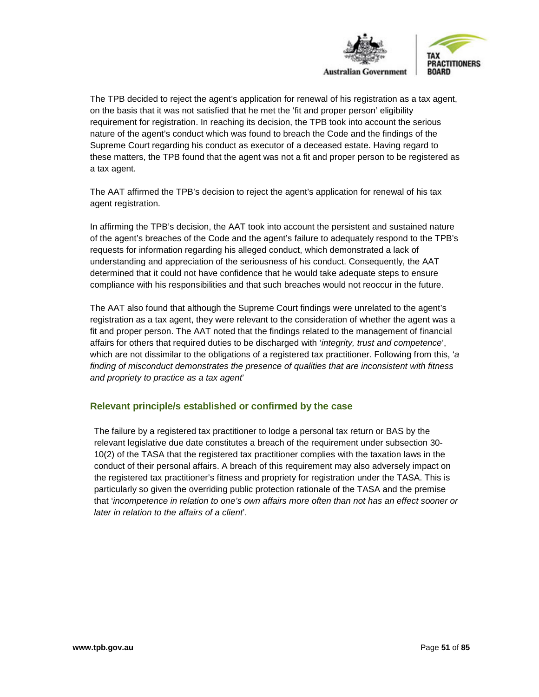

The TPB decided to reject the agent's application for renewal of his registration as a tax agent, on the basis that it was not satisfied that he met the 'fit and proper person' eligibility requirement for registration. In reaching its decision, the TPB took into account the serious nature of the agent's conduct which was found to breach the Code and the findings of the Supreme Court regarding his conduct as executor of a deceased estate. Having regard to these matters, the TPB found that the agent was not a fit and proper person to be registered as a tax agent.

The AAT affirmed the TPB's decision to reject the agent's application for renewal of his tax agent registration.

In affirming the TPB's decision, the AAT took into account the persistent and sustained nature of the agent's breaches of the Code and the agent's failure to adequately respond to the TPB's requests for information regarding his alleged conduct, which demonstrated a lack of understanding and appreciation of the seriousness of his conduct. Consequently, the AAT determined that it could not have confidence that he would take adequate steps to ensure compliance with his responsibilities and that such breaches would not reoccur in the future.

The AAT also found that although the Supreme Court findings were unrelated to the agent's registration as a tax agent, they were relevant to the consideration of whether the agent was a fit and proper person. The AAT noted that the findings related to the management of financial affairs for others that required duties to be discharged with '*integrity, trust and competence*', which are not dissimilar to the obligations of a registered tax practitioner. Following from this, '*a finding of misconduct demonstrates the presence of qualities that are inconsistent with fitness and propriety to practice as a tax agent*'

#### **Relevant principle/s established or confirmed by the case**

The failure by a registered tax practitioner to lodge a personal tax return or BAS by the relevant legislative due date constitutes a breach of the requirement under subsection 30- 10(2) of the TASA that the registered tax practitioner complies with the taxation laws in the conduct of their personal affairs. A breach of this requirement may also adversely impact on the registered tax practitioner's fitness and propriety for registration under the TASA. This is particularly so given the overriding public protection rationale of the TASA and the premise that '*incompetence in relation to one's own affairs more often than not has an effect sooner or later in relation to the affairs of a client*'.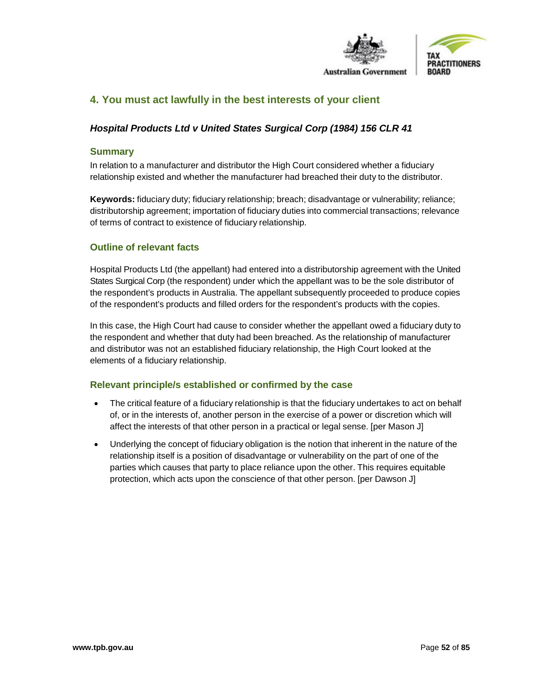

# **4. You must act lawfully in the best interests of your client**

## *Hospital Products Ltd v United States Surgical Corp (1984) 156 CLR 41*

#### **Summary**

In relation to a manufacturer and distributor the High Court considered whether a fiduciary relationship existed and whether the manufacturer had breached their duty to the distributor.

**Keywords:** fiduciary duty; fiduciary relationship; breach; disadvantage or vulnerability; reliance; distributorship agreement; importation of fiduciary duties into commercial transactions; relevance of terms of contract to existence of fiduciary relationship.

#### **Outline of relevant facts**

Hospital Products Ltd (the appellant) had entered into a distributorship agreement with the United States Surgical Corp (the respondent) under which the appellant was to be the sole distributor of the respondent's products in Australia. The appellant subsequently proceeded to produce copies of the respondent's products and filled orders for the respondent's products with the copies.

In this case, the High Court had cause to consider whether the appellant owed a fiduciary duty to the respondent and whether that duty had been breached. As the relationship of manufacturer and distributor was not an established fiduciary relationship, the High Court looked at the elements of a fiduciary relationship.

- The critical feature of a fiduciary relationship is that the fiduciary undertakes to act on behalf of, or in the interests of, another person in the exercise of a power or discretion which will affect the interests of that other person in a practical or legal sense. [per Mason J]
- Underlying the concept of fiduciary obligation is the notion that inherent in the nature of the relationship itself is a position of disadvantage or vulnerability on the part of one of the parties which causes that party to place reliance upon the other. This requires equitable protection, which acts upon the conscience of that other person. [per Dawson J]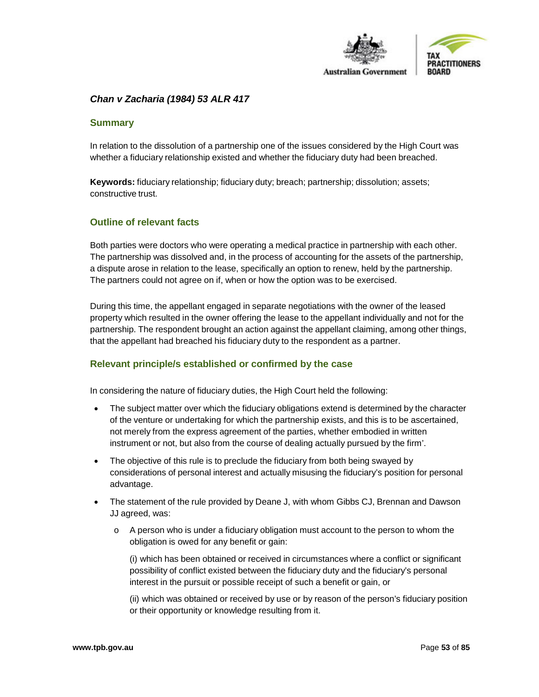

## *Chan v Zacharia (1984) 53 ALR 417*

#### **Summary**

In relation to the dissolution of a partnership one of the issues considered by the High Court was whether a fiduciary relationship existed and whether the fiduciary duty had been breached.

**Keywords:** fiduciary relationship; fiduciary duty; breach; partnership; dissolution; assets; constructive trust.

#### **Outline of relevant facts**

Both parties were doctors who were operating a medical practice in partnership with each other. The partnership was dissolved and, in the process of accounting for the assets of the partnership, a dispute arose in relation to the lease, specifically an option to renew, held by the partnership. The partners could not agree on if, when or how the option was to be exercised.

During this time, the appellant engaged in separate negotiations with the owner of the leased property which resulted in the owner offering the lease to the appellant individually and not for the partnership. The respondent brought an action against the appellant claiming, among other things, that the appellant had breached his fiduciary duty to the respondent as a partner.

#### **Relevant principle/s established or confirmed by the case**

In considering the nature of fiduciary duties, the High Court held the following:

- The subject matter over which the fiduciary obligations extend is determined by the character of the venture or undertaking for which the partnership exists, and this is to be ascertained, not merely from the express agreement of the parties, whether embodied in written instrument or not, but also from the course of dealing actually pursued by the firm'.
- The objective of this rule is to preclude the fiduciary from both being swayed by considerations of personal interest and actually misusing the fiduciary's position for personal advantage.
- The statement of the rule provided by Deane J, with whom Gibbs CJ, Brennan and Dawson JJ agreed, was:
	- o A person who is under a fiduciary obligation must account to the person to whom the obligation is owed for any benefit or gain:

(i) which has been obtained or received in circumstances where a conflict or significant possibility of conflict existed between the fiduciary duty and the fiduciary's personal interest in the pursuit or possible receipt of such a benefit or gain, or

(ii) which was obtained or received by use or by reason of the person's fiduciary position or their opportunity or knowledge resulting from it.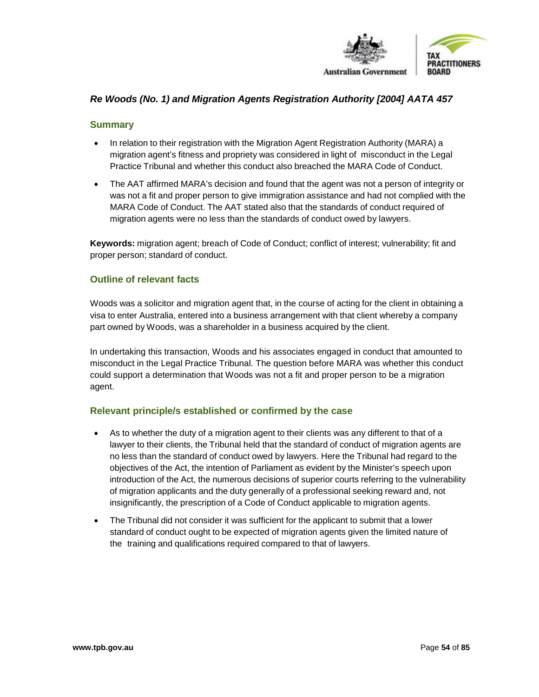

## *Re Woods (No. 1) and Migration Agents Registration Authority [2004] AATA 457*

#### **Summary**

- In relation to their registration with the Migration Agent Registration Authority (MARA) a migration agent's fitness and propriety was considered in light of misconduct in the Legal Practice Tribunal and whether this conduct also breached the MARA Code of Conduct.
- The AAT affirmed MARA's decision and found that the agent was not a person of integrity or was not a fit and proper person to give immigration assistance and had not complied with the MARA Code of Conduct. The AAT stated also that the standards of conduct required of migration agents were no less than the standards of conduct owed by lawyers.

**Keywords:** migration agent; breach of Code of Conduct; conflict of interest; vulnerability; fit and proper person; standard of conduct.

#### **Outline of relevant facts**

Woods was a solicitor and migration agent that, in the course of acting for the client in obtaining a visa to enter Australia, entered into a business arrangement with that client whereby a company part owned by Woods, was a shareholder in a business acquired by the client.

In undertaking this transaction, Woods and his associates engaged in conduct that amounted to misconduct in the Legal Practice Tribunal. The question before MARA was whether this conduct could support a determination that Woods was not a fit and proper person to be a migration agent.

- As to whether the duty of a migration agent to their clients was any different to that of a lawyer to their clients, the Tribunal held that the standard of conduct of migration agents are no less than the standard of conduct owed by lawyers. Here the Tribunal had regard to the objectives of the Act, the intention of Parliament as evident by the Minister's speech upon introduction of the Act, the numerous decisions of superior courts referring to the vulnerability of migration applicants and the duty generally of a professional seeking reward and, not insignificantly, the prescription of a Code of Conduct applicable to migration agents.
- The Tribunal did not consider it was sufficient for the applicant to submit that a lower standard of conduct ought to be expected of migration agents given the limited nature of the training and qualifications required compared to that of lawyers.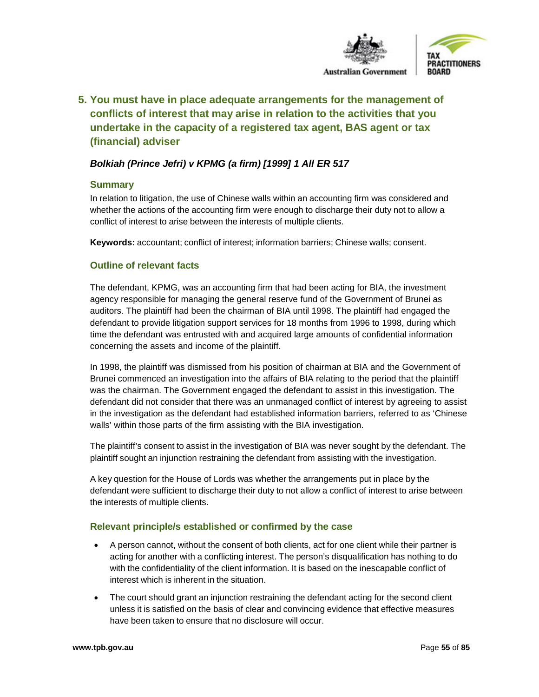

**5. You must have in place adequate arrangements for the management of conflicts of interest that may arise in relation to the activities that you undertake in the capacity of a registered tax agent, BAS agent or tax (financial) adviser**

# *Bolkiah (Prince Jefri) v KPMG (a firm) [1999] 1 All ER 517*

#### **Summary**

In relation to litigation, the use of Chinese walls within an accounting firm was considered and whether the actions of the accounting firm were enough to discharge their duty not to allow a conflict of interest to arise between the interests of multiple clients.

**Keywords:** accountant; conflict of interest; information barriers; Chinese walls; consent.

## **Outline of relevant facts**

The defendant, KPMG, was an accounting firm that had been acting for BIA, the investment agency responsible for managing the general reserve fund of the Government of Brunei as auditors. The plaintiff had been the chairman of BIA until 1998. The plaintiff had engaged the defendant to provide litigation support services for 18 months from 1996 to 1998, during which time the defendant was entrusted with and acquired large amounts of confidential information concerning the assets and income of the plaintiff.

In 1998, the plaintiff was dismissed from his position of chairman at BIA and the Government of Brunei commenced an investigation into the affairs of BIA relating to the period that the plaintiff was the chairman. The Government engaged the defendant to assist in this investigation. The defendant did not consider that there was an unmanaged conflict of interest by agreeing to assist in the investigation as the defendant had established information barriers, referred to as 'Chinese walls' within those parts of the firm assisting with the BIA investigation.

The plaintiff's consent to assist in the investigation of BIA was never sought by the defendant. The plaintiff sought an injunction restraining the defendant from assisting with the investigation.

A key question for the House of Lords was whether the arrangements put in place by the defendant were sufficient to discharge their duty to not allow a conflict of interest to arise between the interests of multiple clients.

- A person cannot, without the consent of both clients, act for one client while their partner is acting for another with a conflicting interest. The person's disqualification has nothing to do with the confidentiality of the client information. It is based on the inescapable conflict of interest which is inherent in the situation.
- The court should grant an injunction restraining the defendant acting for the second client unless it is satisfied on the basis of clear and convincing evidence that effective measures have been taken to ensure that no disclosure will occur.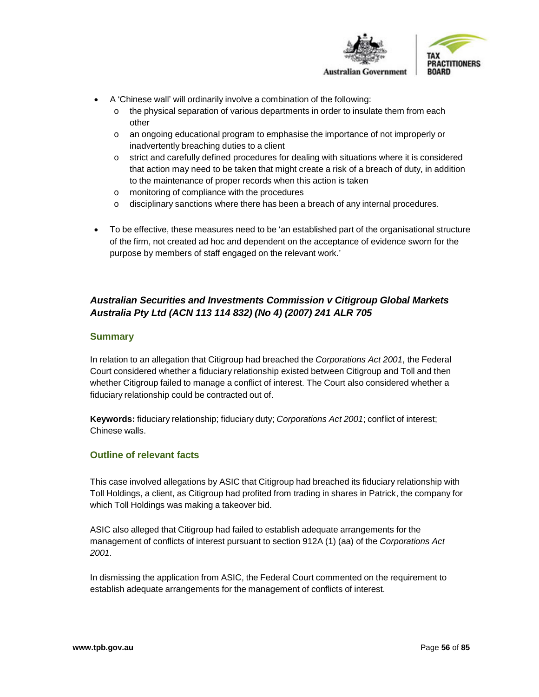

- A 'Chinese wall' will ordinarily involve a combination of the following:
	- o the physical separation of various departments in order to insulate them from each other
	- o an ongoing educational program to emphasise the importance of not improperly or inadvertently breaching duties to a client
	- o strict and carefully defined procedures for dealing with situations where it is considered that action may need to be taken that might create a risk of a breach of duty, in addition to the maintenance of proper records when this action is taken
	- o monitoring of compliance with the procedures
	- $\circ$  disciplinary sanctions where there has been a breach of any internal procedures.
- To be effective, these measures need to be 'an established part of the organisational structure of the firm, not created ad hoc and dependent on the acceptance of evidence sworn for the purpose by members of staff engaged on the relevant work.'

# *Australian Securities and Investments Commission v Citigroup Global Markets Australia Pty Ltd (ACN 113 114 832) (No 4) (2007) 241 ALR 705*

#### **Summary**

In relation to an allegation that Citigroup had breached the *Corporations Act 2001*, the Federal Court considered whether a fiduciary relationship existed between Citigroup and Toll and then whether Citigroup failed to manage a conflict of interest. The Court also considered whether a fiduciary relationship could be contracted out of.

**Keywords:** fiduciary relationship; fiduciary duty; *Corporations Act 2001*; conflict of interest; Chinese walls.

#### **Outline of relevant facts**

This case involved allegations by ASIC that Citigroup had breached its fiduciary relationship with Toll Holdings, a client, as Citigroup had profited from trading in shares in Patrick, the company for which Toll Holdings was making a takeover bid.

ASIC also alleged that Citigroup had failed to establish adequate arrangements for the management of conflicts of interest pursuant to section 912A (1) (aa) of the *Corporations Act 2001*.

In dismissing the application from ASIC, the Federal Court commented on the requirement to establish adequate arrangements for the management of conflicts of interest.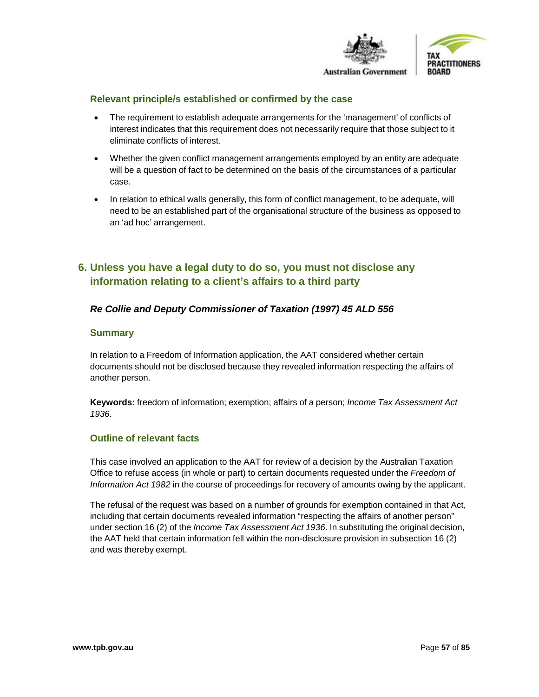

# **PRACTITIONERS**

#### **Relevant principle/s established or confirmed by the case**

- The requirement to establish adequate arrangements for the 'management' of conflicts of interest indicates that this requirement does not necessarily require that those subject to it eliminate conflicts of interest.
- Whether the given conflict management arrangements employed by an entity are adequate will be a question of fact to be determined on the basis of the circumstances of a particular case.
- In relation to ethical walls generally, this form of conflict management, to be adequate, will need to be an established part of the organisational structure of the business as opposed to an 'ad hoc' arrangement.

# **6. Unless you have a legal duty to do so, you must not disclose any information relating to a client's affairs to a third party**

## *Re Collie and Deputy Commissioner of Taxation (1997) 45 ALD 556*

#### **Summary**

In relation to a Freedom of Information application, the AAT considered whether certain documents should not be disclosed because they revealed information respecting the affairs of another person.

**Keywords:** freedom of information; exemption; affairs of a person; *Income Tax Assessment Act 1936*.

#### **Outline of relevant facts**

This case involved an application to the AAT for review of a decision by the Australian Taxation Office to refuse access (in whole or part) to certain documents requested under the *Freedom of Information Act 1982* in the course of proceedings for recovery of amounts owing by the applicant.

The refusal of the request was based on a number of grounds for exemption contained in that Act, including that certain documents revealed information "respecting the affairs of another person" under section 16 (2) of the *Income Tax Assessment Act 1936*. In substituting the original decision, the AAT held that certain information fell within the non-disclosure provision in subsection 16 (2) and was thereby exempt.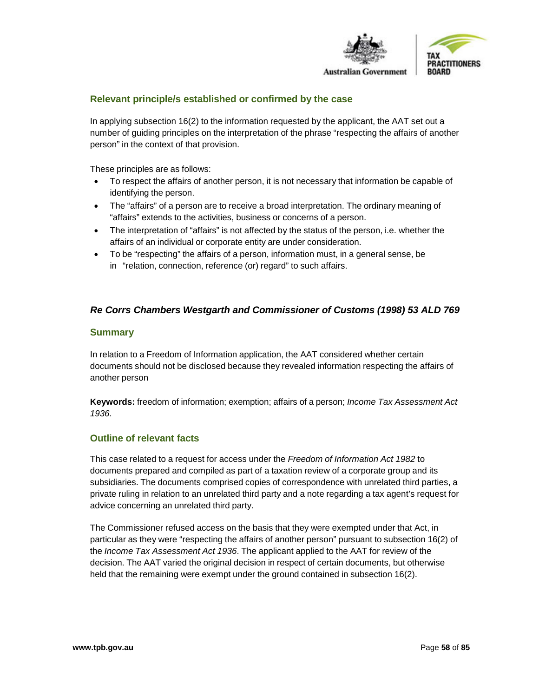

#### **Relevant principle/s established or confirmed by the case**

In applying subsection 16(2) to the information requested by the applicant, the AAT set out a number of guiding principles on the interpretation of the phrase "respecting the affairs of another person" in the context of that provision.

These principles are as follows:

- To respect the affairs of another person, it is not necessary that information be capable of identifying the person.
- The "affairs" of a person are to receive a broad interpretation. The ordinary meaning of "affairs" extends to the activities, business or concerns of a person.
- The interpretation of "affairs" is not affected by the status of the person, i.e. whether the affairs of an individual or corporate entity are under consideration.
- To be "respecting" the affairs of a person, information must, in a general sense, be in "relation, connection, reference (or) regard" to such affairs.

## *Re Corrs Chambers Westgarth and Commissioner of Customs (1998) 53 ALD 769*

#### **Summary**

In relation to a Freedom of Information application, the AAT considered whether certain documents should not be disclosed because they revealed information respecting the affairs of another person

**Keywords:** freedom of information; exemption; affairs of a person; *Income Tax Assessment Act 1936*.

#### **Outline of relevant facts**

This case related to a request for access under the *Freedom of Information Act 1982* to documents prepared and compiled as part of a taxation review of a corporate group and its subsidiaries. The documents comprised copies of correspondence with unrelated third parties, a private ruling in relation to an unrelated third party and a note regarding a tax agent's request for advice concerning an unrelated third party.

The Commissioner refused access on the basis that they were exempted under that Act, in particular as they were "respecting the affairs of another person" pursuant to subsection 16(2) of the *Income Tax Assessment Act 1936*. The applicant applied to the AAT for review of the decision. The AAT varied the original decision in respect of certain documents, but otherwise held that the remaining were exempt under the ground contained in subsection 16(2).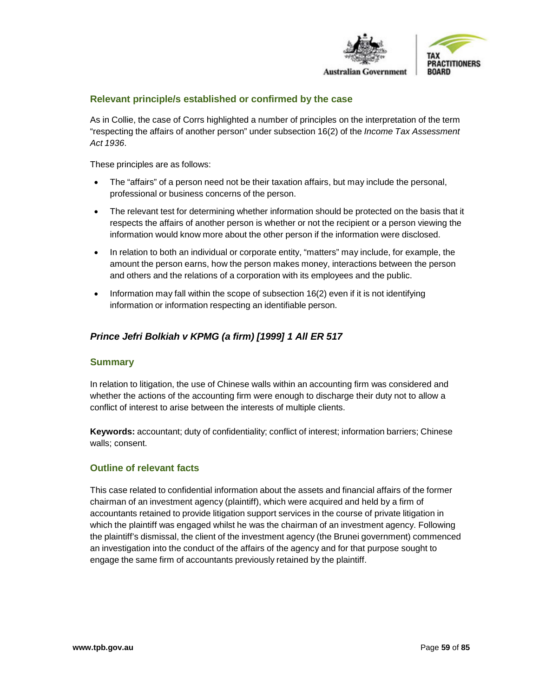

#### **Relevant principle/s established or confirmed by the case**

As in Collie, the case of Corrs highlighted a number of principles on the interpretation of the term "respecting the affairs of another person" under subsection 16(2) of the *Income Tax Assessment Act 1936*.

These principles are as follows:

- The "affairs" of a person need not be their taxation affairs, but may include the personal, professional or business concerns of the person.
- The relevant test for determining whether information should be protected on the basis that it respects the affairs of another person is whether or not the recipient or a person viewing the information would know more about the other person if the information were disclosed.
- In relation to both an individual or corporate entity, "matters" may include, for example, the amount the person earns, how the person makes money, interactions between the person and others and the relations of a corporation with its employees and the public.
- Information may fall within the scope of subsection 16(2) even if it is not identifying information or information respecting an identifiable person.

# *Prince Jefri Bolkiah v KPMG (a firm) [1999] 1 All ER 517*

#### **Summary**

In relation to litigation, the use of Chinese walls within an accounting firm was considered and whether the actions of the accounting firm were enough to discharge their duty not to allow a conflict of interest to arise between the interests of multiple clients.

**Keywords:** accountant; duty of confidentiality; conflict of interest; information barriers; Chinese walls; consent.

#### **Outline of relevant facts**

This case related to confidential information about the assets and financial affairs of the former chairman of an investment agency (plaintiff), which were acquired and held by a firm of accountants retained to provide litigation support services in the course of private litigation in which the plaintiff was engaged whilst he was the chairman of an investment agency. Following the plaintiff's dismissal, the client of the investment agency (the Brunei government) commenced an investigation into the conduct of the affairs of the agency and for that purpose sought to engage the same firm of accountants previously retained by the plaintiff.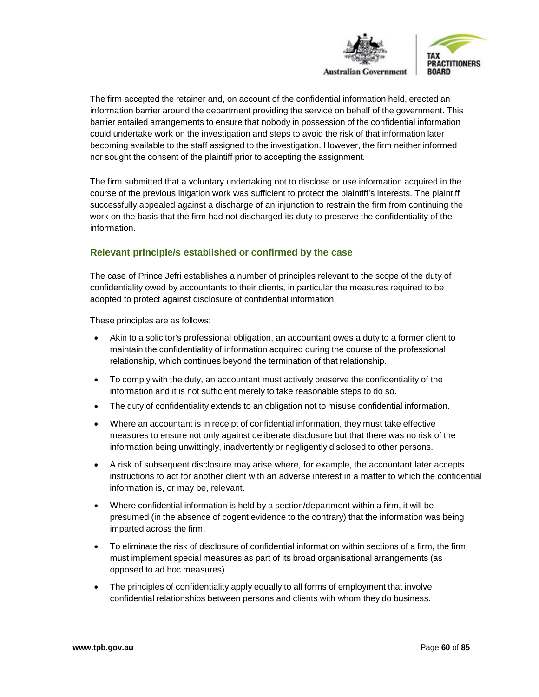

The firm accepted the retainer and, on account of the confidential information held, erected an information barrier around the department providing the service on behalf of the government. This barrier entailed arrangements to ensure that nobody in possession of the confidential information could undertake work on the investigation and steps to avoid the risk of that information later becoming available to the staff assigned to the investigation. However, the firm neither informed nor sought the consent of the plaintiff prior to accepting the assignment.

The firm submitted that a voluntary undertaking not to disclose or use information acquired in the course of the previous litigation work was sufficient to protect the plaintiff's interests. The plaintiff successfully appealed against a discharge of an injunction to restrain the firm from continuing the work on the basis that the firm had not discharged its duty to preserve the confidentiality of the information.

# **Relevant principle/s established or confirmed by the case**

The case of Prince Jefri establishes a number of principles relevant to the scope of the duty of confidentiality owed by accountants to their clients, in particular the measures required to be adopted to protect against disclosure of confidential information.

These principles are as follows:

- Akin to a solicitor's professional obligation, an accountant owes a duty to a former client to maintain the confidentiality of information acquired during the course of the professional relationship, which continues beyond the termination of that relationship.
- To comply with the duty, an accountant must actively preserve the confidentiality of the information and it is not sufficient merely to take reasonable steps to do so.
- The duty of confidentiality extends to an obligation not to misuse confidential information.
- Where an accountant is in receipt of confidential information, they must take effective measures to ensure not only against deliberate disclosure but that there was no risk of the information being unwittingly, inadvertently or negligently disclosed to other persons.
- A risk of subsequent disclosure may arise where, for example, the accountant later accepts instructions to act for another client with an adverse interest in a matter to which the confidential information is, or may be, relevant.
- Where confidential information is held by a section/department within a firm, it will be presumed (in the absence of cogent evidence to the contrary) that the information was being imparted across the firm.
- To eliminate the risk of disclosure of confidential information within sections of a firm, the firm must implement special measures as part of its broad organisational arrangements (as opposed to ad hoc measures).
- The principles of confidentiality apply equally to all forms of employment that involve confidential relationships between persons and clients with whom they do business.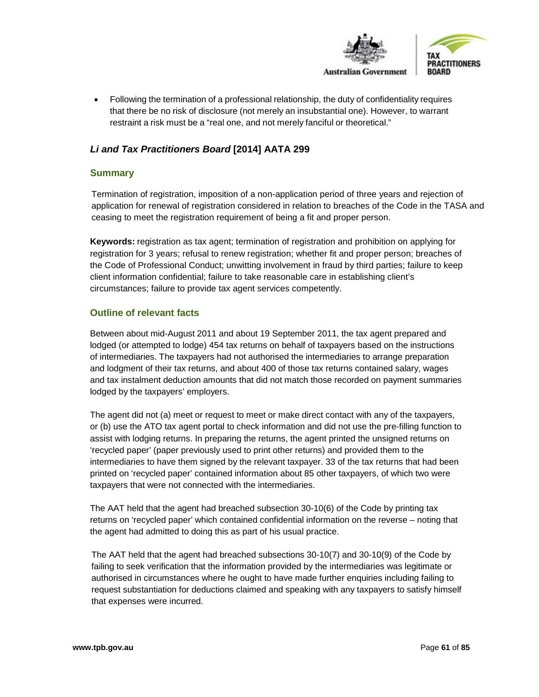

• Following the termination of a professional relationship, the duty of confidentiality requires that there be no risk of disclosure (not merely an insubstantial one). However, to warrant restraint a risk must be a "real one, and not merely fanciful or theoretical."

# *Li and Tax Practitioners Board* **[2014] AATA 299**

#### **Summary**

Termination of registration, imposition of a non-application period of three years and rejection of application for renewal of registration considered in relation to breaches of the Code in the TASA and ceasing to meet the registration requirement of being a fit and proper person.

**Keywords:** registration as tax agent; termination of registration and prohibition on applying for registration for 3 years; refusal to renew registration; whether fit and proper person; breaches of the Code of Professional Conduct; unwitting involvement in fraud by third parties; failure to keep client information confidential; failure to take reasonable care in establishing client's circumstances; failure to provide tax agent services competently.

#### **Outline of relevant facts**

Between about mid-August 2011 and about 19 September 2011, the tax agent prepared and lodged (or attempted to lodge) 454 tax returns on behalf of taxpayers based on the instructions of intermediaries. The taxpayers had not authorised the intermediaries to arrange preparation and lodgment of their tax returns, and about 400 of those tax returns contained salary, wages and tax instalment deduction amounts that did not match those recorded on payment summaries lodged by the taxpayers' employers.

The agent did not (a) meet or request to meet or make direct contact with any of the taxpayers, or (b) use the ATO tax agent portal to check information and did not use the pre-filling function to assist with lodging returns. In preparing the returns, the agent printed the unsigned returns on 'recycled paper' (paper previously used to print other returns) and provided them to the intermediaries to have them signed by the relevant taxpayer. 33 of the tax returns that had been printed on 'recycled paper' contained information about 85 other taxpayers, of which two were taxpayers that were not connected with the intermediaries.

The AAT held that the agent had breached subsection 30-10(6) of the Code by printing tax returns on 'recycled paper' which contained confidential information on the reverse – noting that the agent had admitted to doing this as part of his usual practice.

The AAT held that the agent had breached subsections 30-10(7) and 30-10(9) of the Code by failing to seek verification that the information provided by the intermediaries was legitimate or authorised in circumstances where he ought to have made further enquiries including failing to request substantiation for deductions claimed and speaking with any taxpayers to satisfy himself that expenses were incurred.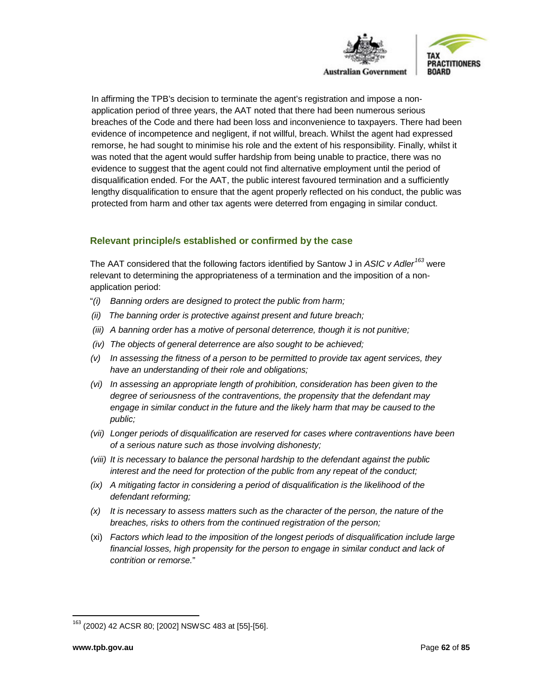

In affirming the TPB's decision to terminate the agent's registration and impose a nonapplication period of three years, the AAT noted that there had been numerous serious breaches of the Code and there had been loss and inconvenience to taxpayers. There had been evidence of incompetence and negligent, if not willful, breach. Whilst the agent had expressed remorse, he had sought to minimise his role and the extent of his responsibility. Finally, whilst it was noted that the agent would suffer hardship from being unable to practice, there was no evidence to suggest that the agent could not find alternative employment until the period of disqualification ended. For the AAT, the public interest favoured termination and a sufficiently lengthy disqualification to ensure that the agent properly reflected on his conduct, the public was protected from harm and other tax agents were deterred from engaging in similar conduct.

## **Relevant principle/s established or confirmed by the case**

The AAT considered that the following factors identified by Santow J in *ASIC v Adler[163](#page-61-0)* were relevant to determining the appropriateness of a termination and the imposition of a nonapplication period:

- "*(i) Banning orders are designed to protect the public from harm;*
- *(ii) The banning order is protective against present and future breach;*
- *(iii) A banning order has a motive of personal deterrence, though it is not punitive;*
- *(iv) The objects of general deterrence are also sought to be achieved;*
- *(v) In assessing the fitness of a person to be permitted to provide tax agent services, they have an understanding of their role and obligations;*
- *(vi) In assessing an appropriate length of prohibition, consideration has been given to the degree of seriousness of the contraventions, the propensity that the defendant may engage in similar conduct in the future and the likely harm that may be caused to the public;*
- *(vii) Longer periods of disqualification are reserved for cases where contraventions have been of a serious nature such as those involving dishonesty;*
- *(viii) It is necessary to balance the personal hardship to the defendant against the public interest and the need for protection of the public from any repeat of the conduct;*
- *(ix) A mitigating factor in considering a period of disqualification is the likelihood of the defendant reforming;*
- *(x) It is necessary to assess matters such as the character of the person, the nature of the breaches, risks to others from the continued registration of the person;*
- (xi) *Factors which lead to the imposition of the longest periods of disqualification include large financial losses, high propensity for the person to engage in similar conduct and lack of contrition or remorse.*"

<span id="page-61-0"></span> <sup>163</sup> (2002) 42 ACSR 80; [2002] NSWSC 483 at [55]-[56].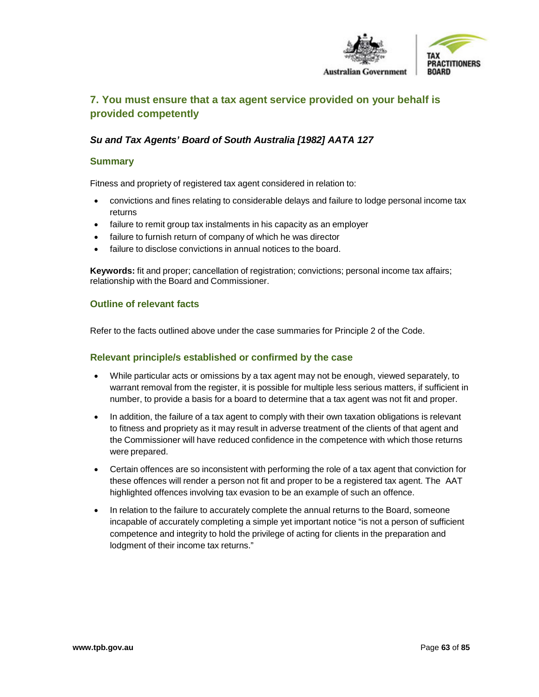

# **7. You must ensure that a tax agent service provided on your behalf is provided competently**

# *Su and Tax Agents' Board of South Australia [1982] AATA 127*

#### **Summary**

Fitness and propriety of registered tax agent considered in relation to:

- convictions and fines relating to considerable delays and failure to lodge personal income tax returns
- failure to remit group tax instalments in his capacity as an employer
- failure to furnish return of company of which he was director
- failure to disclose convictions in annual notices to the board.

**Keywords:** fit and proper; cancellation of registration; convictions; personal income tax affairs; relationship with the Board and Commissioner.

#### **Outline of relevant facts**

Refer to the facts outlined above under the case summaries for Principle 2 of the Code.

- While particular acts or omissions by a tax agent may not be enough, viewed separately, to warrant removal from the register, it is possible for multiple less serious matters, if sufficient in number, to provide a basis for a board to determine that a tax agent was not fit and proper.
- In addition, the failure of a tax agent to comply with their own taxation obligations is relevant to fitness and propriety as it may result in adverse treatment of the clients of that agent and the Commissioner will have reduced confidence in the competence with which those returns were prepared.
- Certain offences are so inconsistent with performing the role of a tax agent that conviction for these offences will render a person not fit and proper to be a registered tax agent. The AAT highlighted offences involving tax evasion to be an example of such an offence.
- In relation to the failure to accurately complete the annual returns to the Board, someone incapable of accurately completing a simple yet important notice "is not a person of sufficient competence and integrity to hold the privilege of acting for clients in the preparation and lodgment of their income tax returns."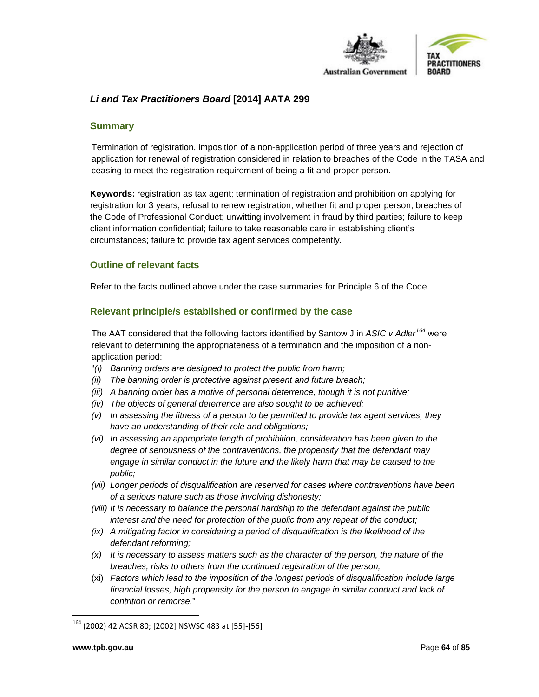

# *Li and Tax Practitioners Board* **[2014] AATA 299**

#### **Summary**

Termination of registration, imposition of a non-application period of three years and rejection of application for renewal of registration considered in relation to breaches of the Code in the TASA and ceasing to meet the registration requirement of being a fit and proper person.

**Keywords:** registration as tax agent; termination of registration and prohibition on applying for registration for 3 years; refusal to renew registration; whether fit and proper person; breaches of the Code of Professional Conduct; unwitting involvement in fraud by third parties; failure to keep client information confidential; failure to take reasonable care in establishing client's circumstances; failure to provide tax agent services competently.

#### **Outline of relevant facts**

Refer to the facts outlined above under the case summaries for Principle 6 of the Code.

#### **Relevant principle/s established or confirmed by the case**

The AAT considered that the following factors identified by Santow J in *ASIC v Adler[164](#page-63-0)* were relevant to determining the appropriateness of a termination and the imposition of a nonapplication period:

- "*(i) Banning orders are designed to protect the public from harm;*
- *(ii) The banning order is protective against present and future breach;*
- *(iii) A banning order has a motive of personal deterrence, though it is not punitive;*
- *(iv) The objects of general deterrence are also sought to be achieved;*
- *(v) In assessing the fitness of a person to be permitted to provide tax agent services, they have an understanding of their role and obligations;*
- *(vi) In assessing an appropriate length of prohibition, consideration has been given to the degree of seriousness of the contraventions, the propensity that the defendant may engage in similar conduct in the future and the likely harm that may be caused to the public;*
- *(vii) Longer periods of disqualification are reserved for cases where contraventions have been of a serious nature such as those involving dishonesty;*
- *(viii) It is necessary to balance the personal hardship to the defendant against the public interest and the need for protection of the public from any repeat of the conduct;*
- *(ix) A mitigating factor in considering a period of disqualification is the likelihood of the defendant reforming;*
- *(x) It is necessary to assess matters such as the character of the person, the nature of the breaches, risks to others from the continued registration of the person;*
- (xi) *Factors which lead to the imposition of the longest periods of disqualification include large financial losses, high propensity for the person to engage in similar conduct and lack of contrition or remorse.*"

<span id="page-63-0"></span> <sup>164</sup> (2002) 42 ACSR 80; [2002] NSWSC 483 at [55]-[56]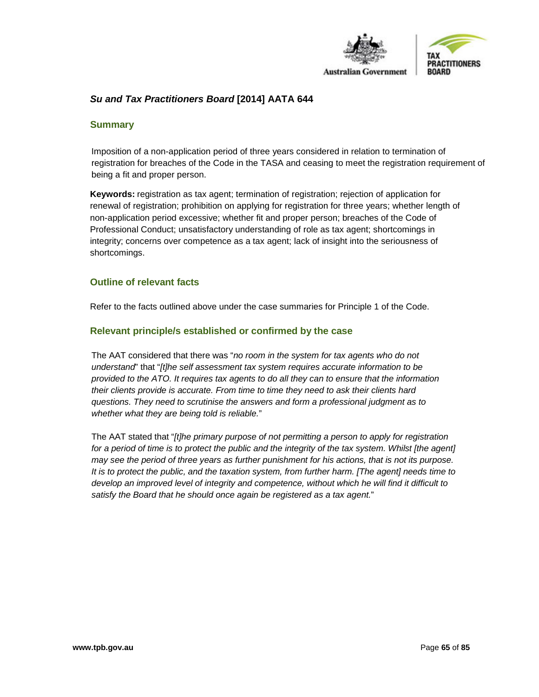

# *Su and Tax Practitioners Board* **[2014] AATA 644**

#### **Summary**

Imposition of a non-application period of three years considered in relation to termination of registration for breaches of the Code in the TASA and ceasing to meet the registration requirement of being a fit and proper person.

**Keywords:** registration as tax agent; termination of registration; rejection of application for renewal of registration; prohibition on applying for registration for three years; whether length of non-application period excessive; whether fit and proper person; breaches of the Code of Professional Conduct; unsatisfactory understanding of role as tax agent; shortcomings in integrity; concerns over competence as a tax agent; lack of insight into the seriousness of shortcomings.

#### **Outline of relevant facts**

Refer to the facts outlined above under the case summaries for Principle 1 of the Code.

#### **Relevant principle/s established or confirmed by the case**

The AAT considered that there was "*no room in the system for tax agents who do not understand*" that "*[t]he self assessment tax system requires accurate information to be provided to the ATO. It requires tax agents to do all they can to ensure that the information their clients provide is accurate. From time to time they need to ask their clients hard questions. They need to scrutinise the answers and form a professional judgment as to whether what they are being told is reliable.*"

The AAT stated that "*[t]he primary purpose of not permitting a person to apply for registration*  for a period of time is to protect the public and the integrity of the tax system. Whilst [the agent] *may see the period of three years as further punishment for his actions, that is not its purpose. It is to protect the public, and the taxation system, from further harm. [The agent] needs time to*  develop an improved level of integrity and competence, without which he will find it difficult to *satisfy the Board that he should once again be registered as a tax agent.*"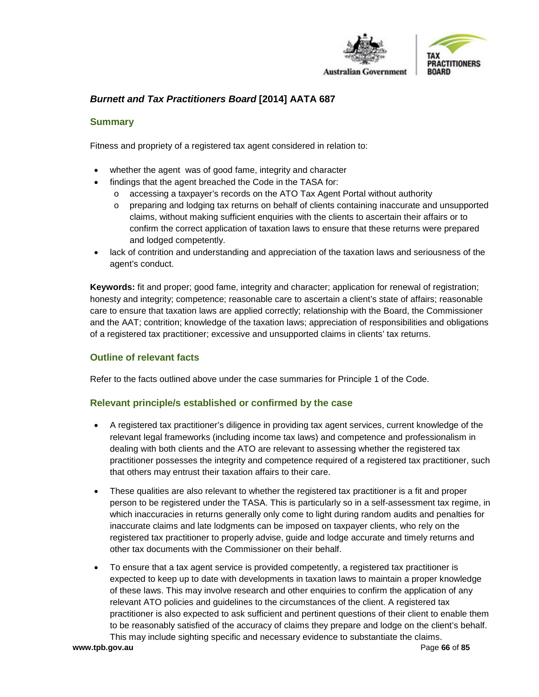

# *Burnett and Tax Practitioners Board* **[2014] AATA 687**

#### **Summary**

Fitness and propriety of a registered tax agent considered in relation to:

- whether the agent was of good fame, integrity and character
- findings that the agent breached the Code in the TASA for:
	- o accessing a taxpayer's records on the ATO Tax Agent Portal without authority
	- o preparing and lodging tax returns on behalf of clients containing inaccurate and unsupported claims, without making sufficient enquiries with the clients to ascertain their affairs or to confirm the correct application of taxation laws to ensure that these returns were prepared and lodged competently.
- lack of contrition and understanding and appreciation of the taxation laws and seriousness of the agent's conduct.

**Keywords:** fit and proper; good fame, integrity and character; application for renewal of registration; honesty and integrity; competence; reasonable care to ascertain a client's state of affairs; reasonable care to ensure that taxation laws are applied correctly; relationship with the Board, the Commissioner and the AAT; contrition; knowledge of the taxation laws; appreciation of responsibilities and obligations of a registered tax practitioner; excessive and unsupported claims in clients' tax returns.

#### **Outline of relevant facts**

Refer to the facts outlined above under the case summaries for Principle 1 of the Code.

- A registered tax practitioner's diligence in providing tax agent services, current knowledge of the relevant legal frameworks (including income tax laws) and competence and professionalism in dealing with both clients and the ATO are relevant to assessing whether the registered tax practitioner possesses the integrity and competence required of a registered tax practitioner, such that others may entrust their taxation affairs to their care.
- These qualities are also relevant to whether the registered tax practitioner is a fit and proper person to be registered under the TASA. This is particularly so in a self-assessment tax regime, in which inaccuracies in returns generally only come to light during random audits and penalties for inaccurate claims and late lodgments can be imposed on taxpayer clients, who rely on the registered tax practitioner to properly advise, guide and lodge accurate and timely returns and other tax documents with the Commissioner on their behalf.
- To ensure that a tax agent service is provided competently, a registered tax practitioner is expected to keep up to date with developments in taxation laws to maintain a proper knowledge of these laws. This may involve research and other enquiries to confirm the application of any relevant ATO policies and guidelines to the circumstances of the client. A registered tax practitioner is also expected to ask sufficient and pertinent questions of their client to enable them to be reasonably satisfied of the accuracy of claims they prepare and lodge on the client's behalf. This may include sighting specific and necessary evidence to substantiate the claims.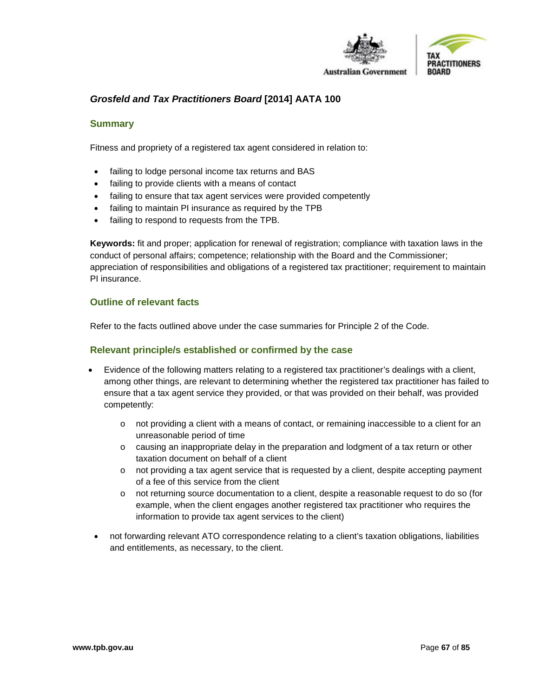

# *Grosfeld and Tax Practitioners Board* **[2014] AATA 100**

#### **Summary**

Fitness and propriety of a registered tax agent considered in relation to:

- failing to lodge personal income tax returns and BAS
- failing to provide clients with a means of contact
- failing to ensure that tax agent services were provided competently
- failing to maintain PI insurance as required by the TPB
- failing to respond to requests from the TPB.

**Keywords:** fit and proper; application for renewal of registration; compliance with taxation laws in the conduct of personal affairs; competence; relationship with the Board and the Commissioner; appreciation of responsibilities and obligations of a registered tax practitioner; requirement to maintain PI insurance.

#### **Outline of relevant facts**

Refer to the facts outlined above under the case summaries for Principle 2 of the Code.

- Evidence of the following matters relating to a registered tax practitioner's dealings with a client, among other things, are relevant to determining whether the registered tax practitioner has failed to ensure that a tax agent service they provided, or that was provided on their behalf, was provided competently:
	- $\circ$  not providing a client with a means of contact, or remaining inaccessible to a client for an unreasonable period of time
	- o causing an inappropriate delay in the preparation and lodgment of a tax return or other taxation document on behalf of a client
	- $\circ$  not providing a tax agent service that is requested by a client, despite accepting payment of a fee of this service from the client
	- o not returning source documentation to a client, despite a reasonable request to do so (for example, when the client engages another registered tax practitioner who requires the information to provide tax agent services to the client)
- not forwarding relevant ATO correspondence relating to a client's taxation obligations, liabilities and entitlements, as necessary, to the client.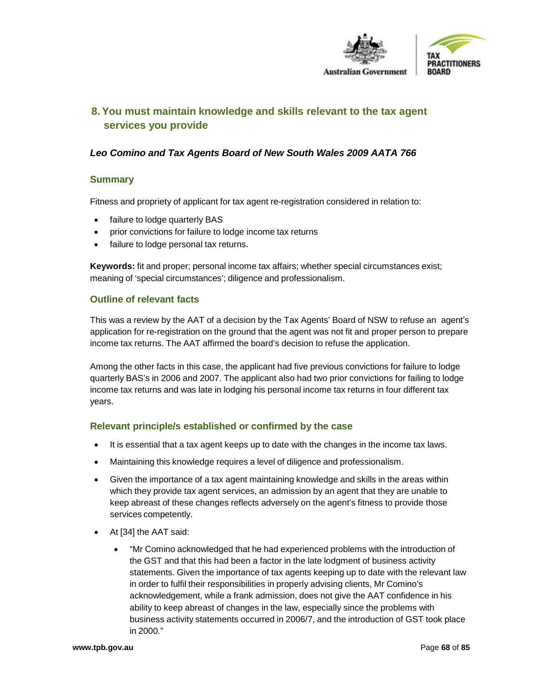

# **8.You must maintain knowledge and skills relevant to the tax agent services you provide**

# *Leo Comino and Tax Agents Board of New South Wales 2009 AATA 766*

#### **Summary**

Fitness and propriety of applicant for tax agent re-registration considered in relation to:

- failure to lodge quarterly BAS
- prior convictions for failure to lodge income tax returns
- failure to lodge personal tax returns.

**Keywords:** fit and proper; personal income tax affairs; whether special circumstances exist; meaning of 'special circumstances'; diligence and professionalism.

#### **Outline of relevant facts**

This was a review by the AAT of a decision by the Tax Agents' Board of NSW to refuse an agent's application for re-registration on the ground that the agent was not fit and proper person to prepare income tax returns. The AAT affirmed the board's decision to refuse the application.

Among the other facts in this case, the applicant had five previous convictions for failure to lodge quarterly BAS's in 2006 and 2007. The applicant also had two prior convictions for failing to lodge income tax returns and was late in lodging his personal income tax returns in four different tax years.

- It is essential that a tax agent keeps up to date with the changes in the income tax laws.
- Maintaining this knowledge requires a level of diligence and professionalism.
- Given the importance of a tax agent maintaining knowledge and skills in the areas within which they provide tax agent services, an admission by an agent that they are unable to keep abreast of these changes reflects adversely on the agent's fitness to provide those services competently.
- At [34] the AAT said:
	- "Mr Comino acknowledged that he had experienced problems with the introduction of the GST and that this had been a factor in the late lodgment of business activity statements. Given the importance of tax agents keeping up to date with the relevant law in order to fulfil their responsibilities in properly advising clients, Mr Comino's acknowledgement, while a frank admission, does not give the AAT confidence in his ability to keep abreast of changes in the law, especially since the problems with business activity statements occurred in 2006/7, and the introduction of GST took place in 2000."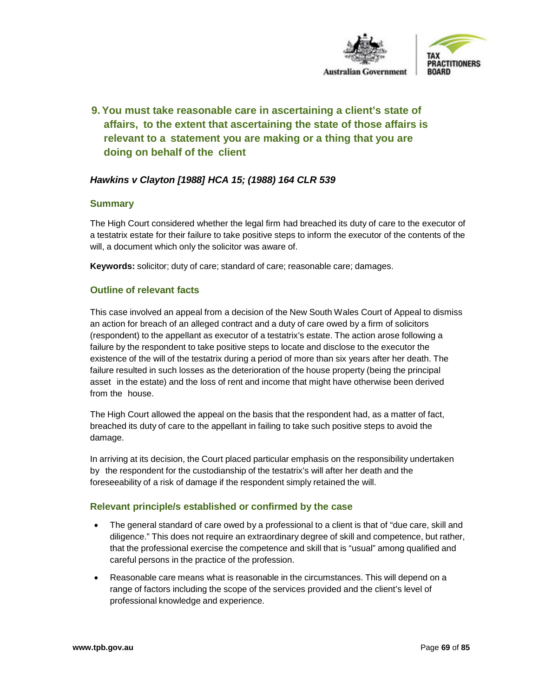

# **9.You must take reasonable care in ascertaining a client's state of affairs, to the extent that ascertaining the state of those affairs is relevant to a statement you are making or a thing that you are doing on behalf of the client**

# *Hawkins v Clayton [1988] HCA 15; (1988) 164 CLR 539*

#### **Summary**

The High Court considered whether the legal firm had breached its duty of care to the executor of a testatrix estate for their failure to take positive steps to inform the executor of the contents of the will, a document which only the solicitor was aware of.

**Keywords:** solicitor; duty of care; standard of care; reasonable care; damages.

## **Outline of relevant facts**

This case involved an appeal from a decision of the New South Wales Court of Appeal to dismiss an action for breach of an alleged contract and a duty of care owed by a firm of solicitors (respondent) to the appellant as executor of a testatrix's estate. The action arose following a failure by the respondent to take positive steps to locate and disclose to the executor the existence of the will of the testatrix during a period of more than six years after her death. The failure resulted in such losses as the deterioration of the house property (being the principal asset in the estate) and the loss of rent and income that might have otherwise been derived from the house.

The High Court allowed the appeal on the basis that the respondent had, as a matter of fact, breached its duty of care to the appellant in failing to take such positive steps to avoid the damage.

In arriving at its decision, the Court placed particular emphasis on the responsibility undertaken by the respondent for the custodianship of the testatrix's will after her death and the foreseeability of a risk of damage if the respondent simply retained the will.

- The general standard of care owed by a professional to a client is that of "due care, skill and diligence." This does not require an extraordinary degree of skill and competence, but rather, that the professional exercise the competence and skill that is "usual" among qualified and careful persons in the practice of the profession.
- Reasonable care means what is reasonable in the circumstances. This will depend on a range of factors including the scope of the services provided and the client's level of professional knowledge and experience.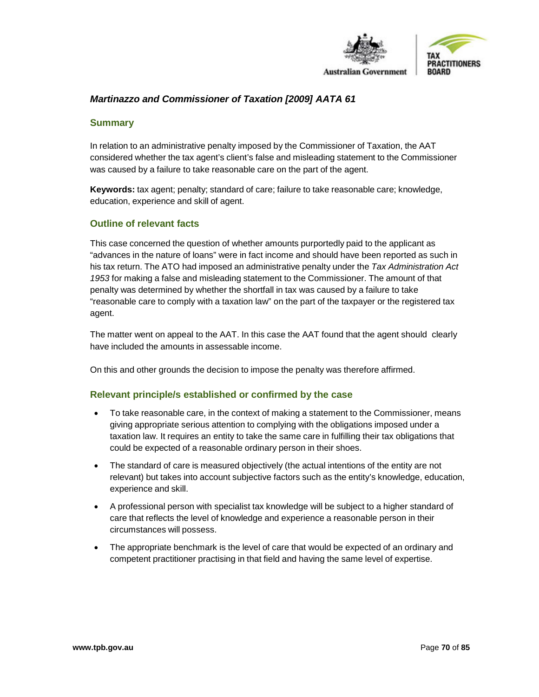

# *Martinazzo and Commissioner of Taxation [2009] AATA 61*

#### **Summary**

In relation to an administrative penalty imposed by the Commissioner of Taxation, the AAT considered whether the tax agent's client's false and misleading statement to the Commissioner was caused by a failure to take reasonable care on the part of the agent.

**Keywords:** tax agent; penalty; standard of care; failure to take reasonable care; knowledge, education, experience and skill of agent.

#### **Outline of relevant facts**

This case concerned the question of whether amounts purportedly paid to the applicant as "advances in the nature of loans" were in fact income and should have been reported as such in his tax return. The ATO had imposed an administrative penalty under the *Tax Administration Act 1953* for making a false and misleading statement to the Commissioner. The amount of that penalty was determined by whether the shortfall in tax was caused by a failure to take "reasonable care to comply with a taxation law" on the part of the taxpayer or the registered tax agent.

The matter went on appeal to the AAT. In this case the AAT found that the agent should clearly have included the amounts in assessable income.

On this and other grounds the decision to impose the penalty was therefore affirmed.

- To take reasonable care, in the context of making a statement to the Commissioner, means giving appropriate serious attention to complying with the obligations imposed under a taxation law. It requires an entity to take the same care in fulfilling their tax obligations that could be expected of a reasonable ordinary person in their shoes.
- The standard of care is measured objectively (the actual intentions of the entity are not relevant) but takes into account subjective factors such as the entity's knowledge, education, experience and skill.
- A professional person with specialist tax knowledge will be subject to a higher standard of care that reflects the level of knowledge and experience a reasonable person in their circumstances will possess.
- The appropriate benchmark is the level of care that would be expected of an ordinary and competent practitioner practising in that field and having the same level of expertise.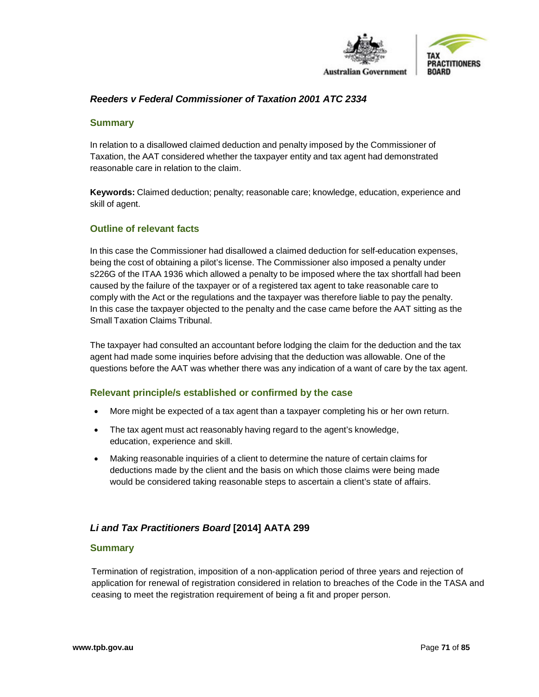

## *Reeders v Federal Commissioner of Taxation 2001 ATC 2334*

#### **Summary**

In relation to a disallowed claimed deduction and penalty imposed by the Commissioner of Taxation, the AAT considered whether the taxpayer entity and tax agent had demonstrated reasonable care in relation to the claim.

**Keywords:** Claimed deduction; penalty; reasonable care; knowledge, education, experience and skill of agent.

#### **Outline of relevant facts**

In this case the Commissioner had disallowed a claimed deduction for self-education expenses, being the cost of obtaining a pilot's license. The Commissioner also imposed a penalty under s226G of the ITAA 1936 which allowed a penalty to be imposed where the tax shortfall had been caused by the failure of the taxpayer or of a registered tax agent to take reasonable care to comply with the Act or the regulations and the taxpayer was therefore liable to pay the penalty. In this case the taxpayer objected to the penalty and the case came before the AAT sitting as the Small Taxation Claims Tribunal.

The taxpayer had consulted an accountant before lodging the claim for the deduction and the tax agent had made some inquiries before advising that the deduction was allowable. One of the questions before the AAT was whether there was any indication of a want of care by the tax agent.

#### **Relevant principle/s established or confirmed by the case**

- More might be expected of a tax agent than a taxpayer completing his or her own return.
- The tax agent must act reasonably having regard to the agent's knowledge, education, experience and skill.
- Making reasonable inquiries of a client to determine the nature of certain claims for deductions made by the client and the basis on which those claims were being made would be considered taking reasonable steps to ascertain a client's state of affairs.

#### *Li and Tax Practitioners Board* **[2014] AATA 299**

#### **Summary**

Termination of registration, imposition of a non-application period of three years and rejection of application for renewal of registration considered in relation to breaches of the Code in the TASA and ceasing to meet the registration requirement of being a fit and proper person.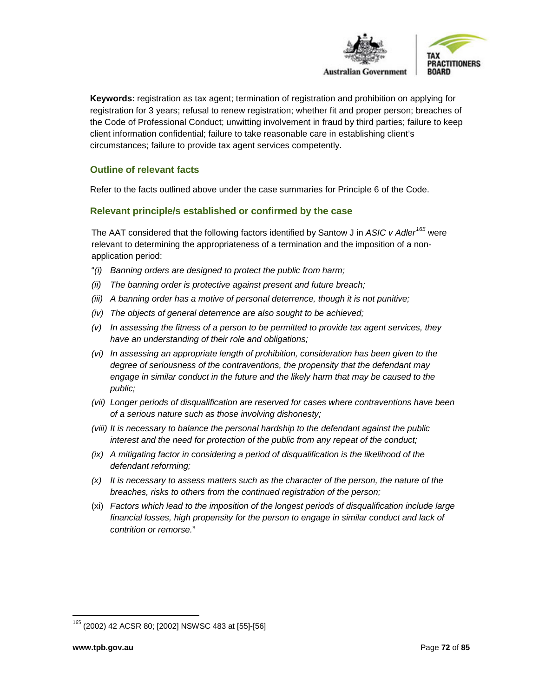

**Keywords:** registration as tax agent; termination of registration and prohibition on applying for registration for 3 years; refusal to renew registration; whether fit and proper person; breaches of the Code of Professional Conduct; unwitting involvement in fraud by third parties; failure to keep client information confidential; failure to take reasonable care in establishing client's circumstances; failure to provide tax agent services competently.

# **Outline of relevant facts**

Refer to the facts outlined above under the case summaries for Principle 6 of the Code.

# **Relevant principle/s established or confirmed by the case**

The AAT considered that the following factors identified by Santow J in *ASIC v Adler[165](#page-71-0)* were relevant to determining the appropriateness of a termination and the imposition of a nonapplication period:

- "*(i) Banning orders are designed to protect the public from harm;*
- *(ii) The banning order is protective against present and future breach;*
- *(iii) A banning order has a motive of personal deterrence, though it is not punitive;*
- *(iv) The objects of general deterrence are also sought to be achieved;*
- *(v) In assessing the fitness of a person to be permitted to provide tax agent services, they have an understanding of their role and obligations;*
- *(vi) In assessing an appropriate length of prohibition, consideration has been given to the degree of seriousness of the contraventions, the propensity that the defendant may engage in similar conduct in the future and the likely harm that may be caused to the public;*
- *(vii) Longer periods of disqualification are reserved for cases where contraventions have been of a serious nature such as those involving dishonesty;*
- *(viii) It is necessary to balance the personal hardship to the defendant against the public interest and the need for protection of the public from any repeat of the conduct;*
- *(ix) A mitigating factor in considering a period of disqualification is the likelihood of the defendant reforming;*
- *(x) It is necessary to assess matters such as the character of the person, the nature of the breaches, risks to others from the continued registration of the person;*
- (xi) *Factors which lead to the imposition of the longest periods of disqualification include large financial losses, high propensity for the person to engage in similar conduct and lack of contrition or remorse.*"

<span id="page-71-0"></span> <sup>165</sup> (2002) 42 ACSR 80; [2002] NSWSC 483 at [55]-[56]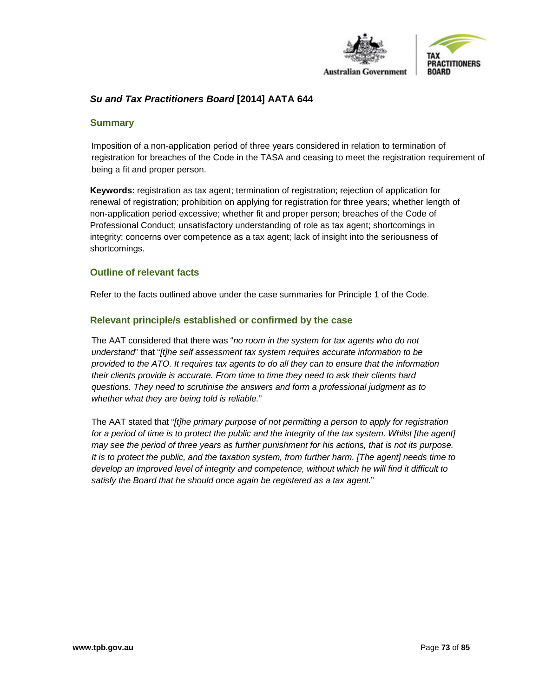

## *Su and Tax Practitioners Board* **[2014] AATA 644**

#### **Summary**

Imposition of a non-application period of three years considered in relation to termination of registration for breaches of the Code in the TASA and ceasing to meet the registration requirement of being a fit and proper person.

**Keywords:** registration as tax agent; termination of registration; rejection of application for renewal of registration; prohibition on applying for registration for three years; whether length of non-application period excessive; whether fit and proper person; breaches of the Code of Professional Conduct; unsatisfactory understanding of role as tax agent; shortcomings in integrity; concerns over competence as a tax agent; lack of insight into the seriousness of shortcomings.

#### **Outline of relevant facts**

Refer to the facts outlined above under the case summaries for Principle 1 of the Code.

## **Relevant principle/s established or confirmed by the case**

The AAT considered that there was "*no room in the system for tax agents who do not understand*" that "*[t]he self assessment tax system requires accurate information to be provided to the ATO. It requires tax agents to do all they can to ensure that the information their clients provide is accurate. From time to time they need to ask their clients hard questions. They need to scrutinise the answers and form a professional judgment as to whether what they are being told is reliable.*"

The AAT stated that "*[t]he primary purpose of not permitting a person to apply for registration*  for a period of time is to protect the public and the integrity of the tax system. Whilst [the agent] *may see the period of three years as further punishment for his actions, that is not its purpose. It is to protect the public, and the taxation system, from further harm. [The agent] needs time to*  develop an improved level of integrity and competence, without which he will find it difficult to *satisfy the Board that he should once again be registered as a tax agent.*"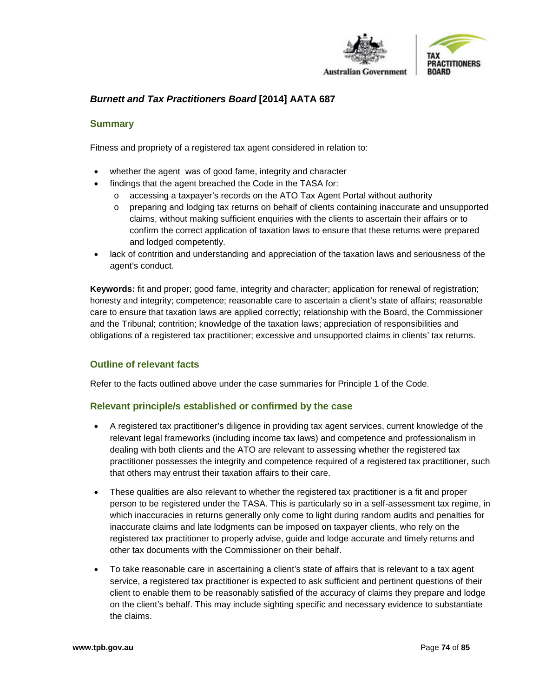

## *Burnett and Tax Practitioners Board* **[2014] AATA 687**

#### **Summary**

Fitness and propriety of a registered tax agent considered in relation to:

- whether the agent was of good fame, integrity and character
- findings that the agent breached the Code in the TASA for:
	- o accessing a taxpayer's records on the ATO Tax Agent Portal without authority
	- o preparing and lodging tax returns on behalf of clients containing inaccurate and unsupported claims, without making sufficient enquiries with the clients to ascertain their affairs or to confirm the correct application of taxation laws to ensure that these returns were prepared and lodged competently.
- lack of contrition and understanding and appreciation of the taxation laws and seriousness of the agent's conduct.

**Keywords:** fit and proper; good fame, integrity and character; application for renewal of registration; honesty and integrity; competence; reasonable care to ascertain a client's state of affairs; reasonable care to ensure that taxation laws are applied correctly; relationship with the Board, the Commissioner and the Tribunal; contrition; knowledge of the taxation laws; appreciation of responsibilities and obligations of a registered tax practitioner; excessive and unsupported claims in clients' tax returns.

## **Outline of relevant facts**

Refer to the facts outlined above under the case summaries for Principle 1 of the Code.

#### **Relevant principle/s established or confirmed by the case**

- A registered tax practitioner's diligence in providing tax agent services, current knowledge of the relevant legal frameworks (including income tax laws) and competence and professionalism in dealing with both clients and the ATO are relevant to assessing whether the registered tax practitioner possesses the integrity and competence required of a registered tax practitioner, such that others may entrust their taxation affairs to their care.
- These qualities are also relevant to whether the registered tax practitioner is a fit and proper person to be registered under the TASA. This is particularly so in a self-assessment tax regime, in which inaccuracies in returns generally only come to light during random audits and penalties for inaccurate claims and late lodgments can be imposed on taxpayer clients, who rely on the registered tax practitioner to properly advise, guide and lodge accurate and timely returns and other tax documents with the Commissioner on their behalf.
- To take reasonable care in ascertaining a client's state of affairs that is relevant to a tax agent service, a registered tax practitioner is expected to ask sufficient and pertinent questions of their client to enable them to be reasonably satisfied of the accuracy of claims they prepare and lodge on the client's behalf. This may include sighting specific and necessary evidence to substantiate the claims.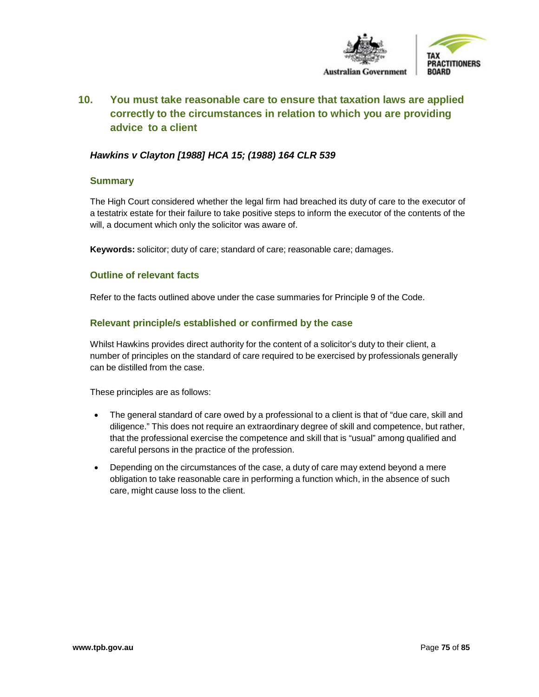

# **10. You must take reasonable care to ensure that taxation laws are applied correctly to the circumstances in relation to which you are providing advice to a client**

## *Hawkins v Clayton [1988] HCA 15; (1988) 164 CLR 539*

#### **Summary**

The High Court considered whether the legal firm had breached its duty of care to the executor of a testatrix estate for their failure to take positive steps to inform the executor of the contents of the will, a document which only the solicitor was aware of.

**Keywords:** solicitor; duty of care; standard of care; reasonable care; damages.

#### **Outline of relevant facts**

Refer to the facts outlined above under the case summaries for Principle 9 of the Code.

## **Relevant principle/s established or confirmed by the case**

Whilst Hawkins provides direct authority for the content of a solicitor's duty to their client, a number of principles on the standard of care required to be exercised by professionals generally can be distilled from the case.

These principles are as follows:

- The general standard of care owed by a professional to a client is that of "due care, skill and diligence." This does not require an extraordinary degree of skill and competence, but rather, that the professional exercise the competence and skill that is "usual" among qualified and careful persons in the practice of the profession.
- Depending on the circumstances of the case, a duty of care may extend beyond a mere obligation to take reasonable care in performing a function which, in the absence of such care, might cause loss to the client.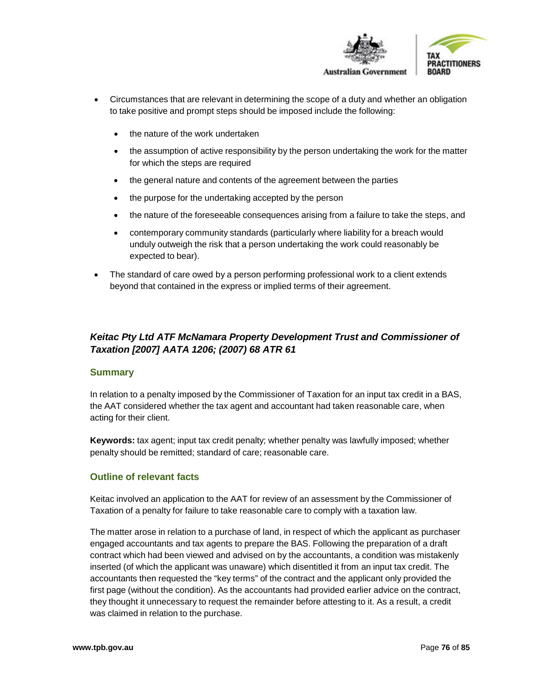

- Circumstances that are relevant in determining the scope of a duty and whether an obligation to take positive and prompt steps should be imposed include the following:
	- the nature of the work undertaken
	- the assumption of active responsibility by the person undertaking the work for the matter for which the steps are required
	- the general nature and contents of the agreement between the parties
	- the purpose for the undertaking accepted by the person
	- the nature of the foreseeable consequences arising from a failure to take the steps, and
	- contemporary community standards (particularly where liability for a breach would unduly outweigh the risk that a person undertaking the work could reasonably be expected to bear).
- The standard of care owed by a person performing professional work to a client extends beyond that contained in the express or implied terms of their agreement.

## *Keitac Pty Ltd ATF McNamara Property Development Trust and Commissioner of Taxation [2007] AATA 1206; (2007) 68 ATR 61*

## **Summary**

In relation to a penalty imposed by the Commissioner of Taxation for an input tax credit in a BAS, the AAT considered whether the tax agent and accountant had taken reasonable care, when acting for their client.

**Keywords:** tax agent; input tax credit penalty; whether penalty was lawfully imposed; whether penalty should be remitted; standard of care; reasonable care.

## **Outline of relevant facts**

Keitac involved an application to the AAT for review of an assessment by the Commissioner of Taxation of a penalty for failure to take reasonable care to comply with a taxation law.

The matter arose in relation to a purchase of land, in respect of which the applicant as purchaser engaged accountants and tax agents to prepare the BAS. Following the preparation of a draft contract which had been viewed and advised on by the accountants, a condition was mistakenly inserted (of which the applicant was unaware) which disentitled it from an input tax credit. The accountants then requested the "key terms" of the contract and the applicant only provided the first page (without the condition). As the accountants had provided earlier advice on the contract, they thought it unnecessary to request the remainder before attesting to it. As a result, a credit was claimed in relation to the purchase.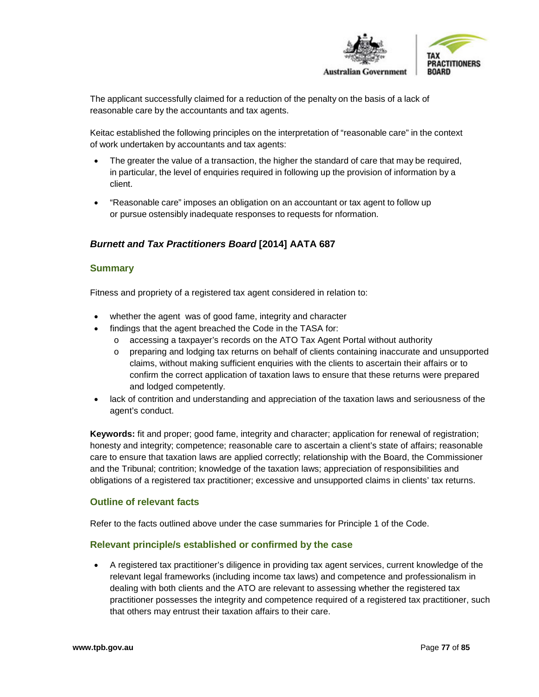

The applicant successfully claimed for a reduction of the penalty on the basis of a lack of reasonable care by the accountants and tax agents.

Keitac established the following principles on the interpretation of "reasonable care" in the context of work undertaken by accountants and tax agents:

- The greater the value of a transaction, the higher the standard of care that may be required, in particular, the level of enquiries required in following up the provision of information by a client.
- "Reasonable care" imposes an obligation on an accountant or tax agent to follow up or pursue ostensibly inadequate responses to requests for nformation.

## *Burnett and Tax Practitioners Board* **[2014] AATA 687**

#### **Summary**

Fitness and propriety of a registered tax agent considered in relation to:

- whether the agent was of good fame, integrity and character
- findings that the agent breached the Code in the TASA for:
	- o accessing a taxpayer's records on the ATO Tax Agent Portal without authority
	- o preparing and lodging tax returns on behalf of clients containing inaccurate and unsupported claims, without making sufficient enquiries with the clients to ascertain their affairs or to confirm the correct application of taxation laws to ensure that these returns were prepared and lodged competently.
- lack of contrition and understanding and appreciation of the taxation laws and seriousness of the agent's conduct.

**Keywords:** fit and proper; good fame, integrity and character; application for renewal of registration; honesty and integrity; competence; reasonable care to ascertain a client's state of affairs; reasonable care to ensure that taxation laws are applied correctly; relationship with the Board, the Commissioner and the Tribunal; contrition; knowledge of the taxation laws; appreciation of responsibilities and obligations of a registered tax practitioner; excessive and unsupported claims in clients' tax returns.

#### **Outline of relevant facts**

Refer to the facts outlined above under the case summaries for Principle 1 of the Code.

#### **Relevant principle/s established or confirmed by the case**

• A registered tax practitioner's diligence in providing tax agent services, current knowledge of the relevant legal frameworks (including income tax laws) and competence and professionalism in dealing with both clients and the ATO are relevant to assessing whether the registered tax practitioner possesses the integrity and competence required of a registered tax practitioner, such that others may entrust their taxation affairs to their care.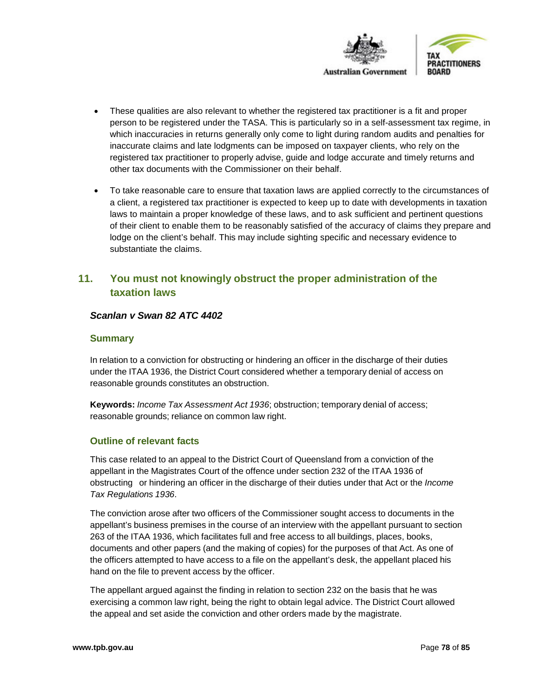

- These qualities are also relevant to whether the registered tax practitioner is a fit and proper person to be registered under the TASA. This is particularly so in a self-assessment tax regime, in which inaccuracies in returns generally only come to light during random audits and penalties for inaccurate claims and late lodgments can be imposed on taxpayer clients, who rely on the registered tax practitioner to properly advise, guide and lodge accurate and timely returns and other tax documents with the Commissioner on their behalf.
- To take reasonable care to ensure that taxation laws are applied correctly to the circumstances of a client, a registered tax practitioner is expected to keep up to date with developments in taxation laws to maintain a proper knowledge of these laws, and to ask sufficient and pertinent questions of their client to enable them to be reasonably satisfied of the accuracy of claims they prepare and lodge on the client's behalf. This may include sighting specific and necessary evidence to substantiate the claims.

# **11. You must not knowingly obstruct the proper administration of the taxation laws**

## *Scanlan v Swan 82 ATC 4402*

## **Summary**

In relation to a conviction for obstructing or hindering an officer in the discharge of their duties under the ITAA 1936, the District Court considered whether a temporary denial of access on reasonable grounds constitutes an obstruction.

**Keywords:** *Income Tax Assessment Act 1936*; obstruction; temporary denial of access; reasonable grounds; reliance on common law right.

## **Outline of relevant facts**

This case related to an appeal to the District Court of Queensland from a conviction of the appellant in the Magistrates Court of the offence under section 232 of the ITAA 1936 of obstructing or hindering an officer in the discharge of their duties under that Act or the *Income Tax Regulations 1936*.

The conviction arose after two officers of the Commissioner sought access to documents in the appellant's business premises in the course of an interview with the appellant pursuant to section 263 of the ITAA 1936, which facilitates full and free access to all buildings, places, books, documents and other papers (and the making of copies) for the purposes of that Act. As one of the officers attempted to have access to a file on the appellant's desk, the appellant placed his hand on the file to prevent access by the officer.

The appellant argued against the finding in relation to section 232 on the basis that he was exercising a common law right, being the right to obtain legal advice. The District Court allowed the appeal and set aside the conviction and other orders made by the magistrate.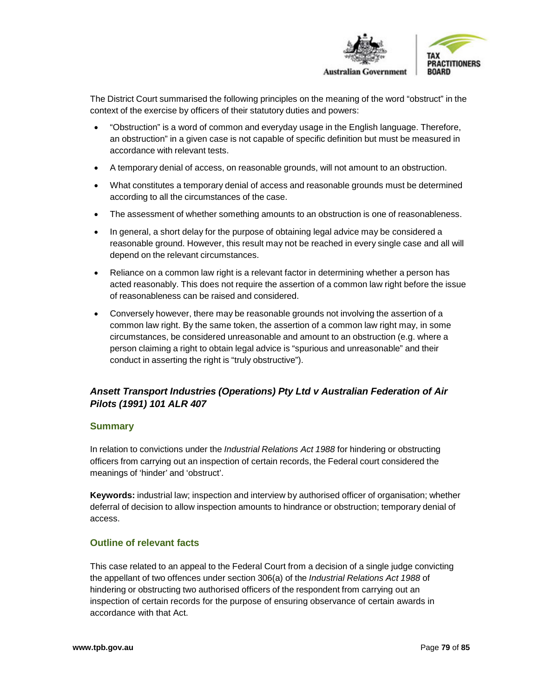

The District Court summarised the following principles on the meaning of the word "obstruct" in the context of the exercise by officers of their statutory duties and powers:

- "Obstruction" is a word of common and everyday usage in the English language. Therefore, an obstruction" in a given case is not capable of specific definition but must be measured in accordance with relevant tests.
- A temporary denial of access, on reasonable grounds, will not amount to an obstruction.
- What constitutes a temporary denial of access and reasonable grounds must be determined according to all the circumstances of the case.
- The assessment of whether something amounts to an obstruction is one of reasonableness.
- In general, a short delay for the purpose of obtaining legal advice may be considered a reasonable ground. However, this result may not be reached in every single case and all will depend on the relevant circumstances.
- Reliance on a common law right is a relevant factor in determining whether a person has acted reasonably. This does not require the assertion of a common law right before the issue of reasonableness can be raised and considered.
- Conversely however, there may be reasonable grounds not involving the assertion of a common law right. By the same token, the assertion of a common law right may, in some circumstances, be considered unreasonable and amount to an obstruction (e.g. where a person claiming a right to obtain legal advice is "spurious and unreasonable" and their conduct in asserting the right is "truly obstructive").

## *Ansett Transport Industries (Operations) Pty Ltd v Australian Federation of Air Pilots (1991) 101 ALR 407*

## **Summary**

In relation to convictions under the *Industrial Relations Act 1988* for hindering or obstructing officers from carrying out an inspection of certain records, the Federal court considered the meanings of 'hinder' and 'obstruct'.

**Keywords:** industrial law; inspection and interview by authorised officer of organisation; whether deferral of decision to allow inspection amounts to hindrance or obstruction; temporary denial of access.

## **Outline of relevant facts**

This case related to an appeal to the Federal Court from a decision of a single judge convicting the appellant of two offences under section 306(a) of the *Industrial Relations Act 1988* of hindering or obstructing two authorised officers of the respondent from carrying out an inspection of certain records for the purpose of ensuring observance of certain awards in accordance with that Act.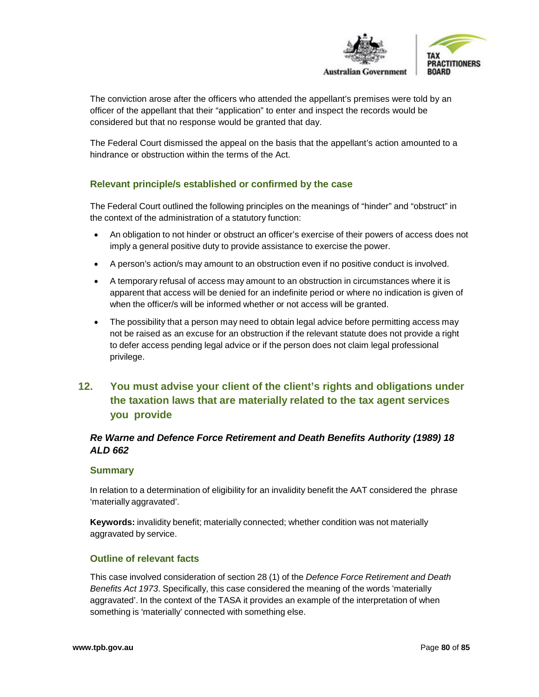

The conviction arose after the officers who attended the appellant's premises were told by an officer of the appellant that their "application" to enter and inspect the records would be considered but that no response would be granted that day.

The Federal Court dismissed the appeal on the basis that the appellant's action amounted to a hindrance or obstruction within the terms of the Act.

## **Relevant principle/s established or confirmed by the case**

The Federal Court outlined the following principles on the meanings of "hinder" and "obstruct" in the context of the administration of a statutory function:

- An obligation to not hinder or obstruct an officer's exercise of their powers of access does not imply a general positive duty to provide assistance to exercise the power.
- A person's action/s may amount to an obstruction even if no positive conduct is involved.
- A temporary refusal of access may amount to an obstruction in circumstances where it is apparent that access will be denied for an indefinite period or where no indication is given of when the officer/s will be informed whether or not access will be granted.
- The possibility that a person may need to obtain legal advice before permitting access may not be raised as an excuse for an obstruction if the relevant statute does not provide a right to defer access pending legal advice or if the person does not claim legal professional privilege.

# **12. You must advise your client of the client's rights and obligations under the taxation laws that are materially related to the tax agent services you provide**

## *Re Warne and Defence Force Retirement and Death Benefits Authority (1989) 18 ALD 662*

#### **Summary**

In relation to a determination of eligibility for an invalidity benefit the AAT considered the phrase 'materially aggravated'.

**Keywords:** invalidity benefit; materially connected; whether condition was not materially aggravated by service.

## **Outline of relevant facts**

This case involved consideration of section 28 (1) of the *Defence Force Retirement and Death Benefits Act 1973*. Specifically, this case considered the meaning of the words 'materially aggravated'. In the context of the TASA it provides an example of the interpretation of when something is 'materially' connected with something else.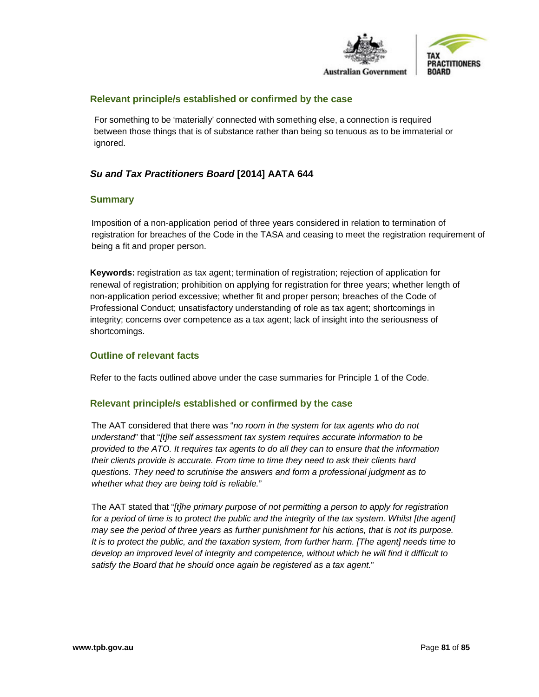

#### **Relevant principle/s established or confirmed by the case**

For something to be 'materially' connected with something else, a connection is required between those things that is of substance rather than being so tenuous as to be immaterial or ignored.

## *Su and Tax Practitioners Board* **[2014] AATA 644**

## **Summary**

Imposition of a non-application period of three years considered in relation to termination of registration for breaches of the Code in the TASA and ceasing to meet the registration requirement of being a fit and proper person.

**Keywords:** registration as tax agent; termination of registration; rejection of application for renewal of registration; prohibition on applying for registration for three years; whether length of non-application period excessive; whether fit and proper person; breaches of the Code of Professional Conduct; unsatisfactory understanding of role as tax agent; shortcomings in integrity; concerns over competence as a tax agent; lack of insight into the seriousness of shortcomings.

## **Outline of relevant facts**

Refer to the facts outlined above under the case summaries for Principle 1 of the Code.

#### **Relevant principle/s established or confirmed by the case**

The AAT considered that there was "*no room in the system for tax agents who do not understand*" that "*[t]he self assessment tax system requires accurate information to be provided to the ATO. It requires tax agents to do all they can to ensure that the information their clients provide is accurate. From time to time they need to ask their clients hard questions. They need to scrutinise the answers and form a professional judgment as to whether what they are being told is reliable.*"

The AAT stated that "*[t]he primary purpose of not permitting a person to apply for registration*  for a period of time is to protect the public and the integrity of the tax system. Whilst [the agent] *may see the period of three years as further punishment for his actions, that is not its purpose. It is to protect the public, and the taxation system, from further harm. [The agent] needs time to develop an improved level of integrity and competence, without which he will find it difficult to satisfy the Board that he should once again be registered as a tax agent.*"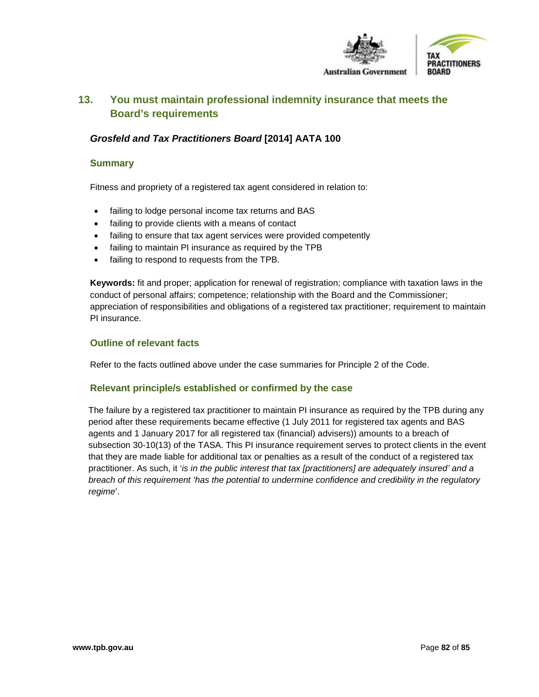

# **13. You must maintain professional indemnity insurance that meets the Board's requirements**

## *Grosfeld and Tax Practitioners Board* **[2014] AATA 100**

## **Summary**

Fitness and propriety of a registered tax agent considered in relation to:

- failing to lodge personal income tax returns and BAS
- failing to provide clients with a means of contact
- failing to ensure that tax agent services were provided competently
- failing to maintain PI insurance as required by the TPB
- failing to respond to requests from the TPB.

**Keywords:** fit and proper; application for renewal of registration; compliance with taxation laws in the conduct of personal affairs; competence; relationship with the Board and the Commissioner; appreciation of responsibilities and obligations of a registered tax practitioner; requirement to maintain PI insurance.

## **Outline of relevant facts**

Refer to the facts outlined above under the case summaries for Principle 2 of the Code.

## **Relevant principle/s established or confirmed by the case**

The failure by a registered tax practitioner to maintain PI insurance as required by the TPB during any period after these requirements became effective (1 July 2011 for registered tax agents and BAS agents and 1 January 2017 for all registered tax (financial) advisers)) amounts to a breach of subsection 30-10(13) of the TASA. This PI insurance requirement serves to protect clients in the event that they are made liable for additional tax or penalties as a result of the conduct of a registered tax practitioner. As such, it '*is in the public interest that tax [practitioners] are adequately insured' and a breach of this requirement 'has the potential to undermine confidence and credibility in the regulatory regime*'.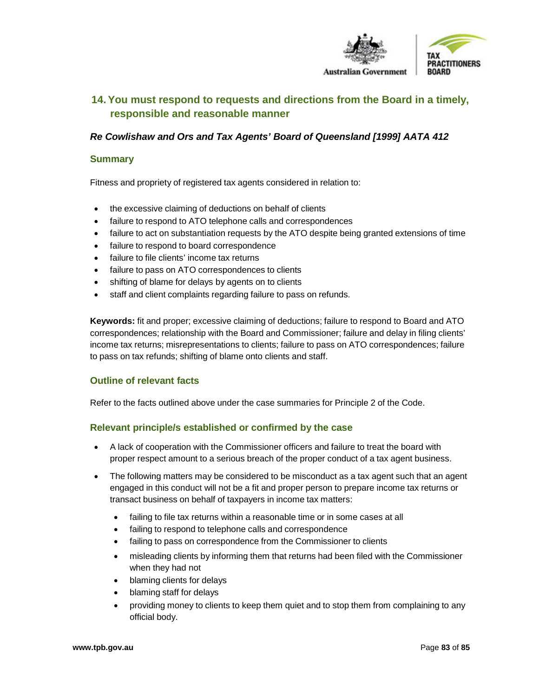

# **14.You must respond to requests and directions from the Board in a timely, responsible and reasonable manner**

## *Re Cowlishaw and Ors and Tax Agents' Board of Queensland [1999] AATA 412*

#### **Summary**

Fitness and propriety of registered tax agents considered in relation to:

- the excessive claiming of deductions on behalf of clients
- failure to respond to ATO telephone calls and correspondences
- failure to act on substantiation requests by the ATO despite being granted extensions of time
- failure to respond to board correspondence
- failure to file clients' income tax returns
- failure to pass on ATO correspondences to clients
- shifting of blame for delays by agents on to clients
- staff and client complaints regarding failure to pass on refunds.

**Keywords:** fit and proper; excessive claiming of deductions; failure to respond to Board and ATO correspondences; relationship with the Board and Commissioner; failure and delay in filing clients' income tax returns; misrepresentations to clients; failure to pass on ATO correspondences; failure to pass on tax refunds; shifting of blame onto clients and staff.

## **Outline of relevant facts**

Refer to the facts outlined above under the case summaries for Principle 2 of the Code.

## **Relevant principle/s established or confirmed by the case**

- A lack of cooperation with the Commissioner officers and failure to treat the board with proper respect amount to a serious breach of the proper conduct of a tax agent business.
- The following matters may be considered to be misconduct as a tax agent such that an agent engaged in this conduct will not be a fit and proper person to prepare income tax returns or transact business on behalf of taxpayers in income tax matters:
	- failing to file tax returns within a reasonable time or in some cases at all
	- failing to respond to telephone calls and correspondence
	- failing to pass on correspondence from the Commissioner to clients
	- misleading clients by informing them that returns had been filed with the Commissioner when they had not
	- blaming clients for delays
	- blaming staff for delays
	- providing money to clients to keep them quiet and to stop them from complaining to any official body.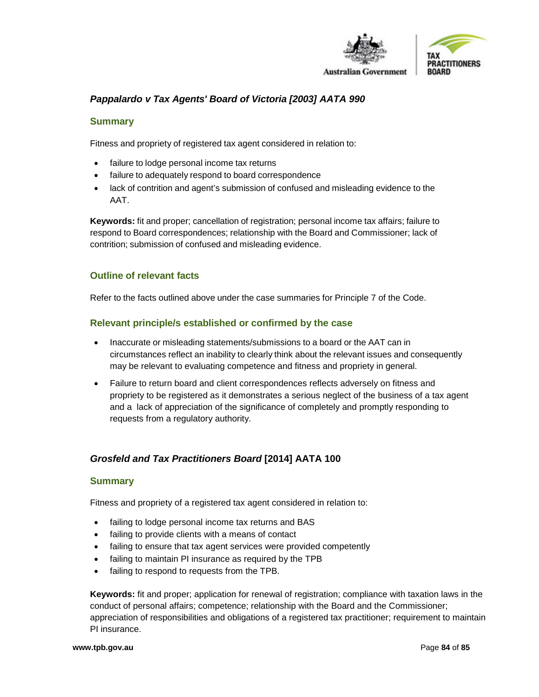

## *Pappalardo v Tax Agents' Board of Victoria [2003] AATA 990*

### **Summary**

Fitness and propriety of registered tax agent considered in relation to:

- failure to lodge personal income tax returns
- failure to adequately respond to board correspondence
- lack of contrition and agent's submission of confused and misleading evidence to the AAT.

**Keywords:** fit and proper; cancellation of registration; personal income tax affairs; failure to respond to Board correspondences; relationship with the Board and Commissioner; lack of contrition; submission of confused and misleading evidence.

## **Outline of relevant facts**

Refer to the facts outlined above under the case summaries for Principle 7 of the Code.

#### **Relevant principle/s established or confirmed by the case**

- Inaccurate or misleading statements/submissions to a board or the AAT can in circumstances reflect an inability to clearly think about the relevant issues and consequently may be relevant to evaluating competence and fitness and propriety in general.
- Failure to return board and client correspondences reflects adversely on fitness and propriety to be registered as it demonstrates a serious neglect of the business of a tax agent and a lack of appreciation of the significance of completely and promptly responding to requests from a regulatory authority.

## *Grosfeld and Tax Practitioners Board* **[2014] AATA 100**

#### **Summary**

Fitness and propriety of a registered tax agent considered in relation to:

- failing to lodge personal income tax returns and BAS
- failing to provide clients with a means of contact
- failing to ensure that tax agent services were provided competently
- failing to maintain PI insurance as required by the TPB
- failing to respond to requests from the TPB.

**Keywords:** fit and proper; application for renewal of registration; compliance with taxation laws in the conduct of personal affairs; competence; relationship with the Board and the Commissioner; appreciation of responsibilities and obligations of a registered tax practitioner; requirement to maintain PI insurance.

#### **www.tpb.gov.au** Page **84** of **85**